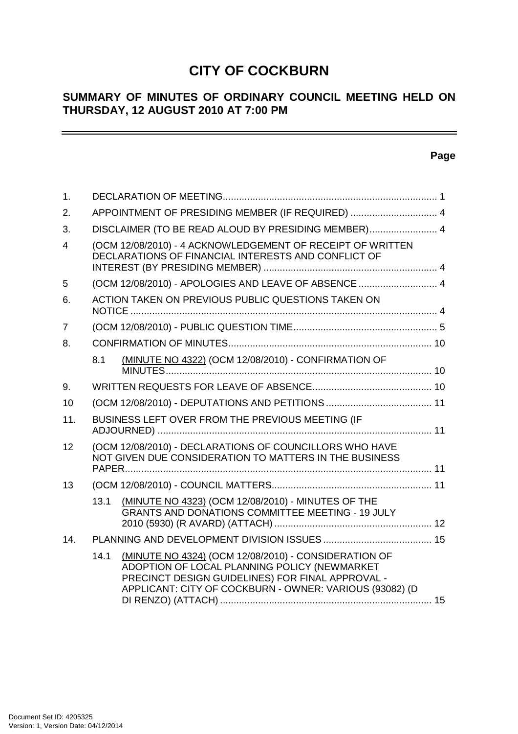# **CITY OF COCKBURN**

# **SUMMARY OF MINUTES OF ORDINARY COUNCIL MEETING HELD ON THURSDAY, 12 AUGUST 2010 AT 7:00 PM**

# **Page**

 $\equiv$ 

| 1.             |                                                  |                                                                                                                                                                                                                     |  |
|----------------|--------------------------------------------------|---------------------------------------------------------------------------------------------------------------------------------------------------------------------------------------------------------------------|--|
| 2.             | APPOINTMENT OF PRESIDING MEMBER (IF REQUIRED)  4 |                                                                                                                                                                                                                     |  |
| 3.             |                                                  | DISCLAIMER (TO BE READ ALOUD BY PRESIDING MEMBER) 4                                                                                                                                                                 |  |
| $\overline{4}$ |                                                  | (OCM 12/08/2010) - 4 ACKNOWLEDGEMENT OF RECEIPT OF WRITTEN<br>DECLARATIONS OF FINANCIAL INTERESTS AND CONFLICT OF                                                                                                   |  |
| 5              |                                                  | (OCM 12/08/2010) - APOLOGIES AND LEAVE OF ABSENCE  4                                                                                                                                                                |  |
| 6.             |                                                  | ACTION TAKEN ON PREVIOUS PUBLIC QUESTIONS TAKEN ON                                                                                                                                                                  |  |
| $\overline{7}$ |                                                  |                                                                                                                                                                                                                     |  |
| 8.             |                                                  |                                                                                                                                                                                                                     |  |
|                | 8.1                                              | (MINUTE NO 4322) (OCM 12/08/2010) - CONFIRMATION OF                                                                                                                                                                 |  |
| 9.             |                                                  |                                                                                                                                                                                                                     |  |
| 10             |                                                  |                                                                                                                                                                                                                     |  |
| 11.            |                                                  | BUSINESS LEFT OVER FROM THE PREVIOUS MEETING (IF                                                                                                                                                                    |  |
| 12             |                                                  | (OCM 12/08/2010) - DECLARATIONS OF COUNCILLORS WHO HAVE<br>NOT GIVEN DUE CONSIDERATION TO MATTERS IN THE BUSINESS                                                                                                   |  |
| 13             |                                                  |                                                                                                                                                                                                                     |  |
|                | 13.1                                             | (MINUTE NO 4323) (OCM 12/08/2010) - MINUTES OF THE<br><b>GRANTS AND DONATIONS COMMITTEE MEETING - 19 JULY</b>                                                                                                       |  |
| 14.            |                                                  |                                                                                                                                                                                                                     |  |
|                | 14.1                                             | (MINUTE NO 4324) (OCM 12/08/2010) - CONSIDERATION OF<br>ADOPTION OF LOCAL PLANNING POLICY (NEWMARKET<br>PRECINCT DESIGN GUIDELINES) FOR FINAL APPROVAL -<br>APPLICANT: CITY OF COCKBURN - OWNER: VARIOUS (93082) (D |  |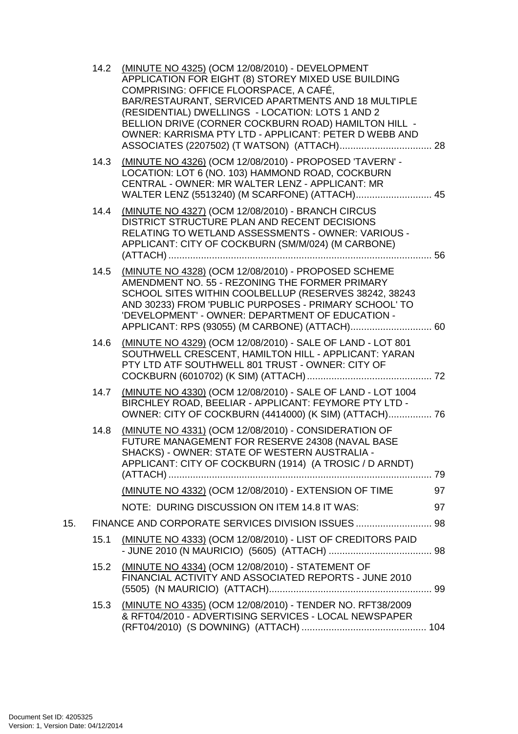|     |      | 14.2 (MINUTE NO 4325) (OCM 12/08/2010) - DEVELOPMENT<br>APPLICATION FOR EIGHT (8) STOREY MIXED USE BUILDING<br>COMPRISING: OFFICE FLOORSPACE, A CAFÉ,<br>BAR/RESTAURANT, SERVICED APARTMENTS AND 18 MULTIPLE<br>(RESIDENTIAL) DWELLINGS - LOCATION: LOTS 1 AND 2<br>BELLION DRIVE (CORNER COCKBURN ROAD) HAMILTON HILL -<br>OWNER: KARRISMA PTY LTD - APPLICANT: PETER D WEBB AND |    |
|-----|------|-----------------------------------------------------------------------------------------------------------------------------------------------------------------------------------------------------------------------------------------------------------------------------------------------------------------------------------------------------------------------------------|----|
|     | 14.3 | (MINUTE NO 4326) (OCM 12/08/2010) - PROPOSED 'TAVERN' -<br>LOCATION: LOT 6 (NO. 103) HAMMOND ROAD, COCKBURN<br>CENTRAL - OWNER: MR WALTER LENZ - APPLICANT: MR<br>WALTER LENZ (5513240) (M SCARFONE) (ATTACH) 45                                                                                                                                                                  |    |
|     | 14.4 | (MINUTE NO 4327) (OCM 12/08/2010) - BRANCH CIRCUS<br>DISTRICT STRUCTURE PLAN AND RECENT DECISIONS<br>RELATING TO WETLAND ASSESSMENTS - OWNER: VARIOUS -<br>APPLICANT: CITY OF COCKBURN (SM/M/024) (M CARBONE)                                                                                                                                                                     |    |
|     | 14.5 | (MINUTE NO 4328) (OCM 12/08/2010) - PROPOSED SCHEME<br>AMENDMENT NO. 55 - REZONING THE FORMER PRIMARY<br>SCHOOL SITES WITHIN COOLBELLUP (RESERVES 38242, 38243<br>AND 30233) FROM 'PUBLIC PURPOSES - PRIMARY SCHOOL' TO<br>'DEVELOPMENT' - OWNER: DEPARTMENT OF EDUCATION -<br>APPLICANT: RPS (93055) (M CARBONE) (ATTACH) 60                                                     |    |
|     | 14.6 | (MINUTE NO 4329) (OCM 12/08/2010) - SALE OF LAND - LOT 801<br>SOUTHWELL CRESCENT, HAMILTON HILL - APPLICANT: YARAN<br>PTY LTD ATF SOUTHWELL 801 TRUST - OWNER: CITY OF                                                                                                                                                                                                            |    |
|     | 14.7 | (MINUTE NO 4330) (OCM 12/08/2010) - SALE OF LAND - LOT 1004<br>BIRCHLEY ROAD, BEELIAR - APPLICANT: FEYMORE PTY LTD -<br>OWNER: CITY OF COCKBURN (4414000) (K SIM) (ATTACH) 76                                                                                                                                                                                                     |    |
|     | 14.8 | (MINUTE NO 4331) (OCM 12/08/2010) - CONSIDERATION OF<br>FUTURE MANAGEMENT FOR RESERVE 24308 (NAVAL BASE<br>SHACKS) - OWNER: STATE OF WESTERN AUSTRALIA -<br>APPLICANT: CITY OF COCKBURN (1914) (A TROSIC / D ARNDT)                                                                                                                                                               |    |
|     |      | (MINUTE NO 4332) (OCM 12/08/2010) - EXTENSION OF TIME                                                                                                                                                                                                                                                                                                                             | 97 |
|     |      | NOTE: DURING DISCUSSION ON ITEM 14.8 IT WAS:                                                                                                                                                                                                                                                                                                                                      | 97 |
| 15. |      |                                                                                                                                                                                                                                                                                                                                                                                   |    |
|     | 15.1 | (MINUTE NO 4333) (OCM 12/08/2010) - LIST OF CREDITORS PAID                                                                                                                                                                                                                                                                                                                        |    |
|     | 15.2 | (MINUTE NO 4334) (OCM 12/08/2010) - STATEMENT OF<br>FINANCIAL ACTIVITY AND ASSOCIATED REPORTS - JUNE 2010                                                                                                                                                                                                                                                                         |    |
|     | 15.3 | (MINUTE NO 4335) (OCM 12/08/2010) - TENDER NO. RFT38/2009<br>& RFT04/2010 - ADVERTISING SERVICES - LOCAL NEWSPAPER                                                                                                                                                                                                                                                                |    |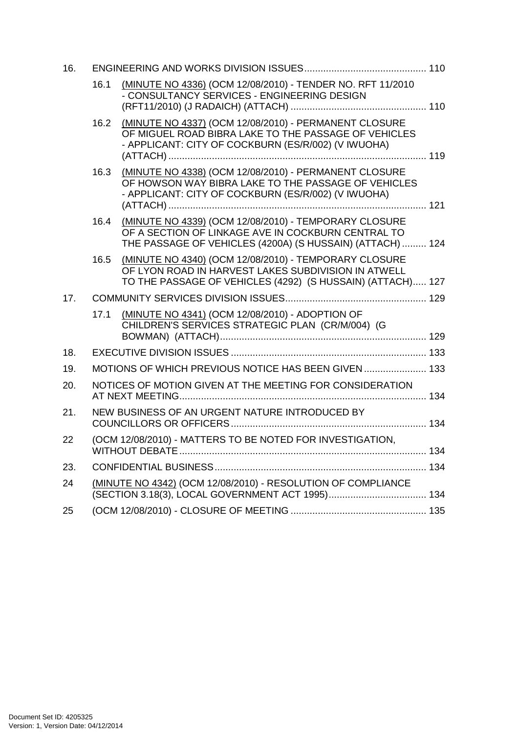| 16. |      |                                                                                                                                                                            |  |
|-----|------|----------------------------------------------------------------------------------------------------------------------------------------------------------------------------|--|
|     | 16.1 | (MINUTE NO 4336) (OCM 12/08/2010) - TENDER NO. RFT 11/2010<br>- CONSULTANCY SERVICES - ENGINEERING DESIGN                                                                  |  |
|     | 16.2 | (MINUTE NO 4337) (OCM 12/08/2010) - PERMANENT CLOSURE<br>OF MIGUEL ROAD BIBRA LAKE TO THE PASSAGE OF VEHICLES<br>- APPLICANT: CITY OF COCKBURN (ES/R/002) (V IWUOHA)       |  |
|     | 16.3 | (MINUTE NO 4338) (OCM 12/08/2010) - PERMANENT CLOSURE<br>OF HOWSON WAY BIBRA LAKE TO THE PASSAGE OF VEHICLES<br>- APPLICANT: CITY OF COCKBURN (ES/R/002) (V IWUOHA)        |  |
|     | 16.4 | (MINUTE NO 4339) (OCM 12/08/2010) - TEMPORARY CLOSURE<br>OF A SECTION OF LINKAGE AVE IN COCKBURN CENTRAL TO<br>THE PASSAGE OF VEHICLES (4200A) (S HUSSAIN) (ATTACH)  124   |  |
|     | 16.5 | (MINUTE NO 4340) (OCM 12/08/2010) - TEMPORARY CLOSURE<br>OF LYON ROAD IN HARVEST LAKES SUBDIVISION IN ATWELL<br>TO THE PASSAGE OF VEHICLES (4292) (S HUSSAIN) (ATTACH) 127 |  |
| 17. |      |                                                                                                                                                                            |  |
|     | 17.1 | (MINUTE NO 4341) (OCM 12/08/2010) - ADOPTION OF<br>CHILDREN'S SERVICES STRATEGIC PLAN (CR/M/004) (G                                                                        |  |
| 18. |      |                                                                                                                                                                            |  |
| 19. |      | MOTIONS OF WHICH PREVIOUS NOTICE HAS BEEN GIVEN  133                                                                                                                       |  |
| 20. |      | NOTICES OF MOTION GIVEN AT THE MEETING FOR CONSIDERATION                                                                                                                   |  |
| 21. |      | NEW BUSINESS OF AN URGENT NATURE INTRODUCED BY                                                                                                                             |  |
| 22  |      | (OCM 12/08/2010) - MATTERS TO BE NOTED FOR INVESTIGATION.                                                                                                                  |  |
| 23. |      |                                                                                                                                                                            |  |
| 24  |      | (MINUTE NO 4342) (OCM 12/08/2010) - RESOLUTION OF COMPLIANCE                                                                                                               |  |
| 25  |      |                                                                                                                                                                            |  |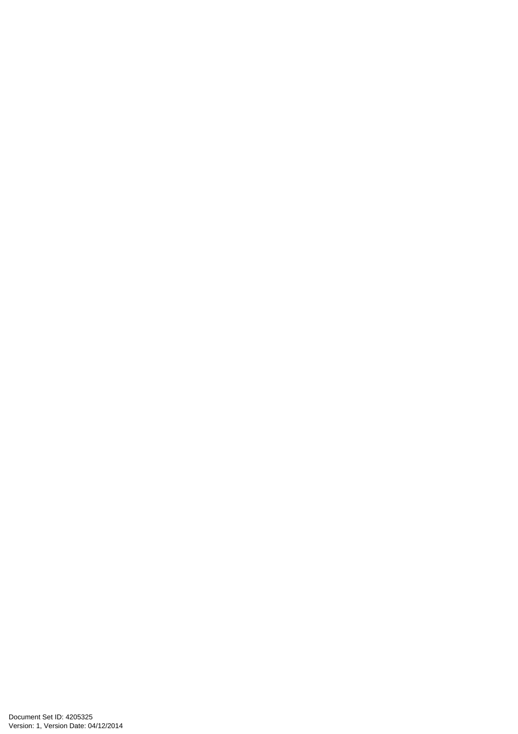Document Set ID: 4205325<br>Version: 1, Version Date: 04/12/2014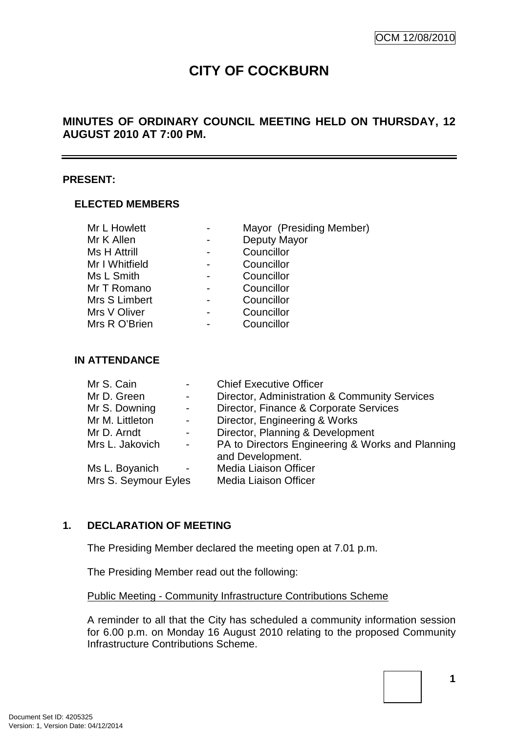# **CITY OF COCKBURN**

# **MINUTES OF ORDINARY COUNCIL MEETING HELD ON THURSDAY, 12 AUGUST 2010 AT 7:00 PM.**

#### **PRESENT:**

#### **ELECTED MEMBERS**

| Mr L Howlett        | Mayor (Presiding Member) |
|---------------------|--------------------------|
| Mr K Allen          | Deputy Mayor             |
| <b>Ms H Attrill</b> | Councillor               |
| Mr I Whitfield      | Councillor               |
| Ms L Smith          | Councillor               |
| Mr T Romano         | Councillor               |
| Mrs S Limbert       | Councillor               |
| Mrs V Oliver        | Councillor               |
| Mrs R O'Brien       | Councillor               |

#### **IN ATTENDANCE**

| Mr S. Cain                             |                          | <b>Chief Executive Officer</b>                                       |
|----------------------------------------|--------------------------|----------------------------------------------------------------------|
| Mr D. Green                            | $\blacksquare$           | Director, Administration & Community Services                        |
| Mr S. Downing                          | $\blacksquare$           | Director, Finance & Corporate Services                               |
| Mr M. Littleton                        | $\blacksquare$           | Director, Engineering & Works                                        |
| Mr D. Arndt                            | $\overline{\phantom{a}}$ | Director, Planning & Development                                     |
| Mrs L. Jakovich                        | $\overline{\phantom{a}}$ | PA to Directors Engineering & Works and Planning<br>and Development. |
| Ms L. Boyanich<br>Mrs S. Seymour Eyles | $\blacksquare$           | <b>Media Liaison Officer</b><br><b>Media Liaison Officer</b>         |

## **1. DECLARATION OF MEETING**

The Presiding Member declared the meeting open at 7.01 p.m.

The Presiding Member read out the following:

Public Meeting - Community Infrastructure Contributions Scheme

A reminder to all that the City has scheduled a community information session for 6.00 p.m. on Monday 16 August 2010 relating to the proposed Community Infrastructure Contributions Scheme.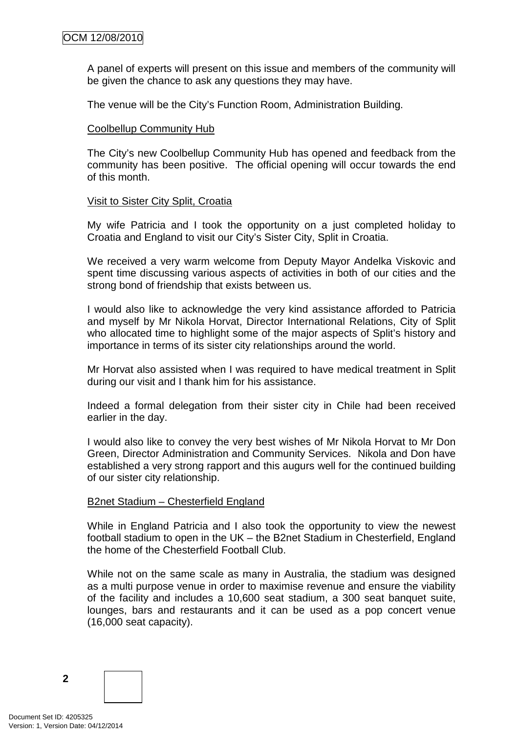### OCM 12/08/2010

A panel of experts will present on this issue and members of the community will be given the chance to ask any questions they may have.

The venue will be the City's Function Room, Administration Building.

#### Coolbellup Community Hub

The City's new Coolbellup Community Hub has opened and feedback from the community has been positive. The official opening will occur towards the end of this month.

#### Visit to Sister City Split, Croatia

My wife Patricia and I took the opportunity on a just completed holiday to Croatia and England to visit our City's Sister City, Split in Croatia.

We received a very warm welcome from Deputy Mayor Andelka Viskovic and spent time discussing various aspects of activities in both of our cities and the strong bond of friendship that exists between us.

I would also like to acknowledge the very kind assistance afforded to Patricia and myself by Mr Nikola Horvat, Director International Relations, City of Split who allocated time to highlight some of the major aspects of Split's history and importance in terms of its sister city relationships around the world.

Mr Horvat also assisted when I was required to have medical treatment in Split during our visit and I thank him for his assistance.

Indeed a formal delegation from their sister city in Chile had been received earlier in the day.

I would also like to convey the very best wishes of Mr Nikola Horvat to Mr Don Green, Director Administration and Community Services. Nikola and Don have established a very strong rapport and this augurs well for the continued building of our sister city relationship.

### B2net Stadium – Chesterfield England

While in England Patricia and I also took the opportunity to view the newest football stadium to open in the UK – the B2net Stadium in Chesterfield, England the home of the Chesterfield Football Club.

While not on the same scale as many in Australia, the stadium was designed as a multi purpose venue in order to maximise revenue and ensure the viability of the facility and includes a 10,600 seat stadium, a 300 seat banquet suite, lounges, bars and restaurants and it can be used as a pop concert venue (16,000 seat capacity).

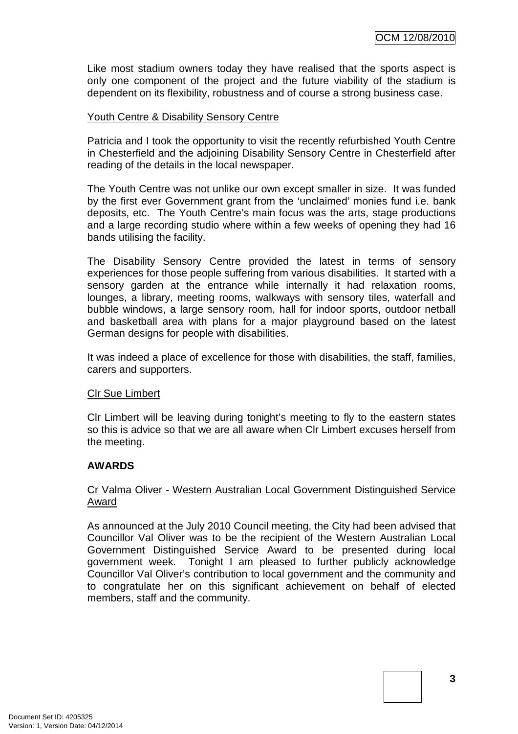Like most stadium owners today they have realised that the sports aspect is only one component of the project and the future viability of the stadium is dependent on its flexibility, robustness and of course a strong business case.

#### Youth Centre & Disability Sensory Centre

Patricia and I took the opportunity to visit the recently refurbished Youth Centre in Chesterfield and the adjoining Disability Sensory Centre in Chesterfield after reading of the details in the local newspaper.

The Youth Centre was not unlike our own except smaller in size. It was funded by the first ever Government grant from the 'unclaimed' monies fund i.e. bank deposits, etc. The Youth Centre's main focus was the arts, stage productions and a large recording studio where within a few weeks of opening they had 16 bands utilising the facility.

The Disability Sensory Centre provided the latest in terms of sensory experiences for those people suffering from various disabilities. It started with a sensory garden at the entrance while internally it had relaxation rooms, lounges, a library, meeting rooms, walkways with sensory tiles, waterfall and bubble windows, a large sensory room, hall for indoor sports, outdoor netball and basketball area with plans for a major playground based on the latest German designs for people with disabilities.

It was indeed a place of excellence for those with disabilities, the staff, families, carers and supporters.

#### Clr Sue Limbert

Clr Limbert will be leaving during tonight's meeting to fly to the eastern states so this is advice so that we are all aware when Clr Limbert excuses herself from the meeting.

### **AWARDS**

#### Cr Valma Oliver - Western Australian Local Government Distinguished Service Award

As announced at the July 2010 Council meeting, the City had been advised that Councillor Val Oliver was to be the recipient of the Western Australian Local Government Distinguished Service Award to be presented during local government week. Tonight I am pleased to further publicly acknowledge Councillor Val Oliver's contribution to local government and the community and to congratulate her on this significant achievement on behalf of elected members, staff and the community.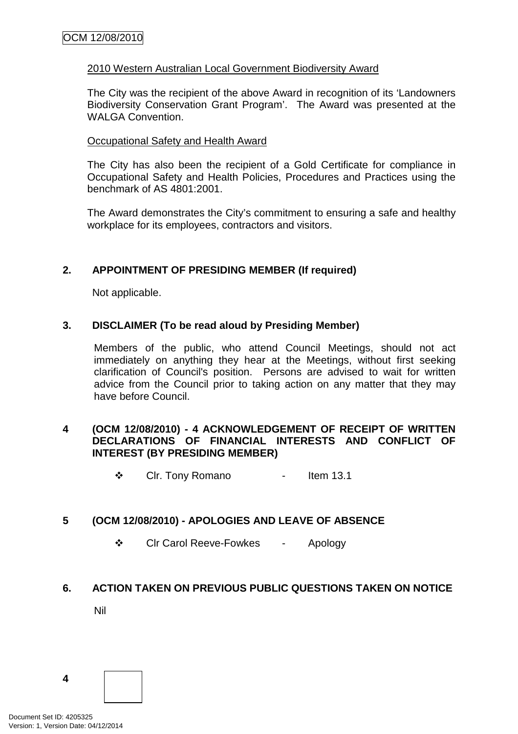### 2010 Western Australian Local Government Biodiversity Award

The City was the recipient of the above Award in recognition of its 'Landowners Biodiversity Conservation Grant Program'. The Award was presented at the WALGA Convention.

### Occupational Safety and Health Award

The City has also been the recipient of a Gold Certificate for compliance in Occupational Safety and Health Policies, Procedures and Practices using the benchmark of AS 4801:2001.

The Award demonstrates the City's commitment to ensuring a safe and healthy workplace for its employees, contractors and visitors.

# **2. APPOINTMENT OF PRESIDING MEMBER (If required)**

Not applicable.

### **3. DISCLAIMER (To be read aloud by Presiding Member)**

Members of the public, who attend Council Meetings, should not act immediately on anything they hear at the Meetings, without first seeking clarification of Council's position. Persons are advised to wait for written advice from the Council prior to taking action on any matter that they may have before Council.

### **4 (OCM 12/08/2010) - 4 ACKNOWLEDGEMENT OF RECEIPT OF WRITTEN DECLARATIONS OF FINANCIAL INTERESTS AND CONFLICT OF INTEREST (BY PRESIDING MEMBER)**

Clr. Tony Romano - Item 13.1

# **5 (OCM 12/08/2010) - APOLOGIES AND LEAVE OF ABSENCE**

**❖** Clr Carol Reeve-Fowkes - Apology

# **6. ACTION TAKEN ON PREVIOUS PUBLIC QUESTIONS TAKEN ON NOTICE**

Nil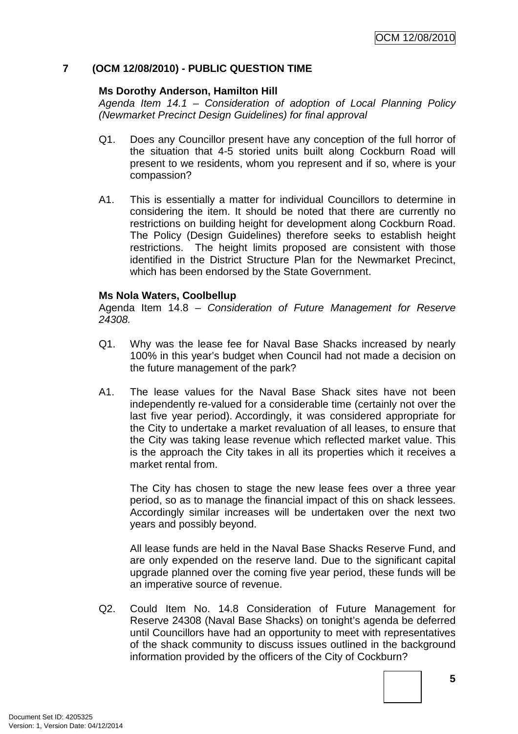### **7 (OCM 12/08/2010) - PUBLIC QUESTION TIME**

#### **Ms Dorothy Anderson, Hamilton Hill**

Agenda Item 14.1 – Consideration of adoption of Local Planning Policy (Newmarket Precinct Design Guidelines) for final approval

- Q1. Does any Councillor present have any conception of the full horror of the situation that 4-5 storied units built along Cockburn Road will present to we residents, whom you represent and if so, where is your compassion?
- A1. This is essentially a matter for individual Councillors to determine in considering the item. It should be noted that there are currently no restrictions on building height for development along Cockburn Road. The Policy (Design Guidelines) therefore seeks to establish height restrictions. The height limits proposed are consistent with those identified in the District Structure Plan for the Newmarket Precinct, which has been endorsed by the State Government.

#### **Ms Nola Waters, Coolbellup**

Agenda Item 14.8 – Consideration of Future Management for Reserve 24308.

- Q1. Why was the lease fee for Naval Base Shacks increased by nearly 100% in this year's budget when Council had not made a decision on the future management of the park?
- A1. The lease values for the Naval Base Shack sites have not been independently re-valued for a considerable time (certainly not over the last five year period). Accordingly, it was considered appropriate for the City to undertake a market revaluation of all leases, to ensure that the City was taking lease revenue which reflected market value. This is the approach the City takes in all its properties which it receives a market rental from.

The City has chosen to stage the new lease fees over a three year period, so as to manage the financial impact of this on shack lessees. Accordingly similar increases will be undertaken over the next two years and possibly beyond.

All lease funds are held in the Naval Base Shacks Reserve Fund, and are only expended on the reserve land. Due to the significant capital upgrade planned over the coming five year period, these funds will be an imperative source of revenue.

Q2. Could Item No. 14.8 Consideration of Future Management for Reserve 24308 (Naval Base Shacks) on tonight's agenda be deferred until Councillors have had an opportunity to meet with representatives of the shack community to discuss issues outlined in the background information provided by the officers of the City of Cockburn?

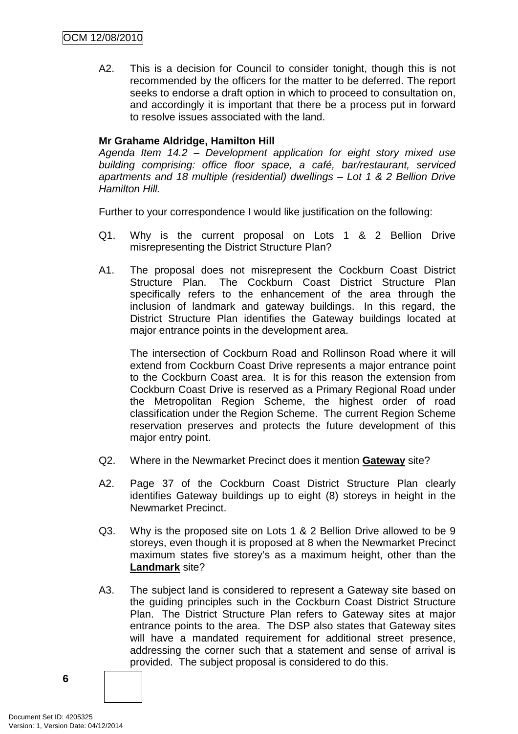A2. This is a decision for Council to consider tonight, though this is not recommended by the officers for the matter to be deferred. The report seeks to endorse a draft option in which to proceed to consultation on, and accordingly it is important that there be a process put in forward to resolve issues associated with the land.

# **Mr Grahame Aldridge, Hamilton Hill**

Agenda Item 14.2 – Development application for eight story mixed use building comprising: office floor space, a café, bar/restaurant, serviced apartments and 18 multiple (residential) dwellings – Lot 1 & 2 Bellion Drive Hamilton Hill.

Further to your correspondence I would like justification on the following:

- Q1. Why is the current proposal on Lots 1 & 2 Bellion Drive misrepresenting the District Structure Plan?
- A1. The proposal does not misrepresent the Cockburn Coast District Structure Plan. The Cockburn Coast District Structure Plan specifically refers to the enhancement of the area through the inclusion of landmark and gateway buildings. In this regard, the District Structure Plan identifies the Gateway buildings located at major entrance points in the development area.

The intersection of Cockburn Road and Rollinson Road where it will extend from Cockburn Coast Drive represents a major entrance point to the Cockburn Coast area. It is for this reason the extension from Cockburn Coast Drive is reserved as a Primary Regional Road under the Metropolitan Region Scheme, the highest order of road classification under the Region Scheme. The current Region Scheme reservation preserves and protects the future development of this major entry point.

- Q2. Where in the Newmarket Precinct does it mention **Gateway** site?
- A2. Page 37 of the Cockburn Coast District Structure Plan clearly identifies Gateway buildings up to eight (8) storeys in height in the Newmarket Precinct.
- Q3. Why is the proposed site on Lots 1 & 2 Bellion Drive allowed to be 9 storeys, even though it is proposed at 8 when the Newmarket Precinct maximum states five storey's as a maximum height, other than the **Landmark** site?
- A3. The subject land is considered to represent a Gateway site based on the guiding principles such in the Cockburn Coast District Structure Plan. The District Structure Plan refers to Gateway sites at major entrance points to the area. The DSP also states that Gateway sites will have a mandated requirement for additional street presence, addressing the corner such that a statement and sense of arrival is provided. The subject proposal is considered to do this.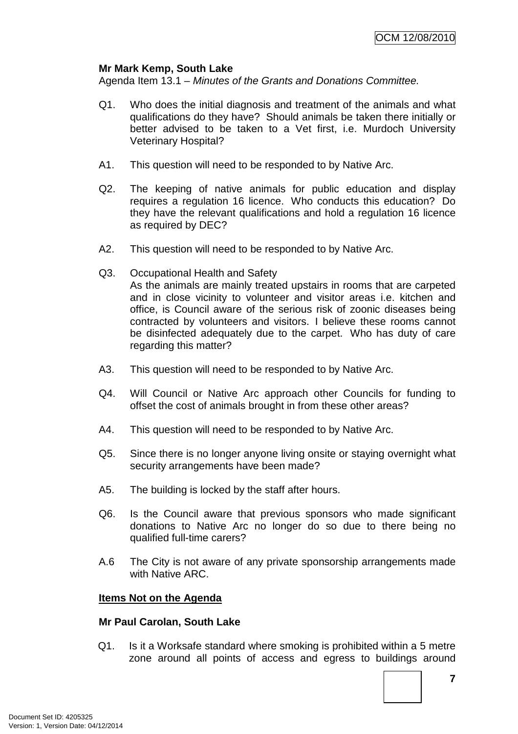### **Mr Mark Kemp, South Lake**

Agenda Item 13.1 – Minutes of the Grants and Donations Committee.

- Q1. Who does the initial diagnosis and treatment of the animals and what qualifications do they have? Should animals be taken there initially or better advised to be taken to a Vet first, i.e. Murdoch University Veterinary Hospital?
- A1. This question will need to be responded to by Native Arc.
- Q2. The keeping of native animals for public education and display requires a regulation 16 licence. Who conducts this education? Do they have the relevant qualifications and hold a regulation 16 licence as required by DEC?
- A2. This question will need to be responded to by Native Arc.
- Q3. Occupational Health and Safety As the animals are mainly treated upstairs in rooms that are carpeted and in close vicinity to volunteer and visitor areas i.e. kitchen and office, is Council aware of the serious risk of zoonic diseases being contracted by volunteers and visitors. I believe these rooms cannot be disinfected adequately due to the carpet. Who has duty of care regarding this matter?
- A3. This question will need to be responded to by Native Arc.
- Q4. Will Council or Native Arc approach other Councils for funding to offset the cost of animals brought in from these other areas?
- A4. This question will need to be responded to by Native Arc.
- Q5. Since there is no longer anyone living onsite or staying overnight what security arrangements have been made?
- A5. The building is locked by the staff after hours.
- Q6. Is the Council aware that previous sponsors who made significant donations to Native Arc no longer do so due to there being no qualified full-time carers?
- A.6 The City is not aware of any private sponsorship arrangements made with Native ARC.

#### **Items Not on the Agenda**

#### **Mr Paul Carolan, South Lake**

Q1. Is it a Worksafe standard where smoking is prohibited within a 5 metre zone around all points of access and egress to buildings around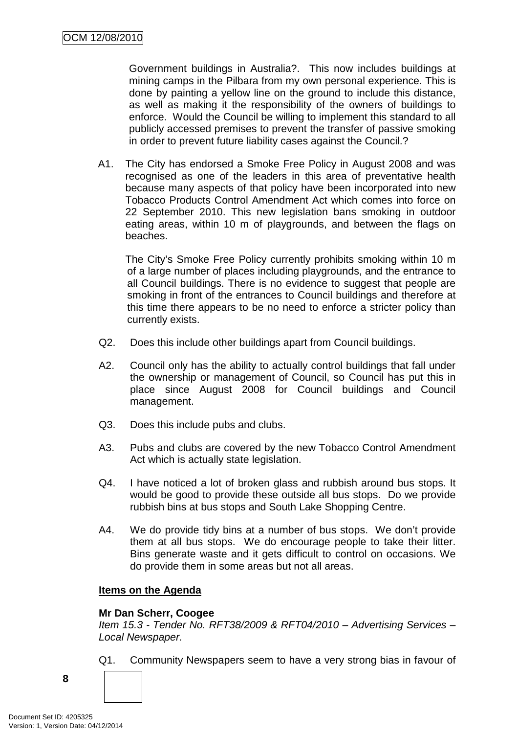Government buildings in Australia?. This now includes buildings at mining camps in the Pilbara from my own personal experience. This is done by painting a yellow line on the ground to include this distance, as well as making it the responsibility of the owners of buildings to enforce. Would the Council be willing to implement this standard to all publicly accessed premises to prevent the transfer of passive smoking in order to prevent future liability cases against the Council.?

A1. The City has endorsed a Smoke Free Policy in August 2008 and was recognised as one of the leaders in this area of preventative health because many aspects of that policy have been incorporated into new Tobacco Products Control Amendment Act which comes into force on 22 September 2010. This new legislation bans smoking in outdoor eating areas, within 10 m of playgrounds, and between the flags on beaches.

The City's Smoke Free Policy currently prohibits smoking within 10 m of a large number of places including playgrounds, and the entrance to all Council buildings. There is no evidence to suggest that people are smoking in front of the entrances to Council buildings and therefore at this time there appears to be no need to enforce a stricter policy than currently exists.

- Q2. Does this include other buildings apart from Council buildings.
- A2. Council only has the ability to actually control buildings that fall under the ownership or management of Council, so Council has put this in place since August 2008 for Council buildings and Council management.
- Q3. Does this include pubs and clubs.
- A3. Pubs and clubs are covered by the new Tobacco Control Amendment Act which is actually state legislation.
- Q4. I have noticed a lot of broken glass and rubbish around bus stops. It would be good to provide these outside all bus stops. Do we provide rubbish bins at bus stops and South Lake Shopping Centre.
- A4. We do provide tidy bins at a number of bus stops. We don't provide them at all bus stops. We do encourage people to take their litter. Bins generate waste and it gets difficult to control on occasions. We do provide them in some areas but not all areas.

### **Items on the Agenda**

### **Mr Dan Scherr, Coogee**

Item 15.3 - Tender No. RFT38/2009 & RFT04/2010 – Advertising Services – Local Newspaper.

Q1. Community Newspapers seem to have a very strong bias in favour of

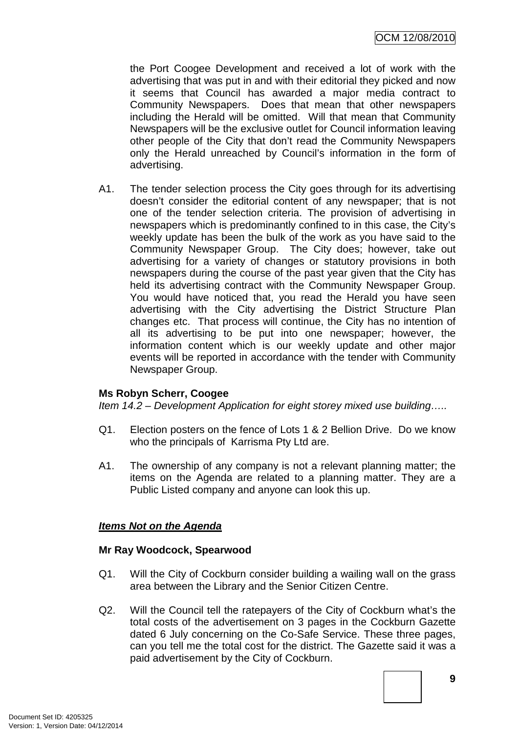the Port Coogee Development and received a lot of work with the advertising that was put in and with their editorial they picked and now it seems that Council has awarded a major media contract to Community Newspapers. Does that mean that other newspapers including the Herald will be omitted. Will that mean that Community Newspapers will be the exclusive outlet for Council information leaving other people of the City that don't read the Community Newspapers only the Herald unreached by Council's information in the form of advertising.

A1. The tender selection process the City goes through for its advertising doesn't consider the editorial content of any newspaper; that is not one of the tender selection criteria. The provision of advertising in newspapers which is predominantly confined to in this case, the City's weekly update has been the bulk of the work as you have said to the Community Newspaper Group. The City does; however, take out advertising for a variety of changes or statutory provisions in both newspapers during the course of the past year given that the City has held its advertising contract with the Community Newspaper Group. You would have noticed that, you read the Herald you have seen advertising with the City advertising the District Structure Plan changes etc. That process will continue, the City has no intention of all its advertising to be put into one newspaper; however, the information content which is our weekly update and other major events will be reported in accordance with the tender with Community Newspaper Group.

# **Ms Robyn Scherr, Coogee**

Item 14.2 – Development Application for eight storey mixed use building…..

- Q1. Election posters on the fence of Lots 1 & 2 Bellion Drive. Do we know who the principals of Karrisma Pty Ltd are.
- A1. The ownership of any company is not a relevant planning matter; the items on the Agenda are related to a planning matter. They are a Public Listed company and anyone can look this up.

# **Items Not on the Agenda**

### **Mr Ray Woodcock, Spearwood**

- Q1. Will the City of Cockburn consider building a wailing wall on the grass area between the Library and the Senior Citizen Centre.
- Q2. Will the Council tell the ratepayers of the City of Cockburn what's the total costs of the advertisement on 3 pages in the Cockburn Gazette dated 6 July concerning on the Co-Safe Service. These three pages, can you tell me the total cost for the district. The Gazette said it was a paid advertisement by the City of Cockburn.

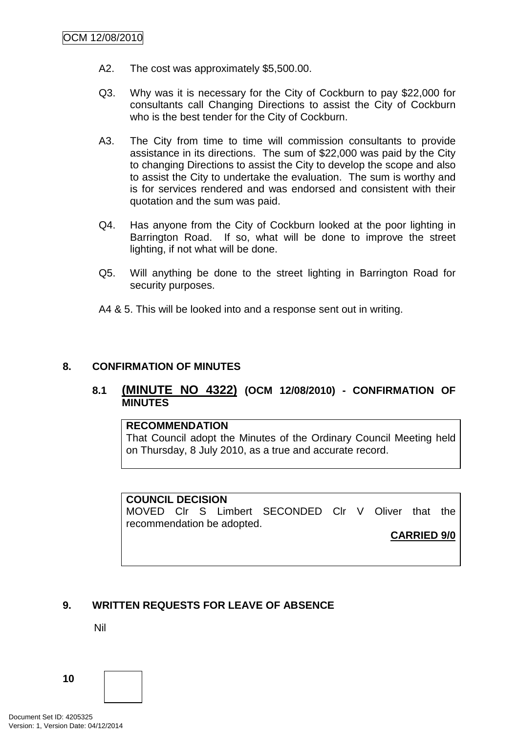- A2. The cost was approximately \$5,500.00.
- Q3. Why was it is necessary for the City of Cockburn to pay \$22,000 for consultants call Changing Directions to assist the City of Cockburn who is the best tender for the City of Cockburn.
- A3. The City from time to time will commission consultants to provide assistance in its directions. The sum of \$22,000 was paid by the City to changing Directions to assist the City to develop the scope and also to assist the City to undertake the evaluation. The sum is worthy and is for services rendered and was endorsed and consistent with their quotation and the sum was paid.
- Q4. Has anyone from the City of Cockburn looked at the poor lighting in Barrington Road. If so, what will be done to improve the street lighting, if not what will be done.
- Q5. Will anything be done to the street lighting in Barrington Road for security purposes.

A4 & 5. This will be looked into and a response sent out in writing.

### **8. CONFIRMATION OF MINUTES**

### **8.1 (MINUTE NO 4322) (OCM 12/08/2010) - CONFIRMATION OF MINUTES**

#### **RECOMMENDATION**

That Council adopt the Minutes of the Ordinary Council Meeting held on Thursday, 8 July 2010, as a true and accurate record.

#### **COUNCIL DECISION**

MOVED Clr S Limbert SECONDED Clr V Oliver that the recommendation be adopted.

**CARRIED 9/0**

### **9. WRITTEN REQUESTS FOR LEAVE OF ABSENCE**

Nil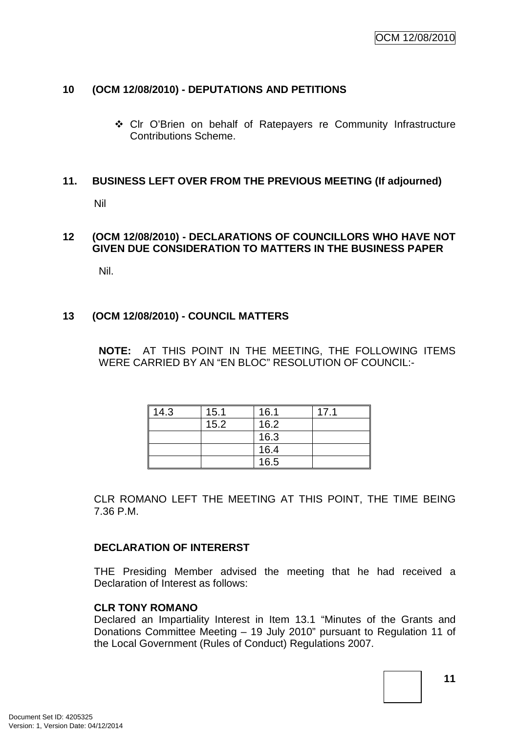# **10 (OCM 12/08/2010) - DEPUTATIONS AND PETITIONS**

 Clr O'Brien on behalf of Ratepayers re Community Infrastructure Contributions Scheme.

### **11. BUSINESS LEFT OVER FROM THE PREVIOUS MEETING (If adjourned)**

Nil

# **12 (OCM 12/08/2010) - DECLARATIONS OF COUNCILLORS WHO HAVE NOT GIVEN DUE CONSIDERATION TO MATTERS IN THE BUSINESS PAPER**

Nil.

### **13 (OCM 12/08/2010) - COUNCIL MATTERS**

**NOTE:** AT THIS POINT IN THE MEETING, THE FOLLOWING ITEMS WERE CARRIED BY AN "EN BLOC" RESOLUTION OF COUNCIL:-

| 14.3 | 15.1 | 16.1 | 17.1 |
|------|------|------|------|
|      | 15.2 | 16.2 |      |
|      |      | 16.3 |      |
|      |      | 16.4 |      |
|      |      | 16.5 |      |

CLR ROMANO LEFT THE MEETING AT THIS POINT, THE TIME BEING 7.36 P.M.

### **DECLARATION OF INTERERST**

THE Presiding Member advised the meeting that he had received a Declaration of Interest as follows:

### **CLR TONY ROMANO**

Declared an Impartiality Interest in Item 13.1 "Minutes of the Grants and Donations Committee Meeting – 19 July 2010" pursuant to Regulation 11 of the Local Government (Rules of Conduct) Regulations 2007.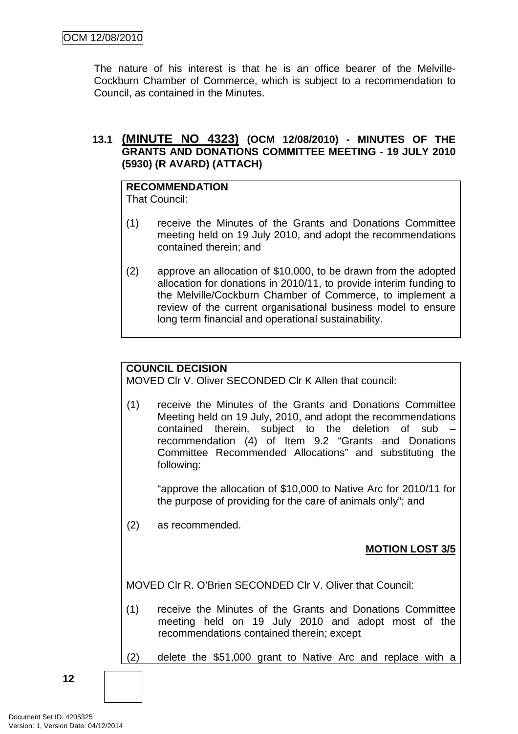The nature of his interest is that he is an office bearer of the Melville-Cockburn Chamber of Commerce, which is subject to a recommendation to Council, as contained in the Minutes.

# **13.1 (MINUTE NO 4323) (OCM 12/08/2010) - MINUTES OF THE GRANTS AND DONATIONS COMMITTEE MEETING - 19 JULY 2010 (5930) (R AVARD) (ATTACH)**

#### **RECOMMENDATION** That Council:

- (1) receive the Minutes of the Grants and Donations Committee meeting held on 19 July 2010, and adopt the recommendations contained therein; and
- (2) approve an allocation of \$10,000, to be drawn from the adopted allocation for donations in 2010/11, to provide interim funding to the Melville/Cockburn Chamber of Commerce, to implement a review of the current organisational business model to ensure long term financial and operational sustainability.

# **COUNCIL DECISION**

MOVED Clr V. Oliver SECONDED Clr K Allen that council:

(1) receive the Minutes of the Grants and Donations Committee Meeting held on 19 July, 2010, and adopt the recommendations contained therein, subject to the deletion of sub – recommendation (4) of Item 9.2 "Grants and Donations Committee Recommended Allocations" and substituting the following:

"approve the allocation of \$10,000 to Native Arc for 2010/11 for the purpose of providing for the care of animals only"; and

(2) as recommended.

# **MOTION LOST 3/5**

MOVED Clr R. O'Brien SECONDED Clr V. Oliver that Council:

- (1) receive the Minutes of the Grants and Donations Committee meeting held on 19 July 2010 and adopt most of the recommendations contained therein; except
- (2) delete the \$51,000 grant to Native Arc and replace with a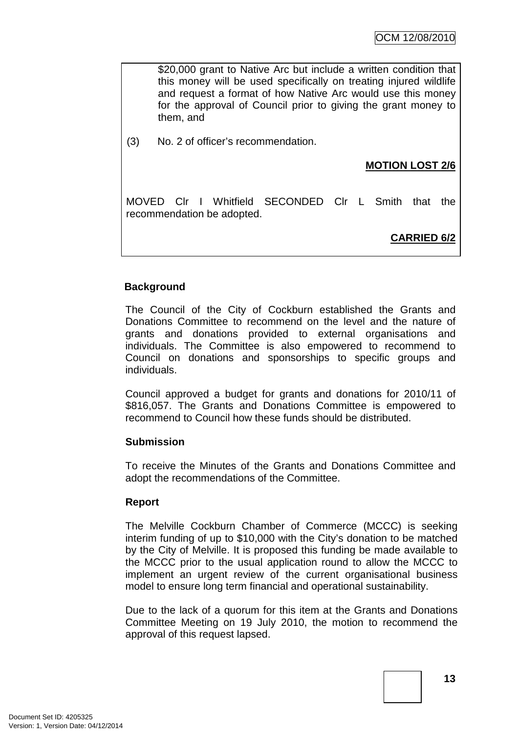\$20,000 grant to Native Arc but include a written condition that this money will be used specifically on treating injured wildlife and request a format of how Native Arc would use this money for the approval of Council prior to giving the grant money to them, and

(3) No. 2 of officer's recommendation.

# **MOTION LOST 2/6**

MOVED Clr I Whitfield SECONDED Clr L Smith that the recommendation be adopted.

**CARRIED 6/2**

# **Background**

The Council of the City of Cockburn established the Grants and Donations Committee to recommend on the level and the nature of grants and donations provided to external organisations and individuals. The Committee is also empowered to recommend to Council on donations and sponsorships to specific groups and individuals.

Council approved a budget for grants and donations for 2010/11 of \$816,057. The Grants and Donations Committee is empowered to recommend to Council how these funds should be distributed.

### **Submission**

To receive the Minutes of the Grants and Donations Committee and adopt the recommendations of the Committee.

### **Report**

The Melville Cockburn Chamber of Commerce (MCCC) is seeking interim funding of up to \$10,000 with the City's donation to be matched by the City of Melville. It is proposed this funding be made available to the MCCC prior to the usual application round to allow the MCCC to implement an urgent review of the current organisational business model to ensure long term financial and operational sustainability.

Due to the lack of a quorum for this item at the Grants and Donations Committee Meeting on 19 July 2010, the motion to recommend the approval of this request lapsed.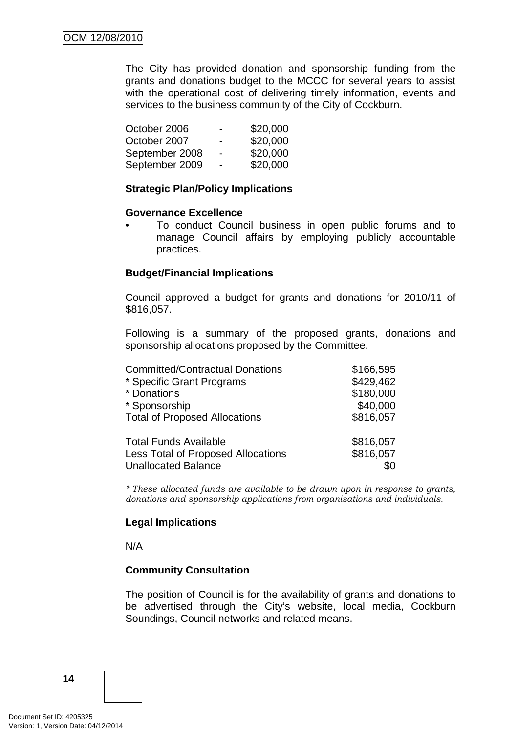The City has provided donation and sponsorship funding from the grants and donations budget to the MCCC for several years to assist with the operational cost of delivering timely information, events and services to the business community of the City of Cockburn.

| October 2006   |                          | \$20,000 |
|----------------|--------------------------|----------|
| October 2007   |                          | \$20,000 |
| September 2008 | $\overline{\phantom{0}}$ | \$20,000 |
| September 2009 |                          | \$20,000 |

#### **Strategic Plan/Policy Implications**

#### **Governance Excellence**

• To conduct Council business in open public forums and to manage Council affairs by employing publicly accountable practices.

### **Budget/Financial Implications**

Council approved a budget for grants and donations for 2010/11 of \$816,057.

Following is a summary of the proposed grants, donations and sponsorship allocations proposed by the Committee.

| <b>Committed/Contractual Donations</b>    | \$166,595 |
|-------------------------------------------|-----------|
| * Specific Grant Programs                 | \$429,462 |
| * Donations                               | \$180,000 |
| * Sponsorship                             | \$40,000  |
| <b>Total of Proposed Allocations</b>      | \$816,057 |
| <b>Total Funds Available</b>              | \$816,057 |
| <b>Less Total of Proposed Allocations</b> | \$816,057 |
| <b>Unallocated Balance</b>                |           |

\* These allocated funds are available to be drawn upon in response to grants, donations and sponsorship applications from organisations and individuals.

### **Legal Implications**

N/A

### **Community Consultation**

The position of Council is for the availability of grants and donations to be advertised through the City's website, local media, Cockburn Soundings, Council networks and related means.

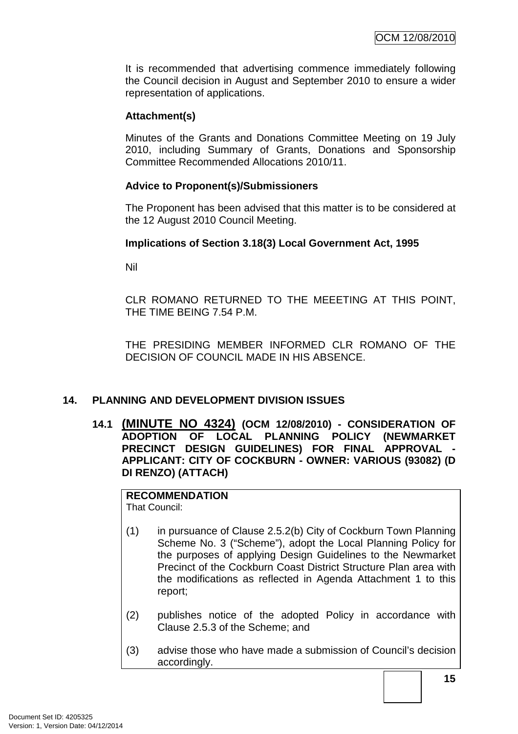It is recommended that advertising commence immediately following the Council decision in August and September 2010 to ensure a wider representation of applications.

# **Attachment(s)**

Minutes of the Grants and Donations Committee Meeting on 19 July 2010, including Summary of Grants, Donations and Sponsorship Committee Recommended Allocations 2010/11.

### **Advice to Proponent(s)/Submissioners**

The Proponent has been advised that this matter is to be considered at the 12 August 2010 Council Meeting.

### **Implications of Section 3.18(3) Local Government Act, 1995**

Nil

CLR ROMANO RETURNED TO THE MEEETING AT THIS POINT, THE TIME BEING 7.54 P.M.

THE PRESIDING MEMBER INFORMED CLR ROMANO OF THE DECISION OF COUNCIL MADE IN HIS ABSENCE.

# **14. PLANNING AND DEVELOPMENT DIVISION ISSUES**

**14.1 (MINUTE NO 4324) (OCM 12/08/2010) - CONSIDERATION OF ADOPTION OF LOCAL PLANNING POLICY (NEWMARKET**  PRECINCT DESIGN GUIDELINES) FOR FINAL APPROVAL **APPLICANT: CITY OF COCKBURN - OWNER: VARIOUS (93082) (D DI RENZO) (ATTACH)** 

# **RECOMMENDATION**

That Council:

- (1) in pursuance of Clause 2.5.2(b) City of Cockburn Town Planning Scheme No. 3 ("Scheme"), adopt the Local Planning Policy for the purposes of applying Design Guidelines to the Newmarket Precinct of the Cockburn Coast District Structure Plan area with the modifications as reflected in Agenda Attachment 1 to this report;
- (2) publishes notice of the adopted Policy in accordance with Clause 2.5.3 of the Scheme; and
- (3) advise those who have made a submission of Council's decision accordingly.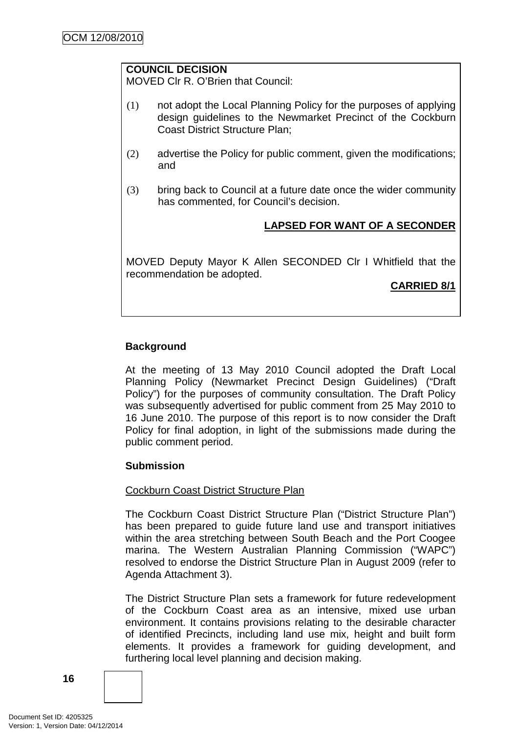# **COUNCIL DECISION**

MOVED Clr R. O'Brien that Council:

- (1) not adopt the Local Planning Policy for the purposes of applying design guidelines to the Newmarket Precinct of the Cockburn Coast District Structure Plan;
- (2) advertise the Policy for public comment, given the modifications; and
- (3) bring back to Council at a future date once the wider community has commented, for Council's decision.

# **LAPSED FOR WANT OF A SECONDER**

MOVED Deputy Mayor K Allen SECONDED Clr I Whitfield that the recommendation be adopted.

**CARRIED 8/1**

# **Background**

At the meeting of 13 May 2010 Council adopted the Draft Local Planning Policy (Newmarket Precinct Design Guidelines) ("Draft Policy") for the purposes of community consultation. The Draft Policy was subsequently advertised for public comment from 25 May 2010 to 16 June 2010. The purpose of this report is to now consider the Draft Policy for final adoption, in light of the submissions made during the public comment period.

# **Submission**

### Cockburn Coast District Structure Plan

The Cockburn Coast District Structure Plan ("District Structure Plan") has been prepared to guide future land use and transport initiatives within the area stretching between South Beach and the Port Coogee marina. The Western Australian Planning Commission ("WAPC") resolved to endorse the District Structure Plan in August 2009 (refer to Agenda Attachment 3).

The District Structure Plan sets a framework for future redevelopment of the Cockburn Coast area as an intensive, mixed use urban environment. It contains provisions relating to the desirable character of identified Precincts, including land use mix, height and built form elements. It provides a framework for guiding development, and furthering local level planning and decision making.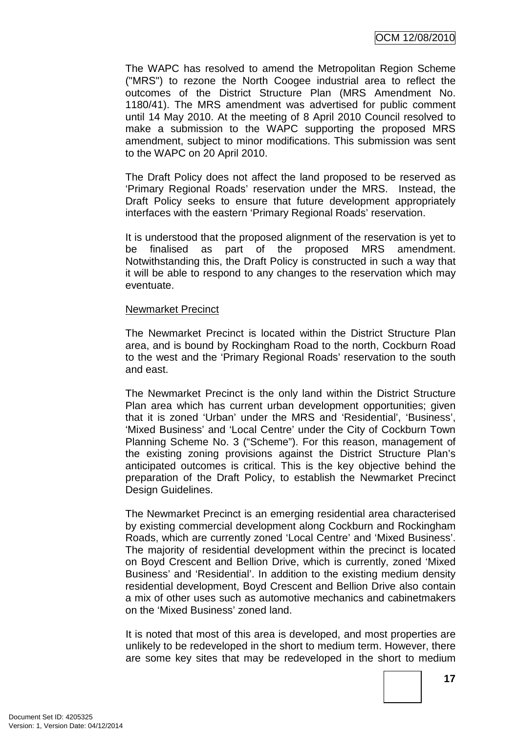The WAPC has resolved to amend the Metropolitan Region Scheme ("MRS") to rezone the North Coogee industrial area to reflect the outcomes of the District Structure Plan (MRS Amendment No. 1180/41). The MRS amendment was advertised for public comment until 14 May 2010. At the meeting of 8 April 2010 Council resolved to make a submission to the WAPC supporting the proposed MRS amendment, subject to minor modifications. This submission was sent to the WAPC on 20 April 2010.

The Draft Policy does not affect the land proposed to be reserved as 'Primary Regional Roads' reservation under the MRS. Instead, the Draft Policy seeks to ensure that future development appropriately interfaces with the eastern 'Primary Regional Roads' reservation.

It is understood that the proposed alignment of the reservation is yet to be finalised as part of the proposed MRS amendment. Notwithstanding this, the Draft Policy is constructed in such a way that it will be able to respond to any changes to the reservation which may eventuate.

#### Newmarket Precinct

The Newmarket Precinct is located within the District Structure Plan area, and is bound by Rockingham Road to the north, Cockburn Road to the west and the 'Primary Regional Roads' reservation to the south and east.

The Newmarket Precinct is the only land within the District Structure Plan area which has current urban development opportunities; given that it is zoned 'Urban' under the MRS and 'Residential', 'Business', 'Mixed Business' and 'Local Centre' under the City of Cockburn Town Planning Scheme No. 3 ("Scheme"). For this reason, management of the existing zoning provisions against the District Structure Plan's anticipated outcomes is critical. This is the key objective behind the preparation of the Draft Policy, to establish the Newmarket Precinct Design Guidelines.

The Newmarket Precinct is an emerging residential area characterised by existing commercial development along Cockburn and Rockingham Roads, which are currently zoned 'Local Centre' and 'Mixed Business'. The majority of residential development within the precinct is located on Boyd Crescent and Bellion Drive, which is currently, zoned 'Mixed Business' and 'Residential'. In addition to the existing medium density residential development, Boyd Crescent and Bellion Drive also contain a mix of other uses such as automotive mechanics and cabinetmakers on the 'Mixed Business' zoned land.

It is noted that most of this area is developed, and most properties are unlikely to be redeveloped in the short to medium term. However, there are some key sites that may be redeveloped in the short to medium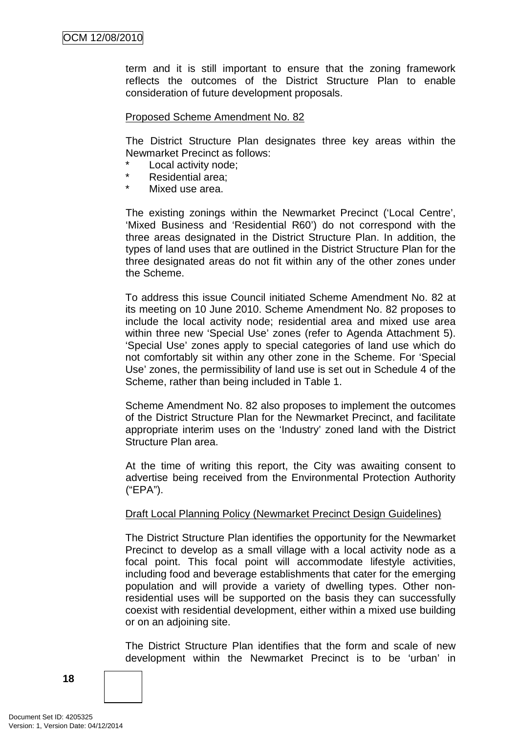term and it is still important to ensure that the zoning framework reflects the outcomes of the District Structure Plan to enable consideration of future development proposals.

### Proposed Scheme Amendment No. 82

The District Structure Plan designates three key areas within the Newmarket Precinct as follows:

- Local activity node;
- Residential area:
- \* Mixed use area.

The existing zonings within the Newmarket Precinct ('Local Centre', 'Mixed Business and 'Residential R60') do not correspond with the three areas designated in the District Structure Plan. In addition, the types of land uses that are outlined in the District Structure Plan for the three designated areas do not fit within any of the other zones under the Scheme.

To address this issue Council initiated Scheme Amendment No. 82 at its meeting on 10 June 2010. Scheme Amendment No. 82 proposes to include the local activity node; residential area and mixed use area within three new 'Special Use' zones (refer to Agenda Attachment 5). 'Special Use' zones apply to special categories of land use which do not comfortably sit within any other zone in the Scheme. For 'Special Use' zones, the permissibility of land use is set out in Schedule 4 of the Scheme, rather than being included in Table 1.

Scheme Amendment No. 82 also proposes to implement the outcomes of the District Structure Plan for the Newmarket Precinct, and facilitate appropriate interim uses on the 'Industry' zoned land with the District Structure Plan area.

At the time of writing this report, the City was awaiting consent to advertise being received from the Environmental Protection Authority ("EPA").

### Draft Local Planning Policy (Newmarket Precinct Design Guidelines)

The District Structure Plan identifies the opportunity for the Newmarket Precinct to develop as a small village with a local activity node as a focal point. This focal point will accommodate lifestyle activities, including food and beverage establishments that cater for the emerging population and will provide a variety of dwelling types. Other nonresidential uses will be supported on the basis they can successfully coexist with residential development, either within a mixed use building or on an adjoining site.

The District Structure Plan identifies that the form and scale of new development within the Newmarket Precinct is to be 'urban' in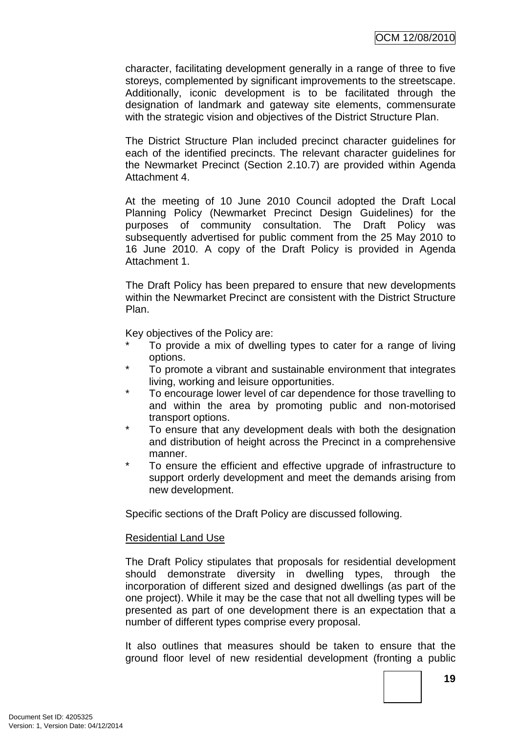character, facilitating development generally in a range of three to five storeys, complemented by significant improvements to the streetscape. Additionally, iconic development is to be facilitated through the designation of landmark and gateway site elements, commensurate with the strategic vision and objectives of the District Structure Plan.

The District Structure Plan included precinct character guidelines for each of the identified precincts. The relevant character guidelines for the Newmarket Precinct (Section 2.10.7) are provided within Agenda Attachment 4.

At the meeting of 10 June 2010 Council adopted the Draft Local Planning Policy (Newmarket Precinct Design Guidelines) for the purposes of community consultation. The Draft Policy was subsequently advertised for public comment from the 25 May 2010 to 16 June 2010. A copy of the Draft Policy is provided in Agenda Attachment 1.

The Draft Policy has been prepared to ensure that new developments within the Newmarket Precinct are consistent with the District Structure Plan.

Key objectives of the Policy are:

- To provide a mix of dwelling types to cater for a range of living options.
- \* To promote a vibrant and sustainable environment that integrates living, working and leisure opportunities.
- To encourage lower level of car dependence for those travelling to and within the area by promoting public and non-motorised transport options.
- \* To ensure that any development deals with both the designation and distribution of height across the Precinct in a comprehensive manner.
- To ensure the efficient and effective upgrade of infrastructure to support orderly development and meet the demands arising from new development.

Specific sections of the Draft Policy are discussed following.

### Residential Land Use

The Draft Policy stipulates that proposals for residential development should demonstrate diversity in dwelling types, through the incorporation of different sized and designed dwellings (as part of the one project). While it may be the case that not all dwelling types will be presented as part of one development there is an expectation that a number of different types comprise every proposal.

It also outlines that measures should be taken to ensure that the ground floor level of new residential development (fronting a public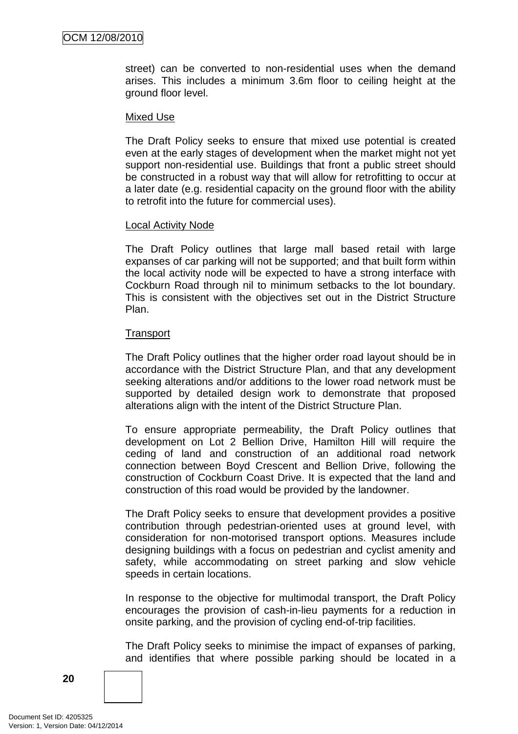street) can be converted to non-residential uses when the demand arises. This includes a minimum 3.6m floor to ceiling height at the ground floor level.

#### Mixed Use

The Draft Policy seeks to ensure that mixed use potential is created even at the early stages of development when the market might not yet support non-residential use. Buildings that front a public street should be constructed in a robust way that will allow for retrofitting to occur at a later date (e.g. residential capacity on the ground floor with the ability to retrofit into the future for commercial uses).

#### Local Activity Node

The Draft Policy outlines that large mall based retail with large expanses of car parking will not be supported; and that built form within the local activity node will be expected to have a strong interface with Cockburn Road through nil to minimum setbacks to the lot boundary. This is consistent with the objectives set out in the District Structure Plan.

### **Transport**

The Draft Policy outlines that the higher order road layout should be in accordance with the District Structure Plan, and that any development seeking alterations and/or additions to the lower road network must be supported by detailed design work to demonstrate that proposed alterations align with the intent of the District Structure Plan.

To ensure appropriate permeability, the Draft Policy outlines that development on Lot 2 Bellion Drive, Hamilton Hill will require the ceding of land and construction of an additional road network connection between Boyd Crescent and Bellion Drive, following the construction of Cockburn Coast Drive. It is expected that the land and construction of this road would be provided by the landowner.

The Draft Policy seeks to ensure that development provides a positive contribution through pedestrian-oriented uses at ground level, with consideration for non-motorised transport options. Measures include designing buildings with a focus on pedestrian and cyclist amenity and safety, while accommodating on street parking and slow vehicle speeds in certain locations.

In response to the objective for multimodal transport, the Draft Policy encourages the provision of cash-in-lieu payments for a reduction in onsite parking, and the provision of cycling end-of-trip facilities.

The Draft Policy seeks to minimise the impact of expanses of parking, and identifies that where possible parking should be located in a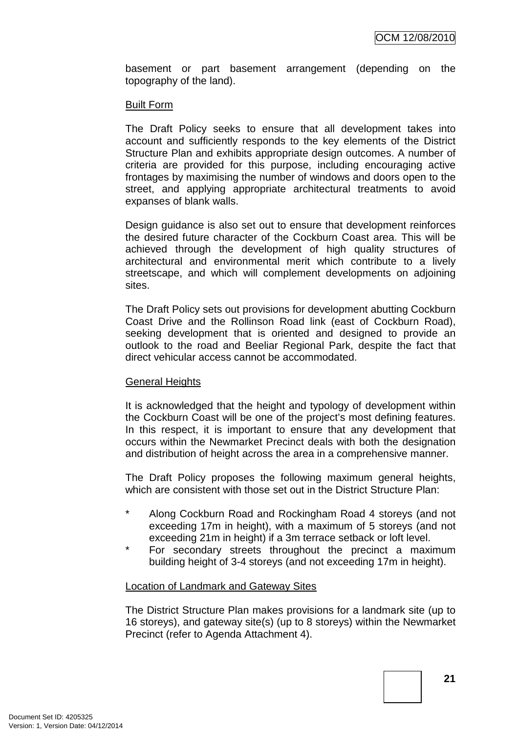basement or part basement arrangement (depending on the topography of the land).

#### Built Form

The Draft Policy seeks to ensure that all development takes into account and sufficiently responds to the key elements of the District Structure Plan and exhibits appropriate design outcomes. A number of criteria are provided for this purpose, including encouraging active frontages by maximising the number of windows and doors open to the street, and applying appropriate architectural treatments to avoid expanses of blank walls.

Design guidance is also set out to ensure that development reinforces the desired future character of the Cockburn Coast area. This will be achieved through the development of high quality structures of architectural and environmental merit which contribute to a lively streetscape, and which will complement developments on adjoining sites.

The Draft Policy sets out provisions for development abutting Cockburn Coast Drive and the Rollinson Road link (east of Cockburn Road), seeking development that is oriented and designed to provide an outlook to the road and Beeliar Regional Park, despite the fact that direct vehicular access cannot be accommodated.

### General Heights

It is acknowledged that the height and typology of development within the Cockburn Coast will be one of the project's most defining features. In this respect, it is important to ensure that any development that occurs within the Newmarket Precinct deals with both the designation and distribution of height across the area in a comprehensive manner.

The Draft Policy proposes the following maximum general heights, which are consistent with those set out in the District Structure Plan:

- \* Along Cockburn Road and Rockingham Road 4 storeys (and not exceeding 17m in height), with a maximum of 5 storeys (and not exceeding 21m in height) if a 3m terrace setback or loft level.
- \* For secondary streets throughout the precinct a maximum building height of 3-4 storeys (and not exceeding 17m in height).

#### Location of Landmark and Gateway Sites

The District Structure Plan makes provisions for a landmark site (up to 16 storeys), and gateway site(s) (up to 8 storeys) within the Newmarket Precinct (refer to Agenda Attachment 4).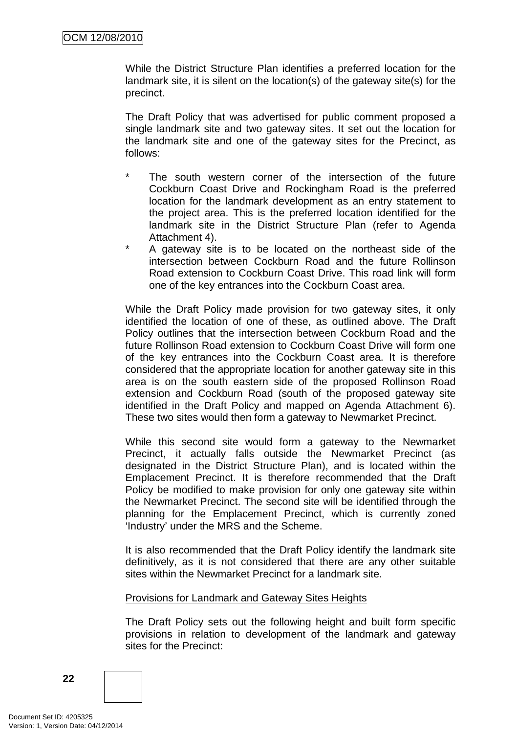While the District Structure Plan identifies a preferred location for the landmark site, it is silent on the location(s) of the gateway site(s) for the precinct.

The Draft Policy that was advertised for public comment proposed a single landmark site and two gateway sites. It set out the location for the landmark site and one of the gateway sites for the Precinct, as follows:

- The south western corner of the intersection of the future Cockburn Coast Drive and Rockingham Road is the preferred location for the landmark development as an entry statement to the project area. This is the preferred location identified for the landmark site in the District Structure Plan (refer to Agenda Attachment 4).
- A gateway site is to be located on the northeast side of the intersection between Cockburn Road and the future Rollinson Road extension to Cockburn Coast Drive. This road link will form one of the key entrances into the Cockburn Coast area.

While the Draft Policy made provision for two gateway sites, it only identified the location of one of these, as outlined above. The Draft Policy outlines that the intersection between Cockburn Road and the future Rollinson Road extension to Cockburn Coast Drive will form one of the key entrances into the Cockburn Coast area. It is therefore considered that the appropriate location for another gateway site in this area is on the south eastern side of the proposed Rollinson Road extension and Cockburn Road (south of the proposed gateway site identified in the Draft Policy and mapped on Agenda Attachment 6). These two sites would then form a gateway to Newmarket Precinct.

While this second site would form a gateway to the Newmarket Precinct, it actually falls outside the Newmarket Precinct (as designated in the District Structure Plan), and is located within the Emplacement Precinct. It is therefore recommended that the Draft Policy be modified to make provision for only one gateway site within the Newmarket Precinct. The second site will be identified through the planning for the Emplacement Precinct, which is currently zoned 'Industry' under the MRS and the Scheme.

It is also recommended that the Draft Policy identify the landmark site definitively, as it is not considered that there are any other suitable sites within the Newmarket Precinct for a landmark site.

### Provisions for Landmark and Gateway Sites Heights

The Draft Policy sets out the following height and built form specific provisions in relation to development of the landmark and gateway sites for the Precinct: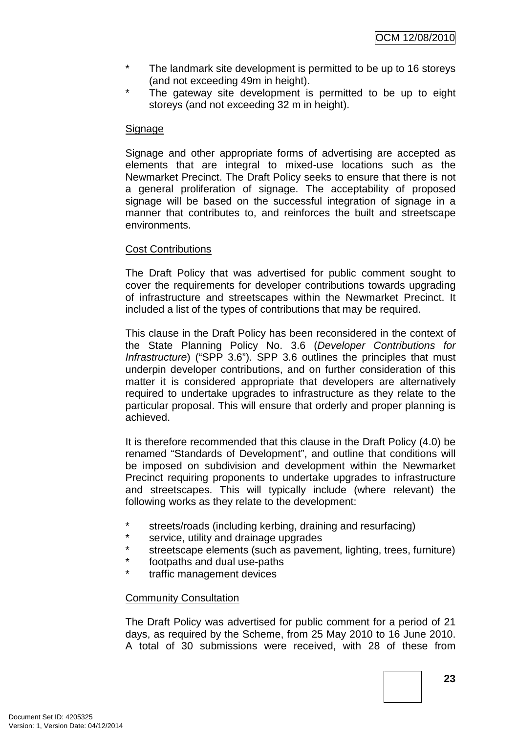- \* The landmark site development is permitted to be up to 16 storeys (and not exceeding 49m in height).
- The gateway site development is permitted to be up to eight storeys (and not exceeding 32 m in height).

#### **Signage**

Signage and other appropriate forms of advertising are accepted as elements that are integral to mixed-use locations such as the Newmarket Precinct. The Draft Policy seeks to ensure that there is not a general proliferation of signage. The acceptability of proposed signage will be based on the successful integration of signage in a manner that contributes to, and reinforces the built and streetscape environments.

### Cost Contributions

The Draft Policy that was advertised for public comment sought to cover the requirements for developer contributions towards upgrading of infrastructure and streetscapes within the Newmarket Precinct. It included a list of the types of contributions that may be required.

This clause in the Draft Policy has been reconsidered in the context of the State Planning Policy No. 3.6 (Developer Contributions for Infrastructure) ("SPP 3.6"). SPP 3.6 outlines the principles that must underpin developer contributions, and on further consideration of this matter it is considered appropriate that developers are alternatively required to undertake upgrades to infrastructure as they relate to the particular proposal. This will ensure that orderly and proper planning is achieved.

It is therefore recommended that this clause in the Draft Policy (4.0) be renamed "Standards of Development", and outline that conditions will be imposed on subdivision and development within the Newmarket Precinct requiring proponents to undertake upgrades to infrastructure and streetscapes. This will typically include (where relevant) the following works as they relate to the development:

- streets/roads (including kerbing, draining and resurfacing)
- \* service, utility and drainage upgrades
- \* streetscape elements (such as pavement, lighting, trees, furniture)
- footpaths and dual use-paths
- \* traffic management devices

#### Community Consultation

The Draft Policy was advertised for public comment for a period of 21 days, as required by the Scheme, from 25 May 2010 to 16 June 2010. A total of 30 submissions were received, with 28 of these from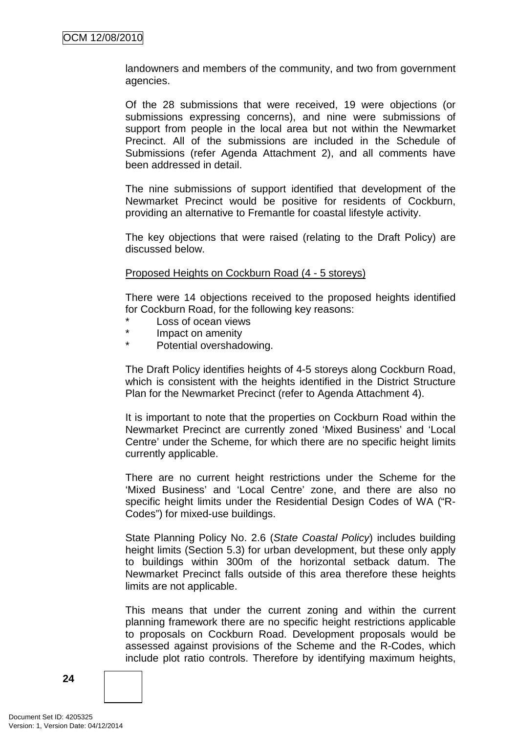landowners and members of the community, and two from government agencies.

Of the 28 submissions that were received, 19 were objections (or submissions expressing concerns), and nine were submissions of support from people in the local area but not within the Newmarket Precinct. All of the submissions are included in the Schedule of Submissions (refer Agenda Attachment 2), and all comments have been addressed in detail.

The nine submissions of support identified that development of the Newmarket Precinct would be positive for residents of Cockburn, providing an alternative to Fremantle for coastal lifestyle activity.

The key objections that were raised (relating to the Draft Policy) are discussed below.

### Proposed Heights on Cockburn Road (4 - 5 storeys)

There were 14 objections received to the proposed heights identified for Cockburn Road, for the following key reasons:

- Loss of ocean views
- Impact on amenity
- Potential overshadowing.

The Draft Policy identifies heights of 4-5 storeys along Cockburn Road, which is consistent with the heights identified in the District Structure Plan for the Newmarket Precinct (refer to Agenda Attachment 4).

It is important to note that the properties on Cockburn Road within the Newmarket Precinct are currently zoned 'Mixed Business' and 'Local Centre' under the Scheme, for which there are no specific height limits currently applicable.

There are no current height restrictions under the Scheme for the 'Mixed Business' and 'Local Centre' zone, and there are also no specific height limits under the Residential Design Codes of WA ("R-Codes") for mixed-use buildings.

State Planning Policy No. 2.6 (State Coastal Policy) includes building height limits (Section 5.3) for urban development, but these only apply to buildings within 300m of the horizontal setback datum. The Newmarket Precinct falls outside of this area therefore these heights limits are not applicable.

This means that under the current zoning and within the current planning framework there are no specific height restrictions applicable to proposals on Cockburn Road. Development proposals would be assessed against provisions of the Scheme and the R-Codes, which include plot ratio controls. Therefore by identifying maximum heights,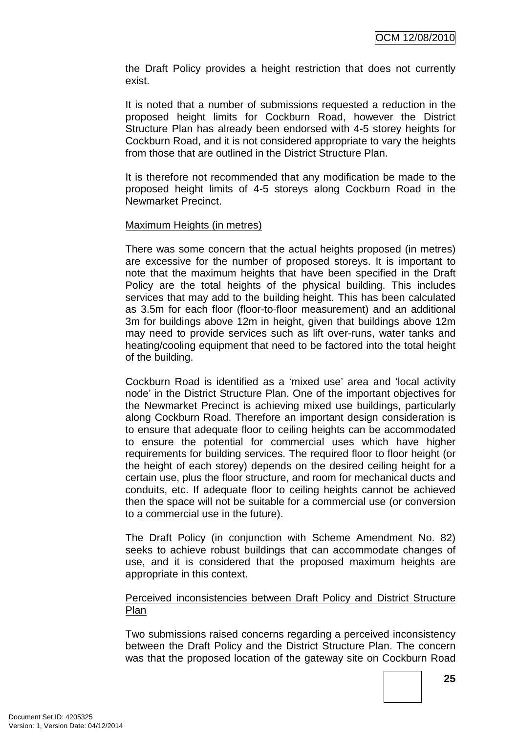the Draft Policy provides a height restriction that does not currently exist.

It is noted that a number of submissions requested a reduction in the proposed height limits for Cockburn Road, however the District Structure Plan has already been endorsed with 4-5 storey heights for Cockburn Road, and it is not considered appropriate to vary the heights from those that are outlined in the District Structure Plan.

It is therefore not recommended that any modification be made to the proposed height limits of 4-5 storeys along Cockburn Road in the Newmarket Precinct.

### Maximum Heights (in metres)

There was some concern that the actual heights proposed (in metres) are excessive for the number of proposed storeys. It is important to note that the maximum heights that have been specified in the Draft Policy are the total heights of the physical building. This includes services that may add to the building height. This has been calculated as 3.5m for each floor (floor-to-floor measurement) and an additional 3m for buildings above 12m in height, given that buildings above 12m may need to provide services such as lift over-runs, water tanks and heating/cooling equipment that need to be factored into the total height of the building.

Cockburn Road is identified as a 'mixed use' area and 'local activity node' in the District Structure Plan. One of the important objectives for the Newmarket Precinct is achieving mixed use buildings, particularly along Cockburn Road. Therefore an important design consideration is to ensure that adequate floor to ceiling heights can be accommodated to ensure the potential for commercial uses which have higher requirements for building services. The required floor to floor height (or the height of each storey) depends on the desired ceiling height for a certain use, plus the floor structure, and room for mechanical ducts and conduits, etc. If adequate floor to ceiling heights cannot be achieved then the space will not be suitable for a commercial use (or conversion to a commercial use in the future).

The Draft Policy (in conjunction with Scheme Amendment No. 82) seeks to achieve robust buildings that can accommodate changes of use, and it is considered that the proposed maximum heights are appropriate in this context.

### Perceived inconsistencies between Draft Policy and District Structure Plan

Two submissions raised concerns regarding a perceived inconsistency between the Draft Policy and the District Structure Plan. The concern was that the proposed location of the gateway site on Cockburn Road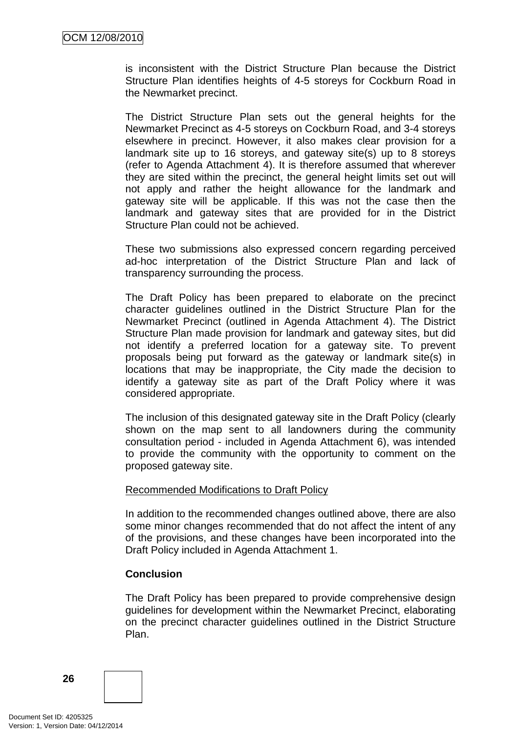is inconsistent with the District Structure Plan because the District Structure Plan identifies heights of 4-5 storeys for Cockburn Road in the Newmarket precinct.

The District Structure Plan sets out the general heights for the Newmarket Precinct as 4-5 storeys on Cockburn Road, and 3-4 storeys elsewhere in precinct. However, it also makes clear provision for a landmark site up to 16 storeys, and gateway site(s) up to 8 storeys (refer to Agenda Attachment 4). It is therefore assumed that wherever they are sited within the precinct, the general height limits set out will not apply and rather the height allowance for the landmark and gateway site will be applicable. If this was not the case then the landmark and gateway sites that are provided for in the District Structure Plan could not be achieved.

These two submissions also expressed concern regarding perceived ad-hoc interpretation of the District Structure Plan and lack of transparency surrounding the process.

The Draft Policy has been prepared to elaborate on the precinct character guidelines outlined in the District Structure Plan for the Newmarket Precinct (outlined in Agenda Attachment 4). The District Structure Plan made provision for landmark and gateway sites, but did not identify a preferred location for a gateway site. To prevent proposals being put forward as the gateway or landmark site(s) in locations that may be inappropriate, the City made the decision to identify a gateway site as part of the Draft Policy where it was considered appropriate.

The inclusion of this designated gateway site in the Draft Policy (clearly shown on the map sent to all landowners during the community consultation period - included in Agenda Attachment 6), was intended to provide the community with the opportunity to comment on the proposed gateway site.

#### Recommended Modifications to Draft Policy

In addition to the recommended changes outlined above, there are also some minor changes recommended that do not affect the intent of any of the provisions, and these changes have been incorporated into the Draft Policy included in Agenda Attachment 1.

#### **Conclusion**

The Draft Policy has been prepared to provide comprehensive design guidelines for development within the Newmarket Precinct, elaborating on the precinct character guidelines outlined in the District Structure Plan.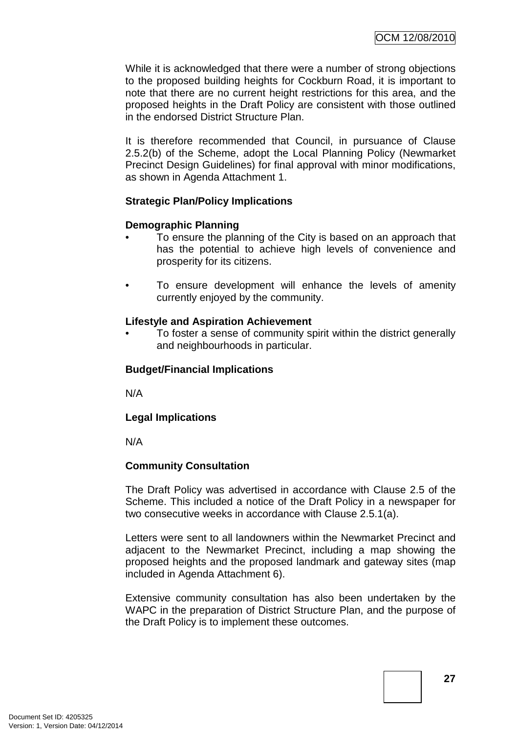While it is acknowledged that there were a number of strong objections to the proposed building heights for Cockburn Road, it is important to note that there are no current height restrictions for this area, and the proposed heights in the Draft Policy are consistent with those outlined in the endorsed District Structure Plan.

It is therefore recommended that Council, in pursuance of Clause 2.5.2(b) of the Scheme, adopt the Local Planning Policy (Newmarket Precinct Design Guidelines) for final approval with minor modifications, as shown in Agenda Attachment 1.

### **Strategic Plan/Policy Implications**

### **Demographic Planning**

- To ensure the planning of the City is based on an approach that has the potential to achieve high levels of convenience and prosperity for its citizens.
- To ensure development will enhance the levels of amenity currently enjoyed by the community.

### **Lifestyle and Aspiration Achievement**

• To foster a sense of community spirit within the district generally and neighbourhoods in particular.

### **Budget/Financial Implications**

N/A

### **Legal Implications**

N/A

### **Community Consultation**

The Draft Policy was advertised in accordance with Clause 2.5 of the Scheme. This included a notice of the Draft Policy in a newspaper for two consecutive weeks in accordance with Clause 2.5.1(a).

Letters were sent to all landowners within the Newmarket Precinct and adjacent to the Newmarket Precinct, including a map showing the proposed heights and the proposed landmark and gateway sites (map included in Agenda Attachment 6).

Extensive community consultation has also been undertaken by the WAPC in the preparation of District Structure Plan, and the purpose of the Draft Policy is to implement these outcomes.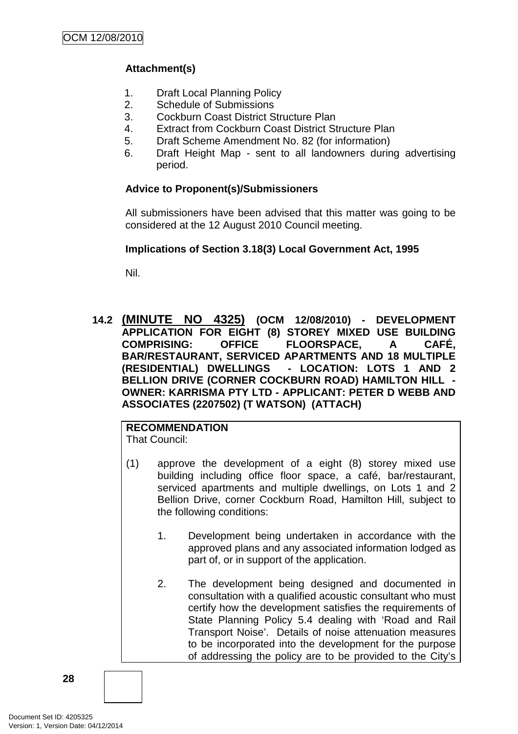# **Attachment(s)**

- 1. Draft Local Planning Policy
- 2. Schedule of Submissions
- 3. Cockburn Coast District Structure Plan
- 4. Extract from Cockburn Coast District Structure Plan
- 5. Draft Scheme Amendment No. 82 (for information)
- 6. Draft Height Map sent to all landowners during advertising period.

## **Advice to Proponent(s)/Submissioners**

All submissioners have been advised that this matter was going to be considered at the 12 August 2010 Council meeting.

### **Implications of Section 3.18(3) Local Government Act, 1995**

Nil.

**14.2 (MINUTE NO 4325) (OCM 12/08/2010) - DEVELOPMENT APPLICATION FOR EIGHT (8) STOREY MIXED USE BUILDING COMPRISING: OFFICE FLOORSPACE, A CAFÉ, BAR/RESTAURANT, SERVICED APARTMENTS AND 18 MULTIPLE (RESIDENTIAL) DWELLINGS - LOCATION: LOTS 1 AND 2 BELLION DRIVE (CORNER COCKBURN ROAD) HAMILTON HILL - OWNER: KARRISMA PTY LTD - APPLICANT: PETER D WEBB AND ASSOCIATES (2207502) (T WATSON) (ATTACH)** 

#### **RECOMMENDATION**  That Council:

- (1) approve the development of a eight (8) storey mixed use building including office floor space, a café, bar/restaurant, serviced apartments and multiple dwellings, on Lots 1 and 2 Bellion Drive, corner Cockburn Road, Hamilton Hill, subject to the following conditions:
	- 1. Development being undertaken in accordance with the approved plans and any associated information lodged as part of, or in support of the application.
	- 2. The development being designed and documented in consultation with a qualified acoustic consultant who must certify how the development satisfies the requirements of State Planning Policy 5.4 dealing with 'Road and Rail Transport Noise'. Details of noise attenuation measures to be incorporated into the development for the purpose of addressing the policy are to be provided to the City's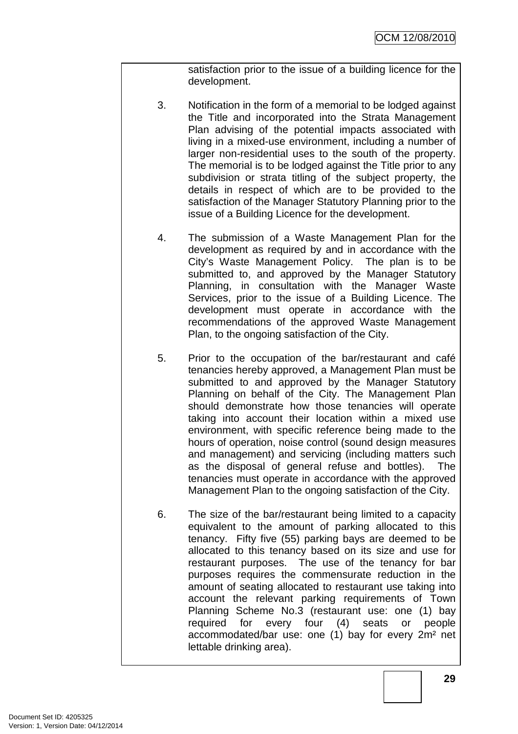satisfaction prior to the issue of a building licence for the development.

- 3. Notification in the form of a memorial to be lodged against the Title and incorporated into the Strata Management Plan advising of the potential impacts associated with living in a mixed-use environment, including a number of larger non-residential uses to the south of the property. The memorial is to be lodged against the Title prior to any subdivision or strata titling of the subject property, the details in respect of which are to be provided to the satisfaction of the Manager Statutory Planning prior to the issue of a Building Licence for the development.
- 4. The submission of a Waste Management Plan for the development as required by and in accordance with the City's Waste Management Policy. The plan is to be submitted to, and approved by the Manager Statutory Planning, in consultation with the Manager Waste Services, prior to the issue of a Building Licence. The development must operate in accordance with the recommendations of the approved Waste Management Plan, to the ongoing satisfaction of the City.
- 5. Prior to the occupation of the bar/restaurant and café tenancies hereby approved, a Management Plan must be submitted to and approved by the Manager Statutory Planning on behalf of the City. The Management Plan should demonstrate how those tenancies will operate taking into account their location within a mixed use environment, with specific reference being made to the hours of operation, noise control (sound design measures and management) and servicing (including matters such as the disposal of general refuse and bottles). The tenancies must operate in accordance with the approved Management Plan to the ongoing satisfaction of the City.
- 6. The size of the bar/restaurant being limited to a capacity equivalent to the amount of parking allocated to this tenancy. Fifty five (55) parking bays are deemed to be allocated to this tenancy based on its size and use for restaurant purposes. The use of the tenancy for bar purposes requires the commensurate reduction in the amount of seating allocated to restaurant use taking into account the relevant parking requirements of Town Planning Scheme No.3 (restaurant use: one (1) bay required for every four (4) seats or people accommodated/bar use: one (1) bay for every 2m² net lettable drinking area).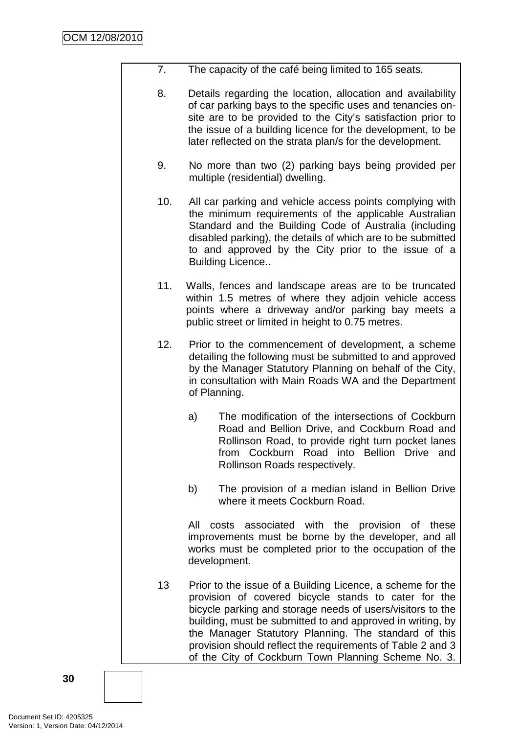- 7. The capacity of the café being limited to 165 seats.
- 8. Details regarding the location, allocation and availability of car parking bays to the specific uses and tenancies onsite are to be provided to the City's satisfaction prior to the issue of a building licence for the development, to be later reflected on the strata plan/s for the development.
- 9. No more than two (2) parking bays being provided per multiple (residential) dwelling.
- 10. All car parking and vehicle access points complying with the minimum requirements of the applicable Australian Standard and the Building Code of Australia (including disabled parking), the details of which are to be submitted to and approved by the City prior to the issue of a Building Licence..
- 11. Walls, fences and landscape areas are to be truncated within 1.5 metres of where they adjoin vehicle access points where a driveway and/or parking bay meets a public street or limited in height to 0.75 metres.
- 12. Prior to the commencement of development, a scheme detailing the following must be submitted to and approved by the Manager Statutory Planning on behalf of the City, in consultation with Main Roads WA and the Department of Planning.
	- a) The modification of the intersections of Cockburn Road and Bellion Drive, and Cockburn Road and Rollinson Road, to provide right turn pocket lanes from Cockburn Road into Bellion Drive and Rollinson Roads respectively.
	- b) The provision of a median island in Bellion Drive where it meets Cockburn Road.

All costs associated with the provision of these improvements must be borne by the developer, and all works must be completed prior to the occupation of the development.

13 Prior to the issue of a Building Licence, a scheme for the provision of covered bicycle stands to cater for the bicycle parking and storage needs of users/visitors to the building, must be submitted to and approved in writing, by the Manager Statutory Planning. The standard of this provision should reflect the requirements of Table 2 and 3 of the City of Cockburn Town Planning Scheme No. 3.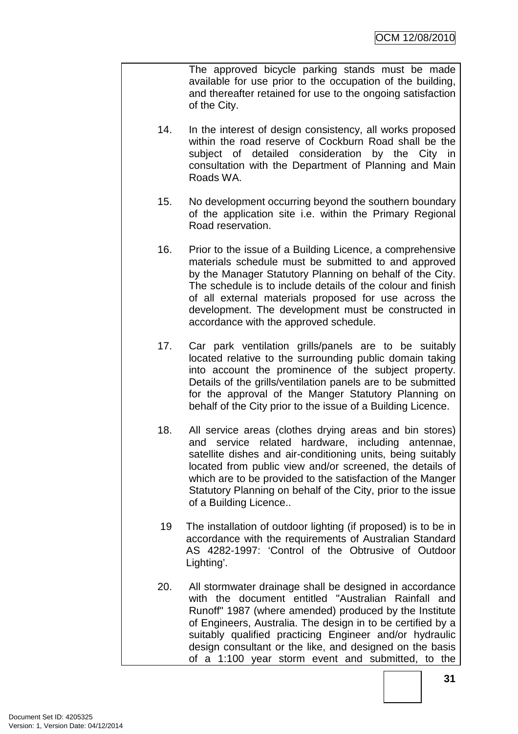The approved bicycle parking stands must be made available for use prior to the occupation of the building, and thereafter retained for use to the ongoing satisfaction of the City.

- 14. In the interest of design consistency, all works proposed within the road reserve of Cockburn Road shall be the subject of detailed consideration by the City in consultation with the Department of Planning and Main Roads WA.
- 15. No development occurring beyond the southern boundary of the application site i.e. within the Primary Regional Road reservation.
- 16. Prior to the issue of a Building Licence, a comprehensive materials schedule must be submitted to and approved by the Manager Statutory Planning on behalf of the City. The schedule is to include details of the colour and finish of all external materials proposed for use across the development. The development must be constructed in accordance with the approved schedule.
- 17. Car park ventilation grills/panels are to be suitably located relative to the surrounding public domain taking into account the prominence of the subject property. Details of the grills/ventilation panels are to be submitted for the approval of the Manger Statutory Planning on behalf of the City prior to the issue of a Building Licence.
- 18. All service areas (clothes drying areas and bin stores) and service related hardware, including antennae, satellite dishes and air-conditioning units, being suitably located from public view and/or screened, the details of which are to be provided to the satisfaction of the Manger Statutory Planning on behalf of the City, prior to the issue of a Building Licence..
- 19 The installation of outdoor lighting (if proposed) is to be in accordance with the requirements of Australian Standard AS 4282-1997: 'Control of the Obtrusive of Outdoor Lighting'.
- 20. All stormwater drainage shall be designed in accordance with the document entitled "Australian Rainfall and Runoff" 1987 (where amended) produced by the Institute of Engineers, Australia. The design in to be certified by a suitably qualified practicing Engineer and/or hydraulic design consultant or the like, and designed on the basis of a 1:100 year storm event and submitted, to the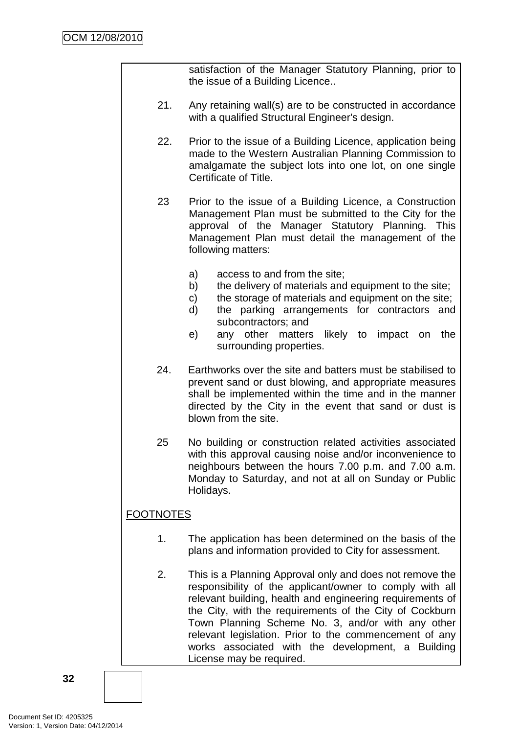satisfaction of the Manager Statutory Planning, prior to the issue of a Building Licence..

- 21. Any retaining wall(s) are to be constructed in accordance with a qualified Structural Engineer's design.
- 22. Prior to the issue of a Building Licence, application being made to the Western Australian Planning Commission to amalgamate the subject lots into one lot, on one single Certificate of Title.
- 23 Prior to the issue of a Building Licence, a Construction Management Plan must be submitted to the City for the approval of the Manager Statutory Planning. This Management Plan must detail the management of the following matters:
	- a) access to and from the site;
	- b) the delivery of materials and equipment to the site;
	- c) the storage of materials and equipment on the site;
	- d) the parking arrangements for contractors and subcontractors; and
	- e) any other matters likely to impact on the surrounding properties.
- 24. Earthworks over the site and batters must be stabilised to prevent sand or dust blowing, and appropriate measures shall be implemented within the time and in the manner directed by the City in the event that sand or dust is blown from the site.
- 25 No building or construction related activities associated with this approval causing noise and/or inconvenience to neighbours between the hours 7.00 p.m. and 7.00 a.m. Monday to Saturday, and not at all on Sunday or Public Holidays.

# FOOTNOTES

- 1. The application has been determined on the basis of the plans and information provided to City for assessment.
- 2. This is a Planning Approval only and does not remove the responsibility of the applicant/owner to comply with all relevant building, health and engineering requirements of the City, with the requirements of the City of Cockburn Town Planning Scheme No. 3, and/or with any other relevant legislation. Prior to the commencement of any works associated with the development, a Building License may be required.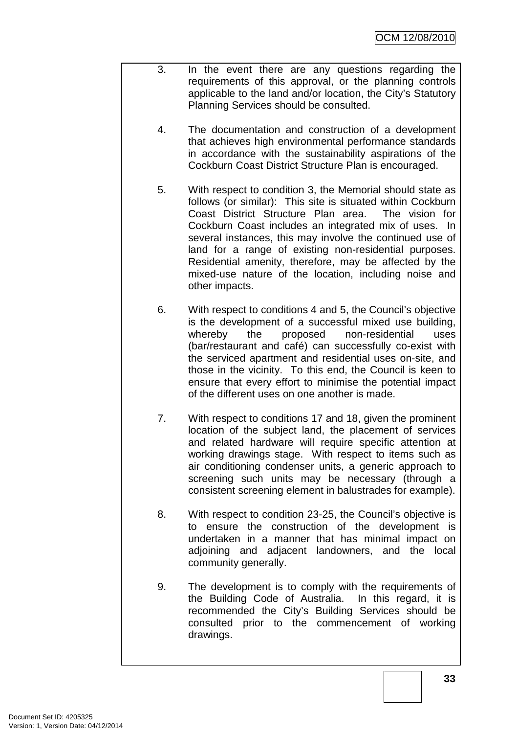- 3. In the event there are any questions regarding the requirements of this approval, or the planning controls applicable to the land and/or location, the City's Statutory Planning Services should be consulted.
	- 4. The documentation and construction of a development that achieves high environmental performance standards in accordance with the sustainability aspirations of the Cockburn Coast District Structure Plan is encouraged.
	- 5. With respect to condition 3, the Memorial should state as follows (or similar): This site is situated within Cockburn Coast District Structure Plan area. The vision for Cockburn Coast includes an integrated mix of uses. In several instances, this may involve the continued use of land for a range of existing non-residential purposes. Residential amenity, therefore, may be affected by the mixed-use nature of the location, including noise and other impacts.
	- 6. With respect to conditions 4 and 5, the Council's objective is the development of a successful mixed use building, whereby the proposed non-residential uses (bar/restaurant and café) can successfully co-exist with the serviced apartment and residential uses on-site, and those in the vicinity. To this end, the Council is keen to ensure that every effort to minimise the potential impact of the different uses on one another is made.
	- 7. With respect to conditions 17 and 18, given the prominent location of the subject land, the placement of services and related hardware will require specific attention at working drawings stage. With respect to items such as air conditioning condenser units, a generic approach to screening such units may be necessary (through a consistent screening element in balustrades for example).
	- 8. With respect to condition 23-25, the Council's objective is to ensure the construction of the development is undertaken in a manner that has minimal impact on adjoining and adjacent landowners, and the local community generally.
	- 9. The development is to comply with the requirements of the Building Code of Australia. In this regard, it is recommended the City's Building Services should be consulted prior to the commencement of working drawings.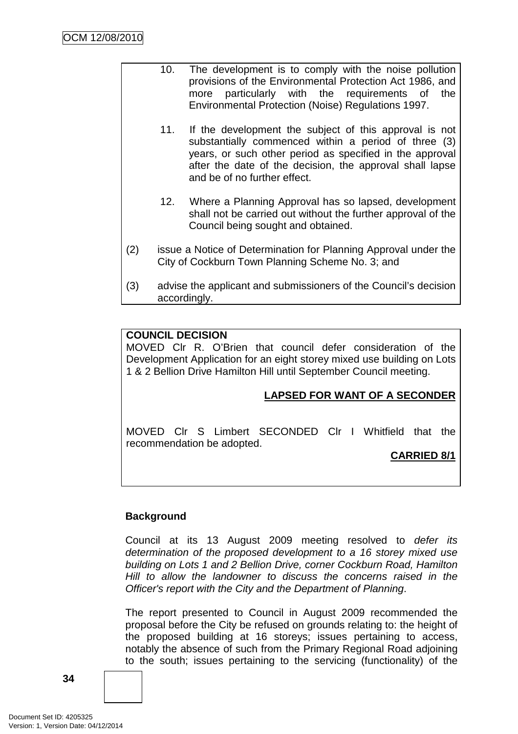| 10. | The development is to comply with the noise pollution    |
|-----|----------------------------------------------------------|
|     | provisions of the Environmental Protection Act 1986, and |
|     | more particularly with the requirements of the           |
|     | Environmental Protection (Noise) Regulations 1997.       |

- 11. If the development the subject of this approval is not substantially commenced within a period of three (3) years, or such other period as specified in the approval after the date of the decision, the approval shall lapse and be of no further effect.
- 12. Where a Planning Approval has so lapsed, development shall not be carried out without the further approval of the Council being sought and obtained.
- (2) issue a Notice of Determination for Planning Approval under the City of Cockburn Town Planning Scheme No. 3; and
- (3) advise the applicant and submissioners of the Council's decision accordingly.

# **COUNCIL DECISION**

MOVED Clr R. O'Brien that council defer consideration of the Development Application for an eight storey mixed use building on Lots 1 & 2 Bellion Drive Hamilton Hill until September Council meeting.

# **LAPSED FOR WANT OF A SECONDER**

MOVED Clr S Limbert SECONDED Clr I Whitfield that the recommendation be adopted.

#### **CARRIED 8/1**

#### **Background**

Council at its 13 August 2009 meeting resolved to defer its determination of the proposed development to a 16 storey mixed use building on Lots 1 and 2 Bellion Drive, corner Cockburn Road, Hamilton Hill to allow the landowner to discuss the concerns raised in the Officer's report with the City and the Department of Planning.

The report presented to Council in August 2009 recommended the proposal before the City be refused on grounds relating to: the height of the proposed building at 16 storeys; issues pertaining to access, notably the absence of such from the Primary Regional Road adjoining to the south; issues pertaining to the servicing (functionality) of the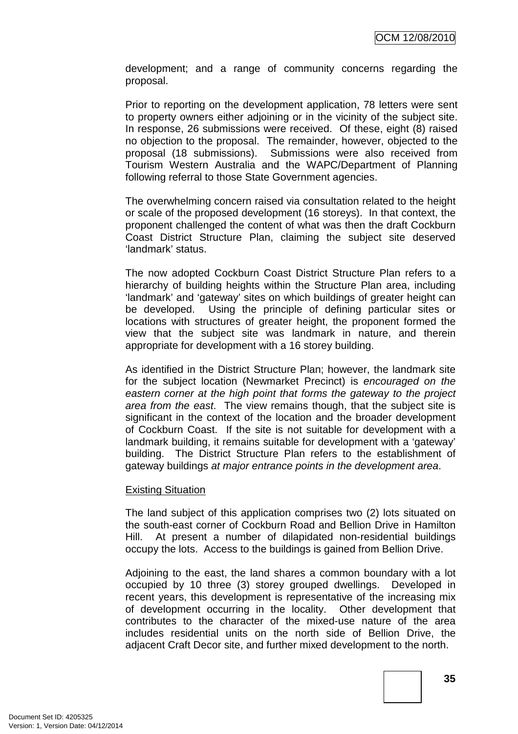development; and a range of community concerns regarding the proposal.

Prior to reporting on the development application, 78 letters were sent to property owners either adjoining or in the vicinity of the subject site. In response, 26 submissions were received. Of these, eight (8) raised no objection to the proposal. The remainder, however, objected to the proposal (18 submissions). Submissions were also received from Tourism Western Australia and the WAPC/Department of Planning following referral to those State Government agencies.

The overwhelming concern raised via consultation related to the height or scale of the proposed development (16 storeys). In that context, the proponent challenged the content of what was then the draft Cockburn Coast District Structure Plan, claiming the subject site deserved 'landmark' status.

The now adopted Cockburn Coast District Structure Plan refers to a hierarchy of building heights within the Structure Plan area, including 'landmark' and 'gateway' sites on which buildings of greater height can be developed. Using the principle of defining particular sites or locations with structures of greater height, the proponent formed the view that the subject site was landmark in nature, and therein appropriate for development with a 16 storey building.

As identified in the District Structure Plan; however, the landmark site for the subject location (Newmarket Precinct) is encouraged on the eastern corner at the high point that forms the gateway to the project area from the east. The view remains though, that the subject site is significant in the context of the location and the broader development of Cockburn Coast. If the site is not suitable for development with a landmark building, it remains suitable for development with a 'gateway' building. The District Structure Plan refers to the establishment of gateway buildings at major entrance points in the development area.

#### Existing Situation

The land subject of this application comprises two (2) lots situated on the south-east corner of Cockburn Road and Bellion Drive in Hamilton Hill. At present a number of dilapidated non-residential buildings occupy the lots. Access to the buildings is gained from Bellion Drive.

Adjoining to the east, the land shares a common boundary with a lot occupied by 10 three (3) storey grouped dwellings. Developed in recent years, this development is representative of the increasing mix of development occurring in the locality. Other development that contributes to the character of the mixed-use nature of the area includes residential units on the north side of Bellion Drive, the adjacent Craft Decor site, and further mixed development to the north.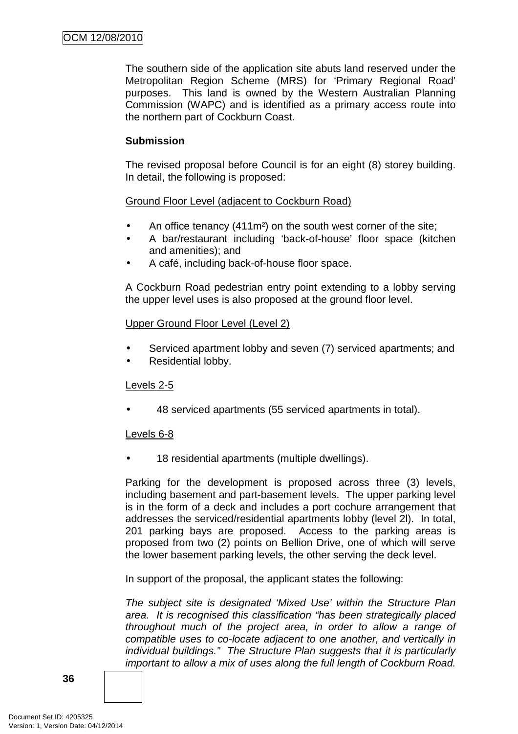The southern side of the application site abuts land reserved under the Metropolitan Region Scheme (MRS) for 'Primary Regional Road' purposes. This land is owned by the Western Australian Planning Commission (WAPC) and is identified as a primary access route into the northern part of Cockburn Coast.

# **Submission**

The revised proposal before Council is for an eight (8) storey building. In detail, the following is proposed:

#### Ground Floor Level (adjacent to Cockburn Road)

- An office tenancy (411m<sup>2</sup>) on the south west corner of the site;
- A bar/restaurant including 'back-of-house' floor space (kitchen and amenities); and
- A café, including back-of-house floor space.

A Cockburn Road pedestrian entry point extending to a lobby serving the upper level uses is also proposed at the ground floor level.

# Upper Ground Floor Level (Level 2)

- Serviced apartment lobby and seven (7) serviced apartments; and
- Residential lobby.

# Levels 2-5

• 48 serviced apartments (55 serviced apartments in total).

#### Levels 6-8

18 residential apartments (multiple dwellings).

Parking for the development is proposed across three (3) levels, including basement and part-basement levels. The upper parking level is in the form of a deck and includes a port cochure arrangement that addresses the serviced/residential apartments lobby (level 2l). In total, 201 parking bays are proposed. Access to the parking areas is proposed from two (2) points on Bellion Drive, one of which will serve the lower basement parking levels, the other serving the deck level.

In support of the proposal, the applicant states the following:

The subject site is designated 'Mixed Use' within the Structure Plan area. It is recognised this classification "has been strategically placed throughout much of the project area, in order to allow a range of compatible uses to co-locate adjacent to one another, and vertically in individual buildings." The Structure Plan suggests that it is particularly important to allow a mix of uses along the full length of Cockburn Road.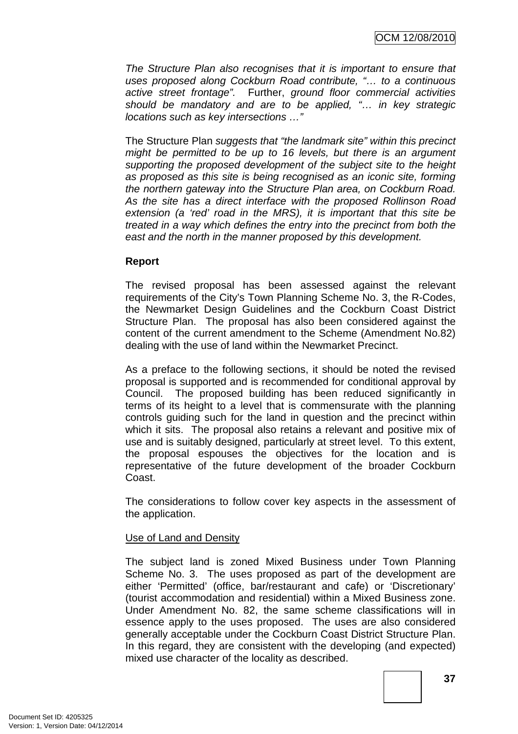The Structure Plan also recognises that it is important to ensure that uses proposed along Cockburn Road contribute, "… to a continuous active street frontage". Further, ground floor commercial activities should be mandatory and are to be applied, "… in key strategic locations such as key intersections …"

The Structure Plan suggests that "the landmark site" within this precinct might be permitted to be up to 16 levels, but there is an argument supporting the proposed development of the subject site to the height as proposed as this site is being recognised as an iconic site, forming the northern gateway into the Structure Plan area, on Cockburn Road. As the site has a direct interface with the proposed Rollinson Road extension (a 'red' road in the MRS), it is important that this site be treated in a way which defines the entry into the precinct from both the east and the north in the manner proposed by this development.

#### **Report**

The revised proposal has been assessed against the relevant requirements of the City's Town Planning Scheme No. 3, the R-Codes, the Newmarket Design Guidelines and the Cockburn Coast District Structure Plan. The proposal has also been considered against the content of the current amendment to the Scheme (Amendment No.82) dealing with the use of land within the Newmarket Precinct.

As a preface to the following sections, it should be noted the revised proposal is supported and is recommended for conditional approval by Council. The proposed building has been reduced significantly in terms of its height to a level that is commensurate with the planning controls guiding such for the land in question and the precinct within which it sits. The proposal also retains a relevant and positive mix of use and is suitably designed, particularly at street level. To this extent, the proposal espouses the objectives for the location and is representative of the future development of the broader Cockburn Coast.

The considerations to follow cover key aspects in the assessment of the application.

#### Use of Land and Density

The subject land is zoned Mixed Business under Town Planning Scheme No. 3. The uses proposed as part of the development are either 'Permitted' (office, bar/restaurant and cafe) or 'Discretionary' (tourist accommodation and residential) within a Mixed Business zone. Under Amendment No. 82, the same scheme classifications will in essence apply to the uses proposed. The uses are also considered generally acceptable under the Cockburn Coast District Structure Plan. In this regard, they are consistent with the developing (and expected) mixed use character of the locality as described.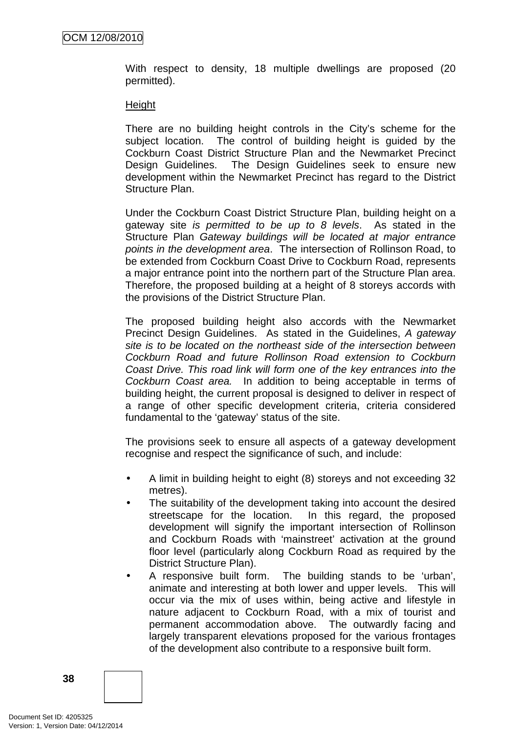With respect to density, 18 multiple dwellings are proposed (20 permitted).

#### **Height**

There are no building height controls in the City's scheme for the subject location. The control of building height is guided by the Cockburn Coast District Structure Plan and the Newmarket Precinct Design Guidelines. The Design Guidelines seek to ensure new development within the Newmarket Precinct has regard to the District Structure Plan.

Under the Cockburn Coast District Structure Plan, building height on a gateway site is permitted to be up to 8 levels. As stated in the Structure Plan Gateway buildings will be located at major entrance points in the development area. The intersection of Rollinson Road, to be extended from Cockburn Coast Drive to Cockburn Road, represents a major entrance point into the northern part of the Structure Plan area. Therefore, the proposed building at a height of 8 storeys accords with the provisions of the District Structure Plan.

The proposed building height also accords with the Newmarket Precinct Design Guidelines. As stated in the Guidelines, A gateway site is to be located on the northeast side of the intersection between Cockburn Road and future Rollinson Road extension to Cockburn Coast Drive. This road link will form one of the key entrances into the Cockburn Coast area. In addition to being acceptable in terms of building height, the current proposal is designed to deliver in respect of a range of other specific development criteria, criteria considered fundamental to the 'gateway' status of the site.

The provisions seek to ensure all aspects of a gateway development recognise and respect the significance of such, and include:

- A limit in building height to eight (8) storeys and not exceeding 32 metres).
- The suitability of the development taking into account the desired streetscape for the location. In this regard, the proposed development will signify the important intersection of Rollinson and Cockburn Roads with 'mainstreet' activation at the ground floor level (particularly along Cockburn Road as required by the District Structure Plan).
- A responsive built form. The building stands to be 'urban', animate and interesting at both lower and upper levels. This will occur via the mix of uses within, being active and lifestyle in nature adjacent to Cockburn Road, with a mix of tourist and permanent accommodation above. The outwardly facing and largely transparent elevations proposed for the various frontages of the development also contribute to a responsive built form.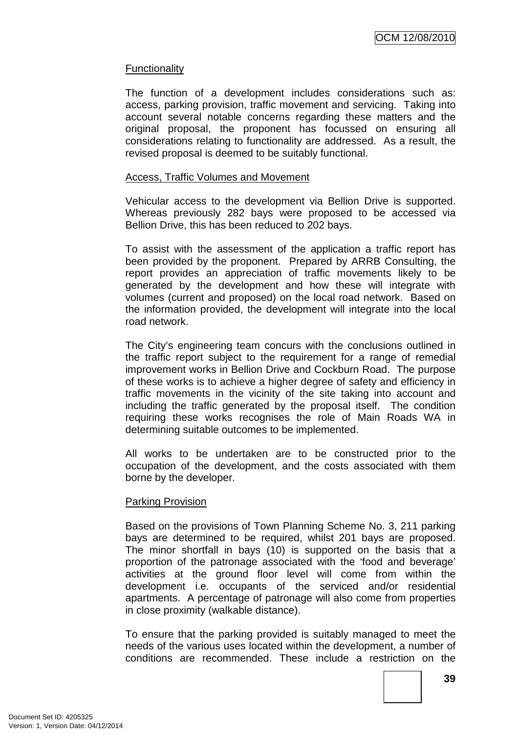# Functionality

The function of a development includes considerations such as: access, parking provision, traffic movement and servicing. Taking into account several notable concerns regarding these matters and the original proposal, the proponent has focussed on ensuring all considerations relating to functionality are addressed. As a result, the revised proposal is deemed to be suitably functional.

#### Access, Traffic Volumes and Movement

Vehicular access to the development via Bellion Drive is supported. Whereas previously 282 bays were proposed to be accessed via Bellion Drive, this has been reduced to 202 bays.

To assist with the assessment of the application a traffic report has been provided by the proponent. Prepared by ARRB Consulting, the report provides an appreciation of traffic movements likely to be generated by the development and how these will integrate with volumes (current and proposed) on the local road network. Based on the information provided, the development will integrate into the local road network.

The City's engineering team concurs with the conclusions outlined in the traffic report subject to the requirement for a range of remedial improvement works in Bellion Drive and Cockburn Road. The purpose of these works is to achieve a higher degree of safety and efficiency in traffic movements in the vicinity of the site taking into account and including the traffic generated by the proposal itself. The condition requiring these works recognises the role of Main Roads WA in determining suitable outcomes to be implemented.

All works to be undertaken are to be constructed prior to the occupation of the development, and the costs associated with them borne by the developer.

#### Parking Provision

Based on the provisions of Town Planning Scheme No. 3, 211 parking bays are determined to be required, whilst 201 bays are proposed. The minor shortfall in bays (10) is supported on the basis that a proportion of the patronage associated with the 'food and beverage' activities at the ground floor level will come from within the development i.e. occupants of the serviced and/or residential apartments. A percentage of patronage will also come from properties in close proximity (walkable distance).

To ensure that the parking provided is suitably managed to meet the needs of the various uses located within the development, a number of conditions are recommended. These include a restriction on the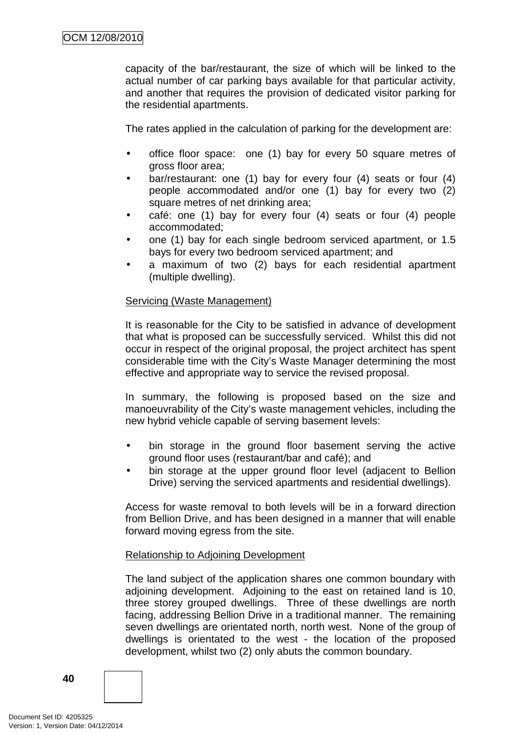capacity of the bar/restaurant, the size of which will be linked to the actual number of car parking bays available for that particular activity, and another that requires the provision of dedicated visitor parking for the residential apartments.

The rates applied in the calculation of parking for the development are:

- office floor space: one (1) bay for every 50 square metres of gross floor area;
- bar/restaurant: one (1) bay for every four (4) seats or four (4) people accommodated and/or one (1) bay for every two (2) square metres of net drinking area;
- café: one (1) bay for every four (4) seats or four (4) people accommodated;
- one (1) bay for each single bedroom serviced apartment, or 1.5 bays for every two bedroom serviced apartment; and
- a maximum of two (2) bays for each residential apartment (multiple dwelling).

#### Servicing (Waste Management)

It is reasonable for the City to be satisfied in advance of development that what is proposed can be successfully serviced. Whilst this did not occur in respect of the original proposal, the project architect has spent considerable time with the City's Waste Manager determining the most effective and appropriate way to service the revised proposal.

In summary, the following is proposed based on the size and manoeuvrability of the City's waste management vehicles, including the new hybrid vehicle capable of serving basement levels:

- bin storage in the ground floor basement serving the active ground floor uses (restaurant/bar and café); and
- bin storage at the upper ground floor level (adjacent to Bellion Drive) serving the serviced apartments and residential dwellings).

Access for waste removal to both levels will be in a forward direction from Bellion Drive, and has been designed in a manner that will enable forward moving egress from the site.

#### Relationship to Adjoining Development

The land subject of the application shares one common boundary with adjoining development. Adjoining to the east on retained land is 10, three storey grouped dwellings. Three of these dwellings are north facing, addressing Bellion Drive in a traditional manner. The remaining seven dwellings are orientated north, north west. None of the group of dwellings is orientated to the west - the location of the proposed development, whilst two (2) only abuts the common boundary.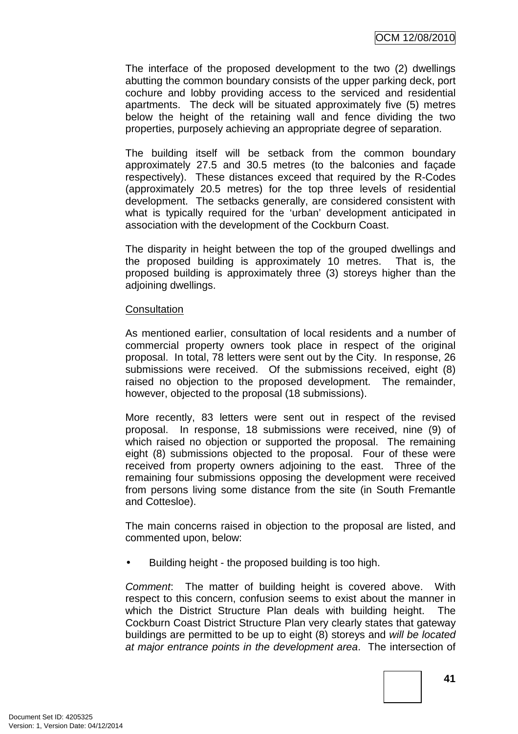The interface of the proposed development to the two (2) dwellings abutting the common boundary consists of the upper parking deck, port cochure and lobby providing access to the serviced and residential apartments. The deck will be situated approximately five (5) metres below the height of the retaining wall and fence dividing the two properties, purposely achieving an appropriate degree of separation.

The building itself will be setback from the common boundary approximately 27.5 and 30.5 metres (to the balconies and façade respectively). These distances exceed that required by the R-Codes (approximately 20.5 metres) for the top three levels of residential development. The setbacks generally, are considered consistent with what is typically required for the 'urban' development anticipated in association with the development of the Cockburn Coast.

The disparity in height between the top of the grouped dwellings and the proposed building is approximately 10 metres. That is, the proposed building is approximately three (3) storeys higher than the adjoining dwellings.

#### **Consultation**

As mentioned earlier, consultation of local residents and a number of commercial property owners took place in respect of the original proposal. In total, 78 letters were sent out by the City. In response, 26 submissions were received. Of the submissions received, eight (8) raised no objection to the proposed development. The remainder, however, objected to the proposal (18 submissions).

More recently, 83 letters were sent out in respect of the revised proposal. In response, 18 submissions were received, nine (9) of which raised no objection or supported the proposal. The remaining eight (8) submissions objected to the proposal. Four of these were received from property owners adjoining to the east. Three of the remaining four submissions opposing the development were received from persons living some distance from the site (in South Fremantle and Cottesloe).

The main concerns raised in objection to the proposal are listed, and commented upon, below:

• Building height - the proposed building is too high.

Comment: The matter of building height is covered above. With respect to this concern, confusion seems to exist about the manner in which the District Structure Plan deals with building height. The Cockburn Coast District Structure Plan very clearly states that gateway buildings are permitted to be up to eight (8) storeys and will be located at major entrance points in the development area. The intersection of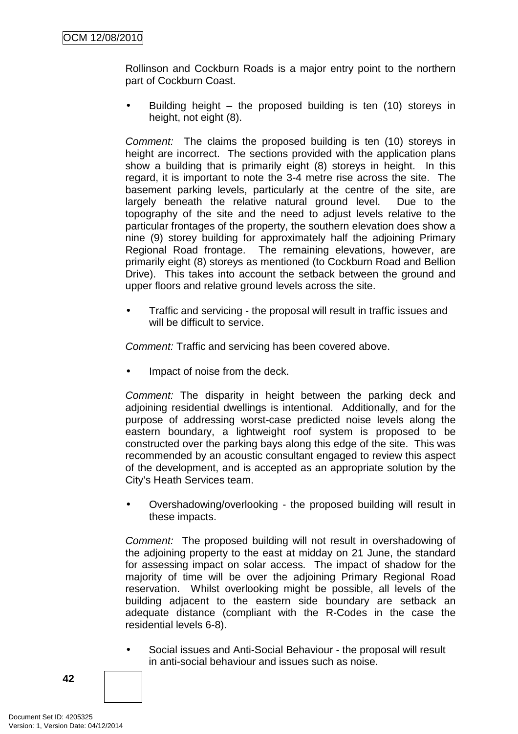Rollinson and Cockburn Roads is a major entry point to the northern part of Cockburn Coast.

Building height – the proposed building is ten  $(10)$  storeys in height, not eight (8).

Comment: The claims the proposed building is ten (10) storeys in height are incorrect. The sections provided with the application plans show a building that is primarily eight (8) storeys in height. In this regard, it is important to note the 3-4 metre rise across the site. The basement parking levels, particularly at the centre of the site, are largely beneath the relative natural ground level. Due to the topography of the site and the need to adjust levels relative to the particular frontages of the property, the southern elevation does show a nine (9) storey building for approximately half the adjoining Primary Regional Road frontage. The remaining elevations, however, are primarily eight (8) storeys as mentioned (to Cockburn Road and Bellion Drive). This takes into account the setback between the ground and upper floors and relative ground levels across the site.

• Traffic and servicing - the proposal will result in traffic issues and will be difficult to service.

Comment: Traffic and servicing has been covered above.

Impact of noise from the deck.

Comment: The disparity in height between the parking deck and adjoining residential dwellings is intentional. Additionally, and for the purpose of addressing worst-case predicted noise levels along the eastern boundary, a lightweight roof system is proposed to be constructed over the parking bays along this edge of the site. This was recommended by an acoustic consultant engaged to review this aspect of the development, and is accepted as an appropriate solution by the City's Heath Services team.

• Overshadowing/overlooking - the proposed building will result in these impacts.

Comment: The proposed building will not result in overshadowing of the adjoining property to the east at midday on 21 June, the standard for assessing impact on solar access. The impact of shadow for the majority of time will be over the adjoining Primary Regional Road reservation. Whilst overlooking might be possible, all levels of the building adjacent to the eastern side boundary are setback an adequate distance (compliant with the R-Codes in the case the residential levels 6-8).

• Social issues and Anti-Social Behaviour - the proposal will result in anti-social behaviour and issues such as noise.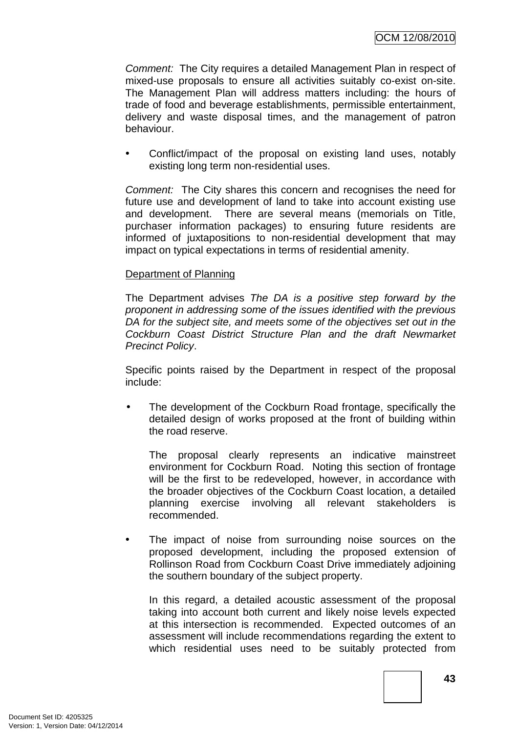Comment: The City requires a detailed Management Plan in respect of mixed-use proposals to ensure all activities suitably co-exist on-site. The Management Plan will address matters including: the hours of trade of food and beverage establishments, permissible entertainment, delivery and waste disposal times, and the management of patron behaviour.

Conflict/impact of the proposal on existing land uses, notably existing long term non-residential uses.

Comment: The City shares this concern and recognises the need for future use and development of land to take into account existing use and development. There are several means (memorials on Title, purchaser information packages) to ensuring future residents are informed of juxtapositions to non-residential development that may impact on typical expectations in terms of residential amenity.

#### Department of Planning

The Department advises The DA is a positive step forward by the proponent in addressing some of the issues identified with the previous DA for the subject site, and meets some of the objectives set out in the Cockburn Coast District Structure Plan and the draft Newmarket Precinct Policy.

Specific points raised by the Department in respect of the proposal include:

The development of the Cockburn Road frontage, specifically the detailed design of works proposed at the front of building within the road reserve.

The proposal clearly represents an indicative mainstreet environment for Cockburn Road. Noting this section of frontage will be the first to be redeveloped, however, in accordance with the broader objectives of the Cockburn Coast location, a detailed planning exercise involving all relevant stakeholders is recommended.

The impact of noise from surrounding noise sources on the proposed development, including the proposed extension of Rollinson Road from Cockburn Coast Drive immediately adjoining the southern boundary of the subject property.

In this regard, a detailed acoustic assessment of the proposal taking into account both current and likely noise levels expected at this intersection is recommended. Expected outcomes of an assessment will include recommendations regarding the extent to which residential uses need to be suitably protected from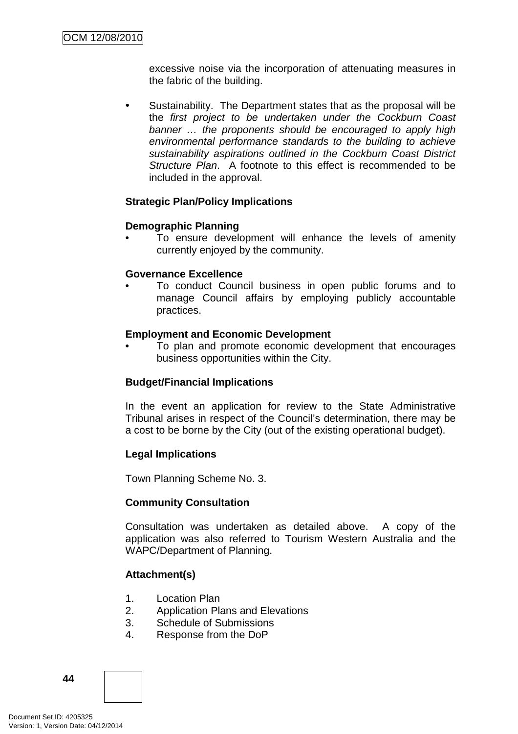excessive noise via the incorporation of attenuating measures in the fabric of the building.

• Sustainability. The Department states that as the proposal will be the first project to be undertaken under the Cockburn Coast banner … the proponents should be encouraged to apply high environmental performance standards to the building to achieve sustainability aspirations outlined in the Cockburn Coast District Structure Plan. A footnote to this effect is recommended to be included in the approval.

#### **Strategic Plan/Policy Implications**

# **Demographic Planning**

To ensure development will enhance the levels of amenity currently enjoyed by the community.

#### **Governance Excellence**

• To conduct Council business in open public forums and to manage Council affairs by employing publicly accountable practices.

#### **Employment and Economic Development**

• To plan and promote economic development that encourages business opportunities within the City.

# **Budget/Financial Implications**

In the event an application for review to the State Administrative Tribunal arises in respect of the Council's determination, there may be a cost to be borne by the City (out of the existing operational budget).

#### **Legal Implications**

Town Planning Scheme No. 3.

#### **Community Consultation**

Consultation was undertaken as detailed above. A copy of the application was also referred to Tourism Western Australia and the WAPC/Department of Planning.

#### **Attachment(s)**

- 1. Location Plan
- 2. Application Plans and Elevations
- 3. Schedule of Submissions
- 4. Response from the DoP

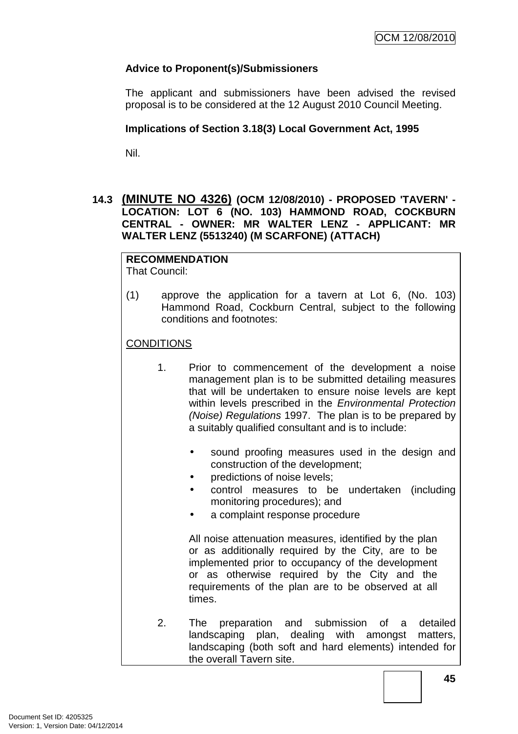# **Advice to Proponent(s)/Submissioners**

The applicant and submissioners have been advised the revised proposal is to be considered at the 12 August 2010 Council Meeting.

# **Implications of Section 3.18(3) Local Government Act, 1995**

Nil.

# **14.3 (MINUTE NO 4326) (OCM 12/08/2010) - PROPOSED 'TAVERN' - LOCATION: LOT 6 (NO. 103) HAMMOND ROAD, COCKBURN CENTRAL - OWNER: MR WALTER LENZ - APPLICANT: MR WALTER LENZ (5513240) (M SCARFONE) (ATTACH)**

# **RECOMMENDATION**

That Council:

(1) approve the application for a tavern at Lot 6, (No. 103) Hammond Road, Cockburn Central, subject to the following conditions and footnotes:

**CONDITIONS** 

- 1. Prior to commencement of the development a noise management plan is to be submitted detailing measures that will be undertaken to ensure noise levels are kept within levels prescribed in the Environmental Protection (Noise) Regulations 1997. The plan is to be prepared by a suitably qualified consultant and is to include:
	- sound proofing measures used in the design and construction of the development;
	- predictions of noise levels:
	- control measures to be undertaken (including monitoring procedures); and
	- a complaint response procedure

All noise attenuation measures, identified by the plan or as additionally required by the City, are to be implemented prior to occupancy of the development or as otherwise required by the City and the requirements of the plan are to be observed at all times.

2. The preparation and submission of a detailed landscaping plan, dealing with amongst matters, landscaping (both soft and hard elements) intended for the overall Tavern site.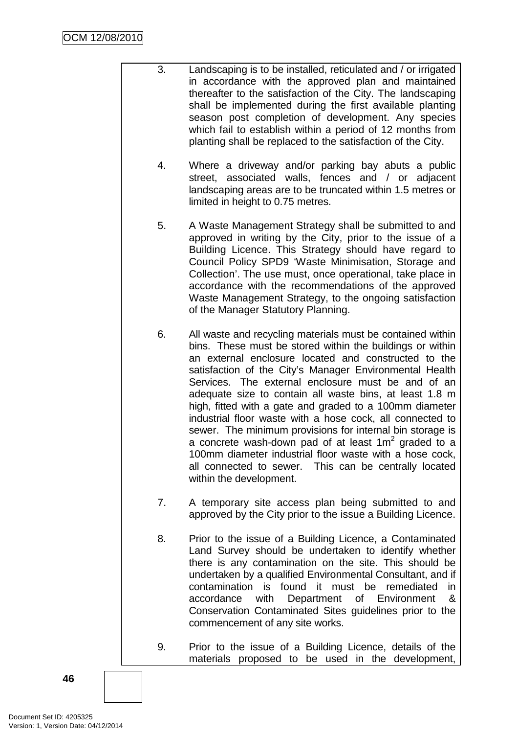- 3. Landscaping is to be installed, reticulated and / or irrigated in accordance with the approved plan and maintained thereafter to the satisfaction of the City. The landscaping shall be implemented during the first available planting season post completion of development. Any species which fail to establish within a period of 12 months from planting shall be replaced to the satisfaction of the City.
	- 4. Where a driveway and/or parking bay abuts a public street, associated walls, fences and / or adjacent landscaping areas are to be truncated within 1.5 metres or limited in height to 0.75 metres.
	- 5. A Waste Management Strategy shall be submitted to and approved in writing by the City, prior to the issue of a Building Licence. This Strategy should have regard to Council Policy SPD9 'Waste Minimisation, Storage and Collection'. The use must, once operational, take place in accordance with the recommendations of the approved Waste Management Strategy, to the ongoing satisfaction of the Manager Statutory Planning.
	- 6. All waste and recycling materials must be contained within bins. These must be stored within the buildings or within an external enclosure located and constructed to the satisfaction of the City's Manager Environmental Health Services. The external enclosure must be and of an adequate size to contain all waste bins, at least 1.8 m high, fitted with a gate and graded to a 100mm diameter industrial floor waste with a hose cock, all connected to sewer. The minimum provisions for internal bin storage is a concrete wash-down pad of at least  $1m^2$  graded to a 100mm diameter industrial floor waste with a hose cock, all connected to sewer. This can be centrally located within the development.
	- 7. A temporary site access plan being submitted to and approved by the City prior to the issue a Building Licence.
	- 8. Prior to the issue of a Building Licence, a Contaminated Land Survey should be undertaken to identify whether there is any contamination on the site. This should be undertaken by a qualified Environmental Consultant, and if contamination is found it must be remediated in accordance with Department of Environment & Conservation Contaminated Sites guidelines prior to the commencement of any site works.
	- 9. Prior to the issue of a Building Licence, details of the materials proposed to be used in the development,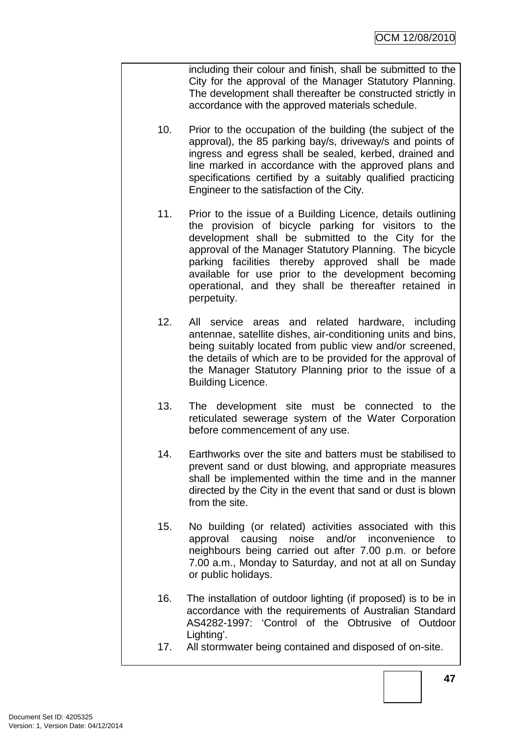including their colour and finish, shall be submitted to the City for the approval of the Manager Statutory Planning. The development shall thereafter be constructed strictly in accordance with the approved materials schedule.

- 10. Prior to the occupation of the building (the subject of the approval), the 85 parking bay/s, driveway/s and points of ingress and egress shall be sealed, kerbed, drained and line marked in accordance with the approved plans and specifications certified by a suitably qualified practicing Engineer to the satisfaction of the City.
- 11. Prior to the issue of a Building Licence, details outlining the provision of bicycle parking for visitors to the development shall be submitted to the City for the approval of the Manager Statutory Planning. The bicycle parking facilities thereby approved shall be made available for use prior to the development becoming operational, and they shall be thereafter retained in perpetuity.
- 12. All service areas and related hardware, including antennae, satellite dishes, air-conditioning units and bins, being suitably located from public view and/or screened, the details of which are to be provided for the approval of the Manager Statutory Planning prior to the issue of a Building Licence.
- 13. The development site must be connected to the reticulated sewerage system of the Water Corporation before commencement of any use.
- 14. Earthworks over the site and batters must be stabilised to prevent sand or dust blowing, and appropriate measures shall be implemented within the time and in the manner directed by the City in the event that sand or dust is blown from the site.
- 15. No building (or related) activities associated with this approval causing noise and/or inconvenience to neighbours being carried out after 7.00 p.m. or before 7.00 a.m., Monday to Saturday, and not at all on Sunday or public holidays.
- 16. The installation of outdoor lighting (if proposed) is to be in accordance with the requirements of Australian Standard AS4282-1997: 'Control of the Obtrusive of Outdoor Lighting'.
- 17. All stormwater being contained and disposed of on-site.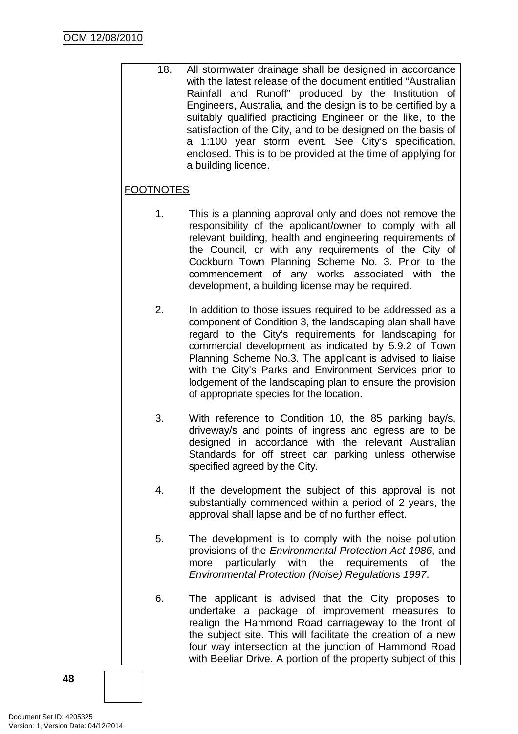18. All stormwater drainage shall be designed in accordance with the latest release of the document entitled "Australian Rainfall and Runoff" produced by the Institution of Engineers, Australia, and the design is to be certified by a suitably qualified practicing Engineer or the like, to the satisfaction of the City, and to be designed on the basis of a 1:100 year storm event. See City's specification, enclosed. This is to be provided at the time of applying for a building licence.

# FOOTNOTES

- 1. This is a planning approval only and does not remove the responsibility of the applicant/owner to comply with all relevant building, health and engineering requirements of the Council, or with any requirements of the City of Cockburn Town Planning Scheme No. 3. Prior to the commencement of any works associated with the development, a building license may be required.
- 2. In addition to those issues required to be addressed as a component of Condition 3, the landscaping plan shall have regard to the City's requirements for landscaping for commercial development as indicated by 5.9.2 of Town Planning Scheme No.3. The applicant is advised to liaise with the City's Parks and Environment Services prior to lodgement of the landscaping plan to ensure the provision of appropriate species for the location.
- 3. With reference to Condition 10, the 85 parking bay/s, driveway/s and points of ingress and egress are to be designed in accordance with the relevant Australian Standards for off street car parking unless otherwise specified agreed by the City.
- 4. If the development the subject of this approval is not substantially commenced within a period of 2 years, the approval shall lapse and be of no further effect.
- 5. The development is to comply with the noise pollution provisions of the Environmental Protection Act 1986, and more particularly with the requirements of the Environmental Protection (Noise) Regulations 1997.
- 6. The applicant is advised that the City proposes to undertake a package of improvement measures to realign the Hammond Road carriageway to the front of the subject site. This will facilitate the creation of a new four way intersection at the junction of Hammond Road with Beeliar Drive. A portion of the property subject of this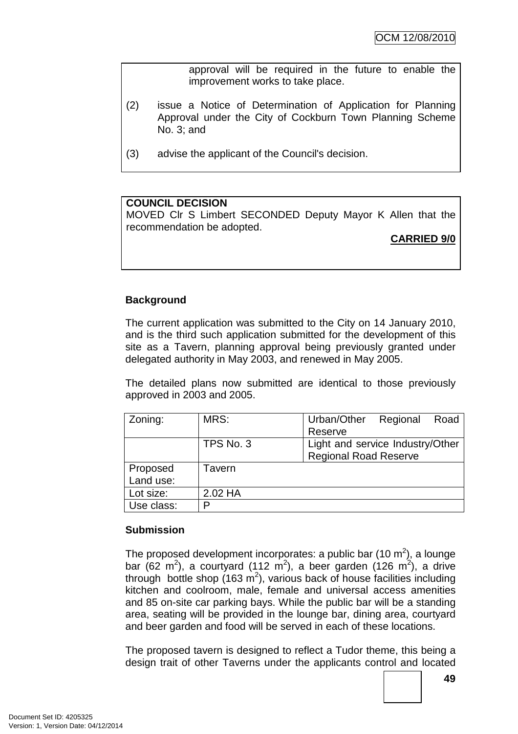approval will be required in the future to enable the improvement works to take place.

- (2) issue a Notice of Determination of Application for Planning Approval under the City of Cockburn Town Planning Scheme No. 3; and
- (3) advise the applicant of the Council's decision.

#### **COUNCIL DECISION**

MOVED Clr S Limbert SECONDED Deputy Mayor K Allen that the recommendation be adopted.

**CARRIED 9/0**

# **Background**

The current application was submitted to the City on 14 January 2010, and is the third such application submitted for the development of this site as a Tavern, planning approval being previously granted under delegated authority in May 2003, and renewed in May 2005.

The detailed plans now submitted are identical to those previously approved in 2003 and 2005.

| Zoning:    | MRS:      | Urban/Other                      | Regional | Road |
|------------|-----------|----------------------------------|----------|------|
|            |           | Reserve                          |          |      |
|            | TPS No. 3 | Light and service Industry/Other |          |      |
|            |           | <b>Regional Road Reserve</b>     |          |      |
| Proposed   | Tavern    |                                  |          |      |
| Land use:  |           |                                  |          |      |
| Lot size:  | 2.02 HA   |                                  |          |      |
| Use class: | P         |                                  |          |      |

#### **Submission**

The proposed development incorporates: a public bar (10 m<sup>2</sup>), a lounge bar (62 m<sup>2</sup>), a courtyard (112 m<sup>2</sup>), a beer garden (126 m<sup>2</sup>), a drive through bottle shop (163 m<sup>2</sup>), various back of house facilities including kitchen and coolroom, male, female and universal access amenities and 85 on-site car parking bays. While the public bar will be a standing area, seating will be provided in the lounge bar, dining area, courtyard and beer garden and food will be served in each of these locations.

The proposed tavern is designed to reflect a Tudor theme, this being a design trait of other Taverns under the applicants control and located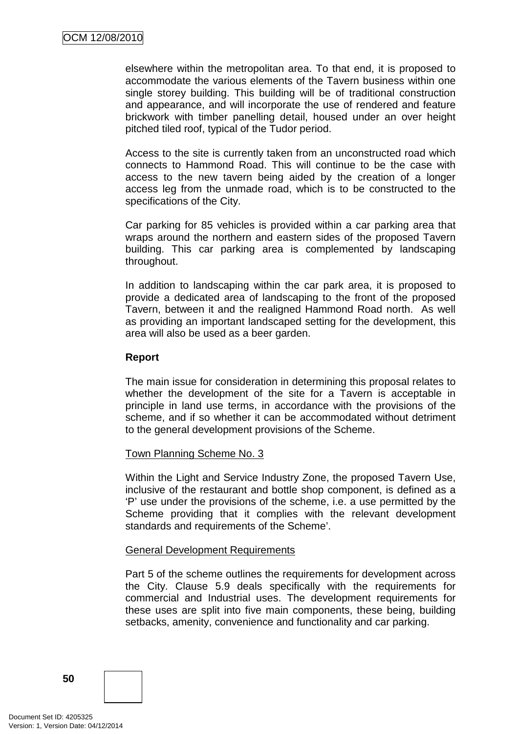elsewhere within the metropolitan area. To that end, it is proposed to accommodate the various elements of the Tavern business within one single storey building. This building will be of traditional construction and appearance, and will incorporate the use of rendered and feature brickwork with timber panelling detail, housed under an over height pitched tiled roof, typical of the Tudor period.

Access to the site is currently taken from an unconstructed road which connects to Hammond Road. This will continue to be the case with access to the new tavern being aided by the creation of a longer access leg from the unmade road, which is to be constructed to the specifications of the City.

Car parking for 85 vehicles is provided within a car parking area that wraps around the northern and eastern sides of the proposed Tavern building. This car parking area is complemented by landscaping throughout.

In addition to landscaping within the car park area, it is proposed to provide a dedicated area of landscaping to the front of the proposed Tavern, between it and the realigned Hammond Road north. As well as providing an important landscaped setting for the development, this area will also be used as a beer garden.

#### **Report**

The main issue for consideration in determining this proposal relates to whether the development of the site for a Tavern is acceptable in principle in land use terms, in accordance with the provisions of the scheme, and if so whether it can be accommodated without detriment to the general development provisions of the Scheme.

#### Town Planning Scheme No. 3

Within the Light and Service Industry Zone, the proposed Tavern Use, inclusive of the restaurant and bottle shop component, is defined as a 'P' use under the provisions of the scheme, i.e. a use permitted by the Scheme providing that it complies with the relevant development standards and requirements of the Scheme'.

#### General Development Requirements

Part 5 of the scheme outlines the requirements for development across the City. Clause 5.9 deals specifically with the requirements for commercial and Industrial uses. The development requirements for these uses are split into five main components, these being, building setbacks, amenity, convenience and functionality and car parking.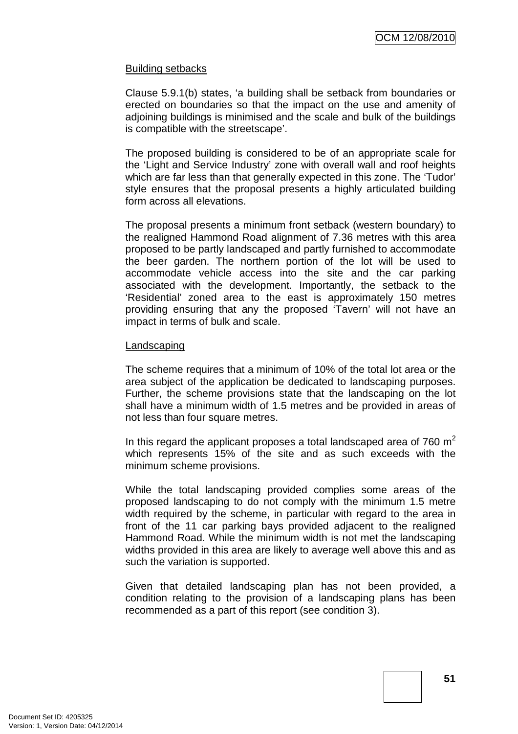#### Building setbacks

Clause 5.9.1(b) states, 'a building shall be setback from boundaries or erected on boundaries so that the impact on the use and amenity of adjoining buildings is minimised and the scale and bulk of the buildings is compatible with the streetscape'.

The proposed building is considered to be of an appropriate scale for the 'Light and Service Industry' zone with overall wall and roof heights which are far less than that generally expected in this zone. The 'Tudor' style ensures that the proposal presents a highly articulated building form across all elevations.

The proposal presents a minimum front setback (western boundary) to the realigned Hammond Road alignment of 7.36 metres with this area proposed to be partly landscaped and partly furnished to accommodate the beer garden. The northern portion of the lot will be used to accommodate vehicle access into the site and the car parking associated with the development. Importantly, the setback to the 'Residential' zoned area to the east is approximately 150 metres providing ensuring that any the proposed 'Tavern' will not have an impact in terms of bulk and scale.

#### Landscaping

The scheme requires that a minimum of 10% of the total lot area or the area subject of the application be dedicated to landscaping purposes. Further, the scheme provisions state that the landscaping on the lot shall have a minimum width of 1.5 metres and be provided in areas of not less than four square metres.

In this regard the applicant proposes a total landscaped area of  $760 \text{ m}^2$ which represents 15% of the site and as such exceeds with the minimum scheme provisions.

While the total landscaping provided complies some areas of the proposed landscaping to do not comply with the minimum 1.5 metre width required by the scheme, in particular with regard to the area in front of the 11 car parking bays provided adjacent to the realigned Hammond Road. While the minimum width is not met the landscaping widths provided in this area are likely to average well above this and as such the variation is supported.

Given that detailed landscaping plan has not been provided, a condition relating to the provision of a landscaping plans has been recommended as a part of this report (see condition 3).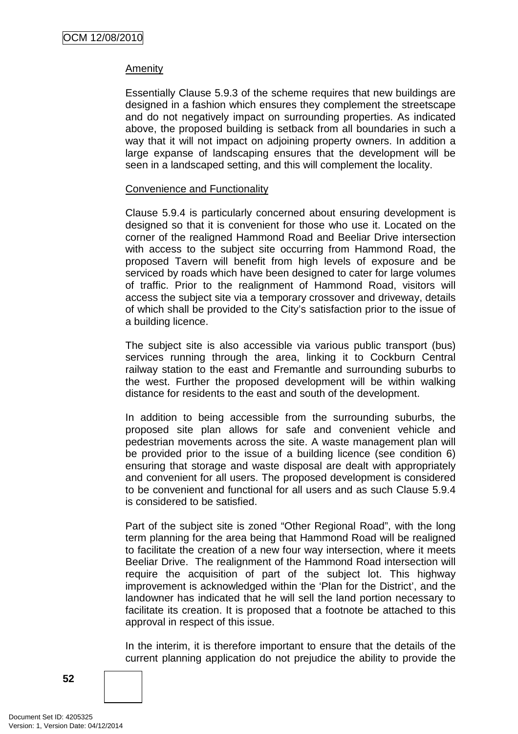# Amenity

Essentially Clause 5.9.3 of the scheme requires that new buildings are designed in a fashion which ensures they complement the streetscape and do not negatively impact on surrounding properties. As indicated above, the proposed building is setback from all boundaries in such a way that it will not impact on adjoining property owners. In addition a large expanse of landscaping ensures that the development will be seen in a landscaped setting, and this will complement the locality.

#### Convenience and Functionality

Clause 5.9.4 is particularly concerned about ensuring development is designed so that it is convenient for those who use it. Located on the corner of the realigned Hammond Road and Beeliar Drive intersection with access to the subject site occurring from Hammond Road, the proposed Tavern will benefit from high levels of exposure and be serviced by roads which have been designed to cater for large volumes of traffic. Prior to the realignment of Hammond Road, visitors will access the subject site via a temporary crossover and driveway, details of which shall be provided to the City's satisfaction prior to the issue of a building licence.

The subject site is also accessible via various public transport (bus) services running through the area, linking it to Cockburn Central railway station to the east and Fremantle and surrounding suburbs to the west. Further the proposed development will be within walking distance for residents to the east and south of the development.

In addition to being accessible from the surrounding suburbs, the proposed site plan allows for safe and convenient vehicle and pedestrian movements across the site. A waste management plan will be provided prior to the issue of a building licence (see condition 6) ensuring that storage and waste disposal are dealt with appropriately and convenient for all users. The proposed development is considered to be convenient and functional for all users and as such Clause 5.9.4 is considered to be satisfied.

Part of the subject site is zoned "Other Regional Road", with the long term planning for the area being that Hammond Road will be realigned to facilitate the creation of a new four way intersection, where it meets Beeliar Drive. The realignment of the Hammond Road intersection will require the acquisition of part of the subject lot. This highway improvement is acknowledged within the 'Plan for the District', and the landowner has indicated that he will sell the land portion necessary to facilitate its creation. It is proposed that a footnote be attached to this approval in respect of this issue.

In the interim, it is therefore important to ensure that the details of the current planning application do not prejudice the ability to provide the

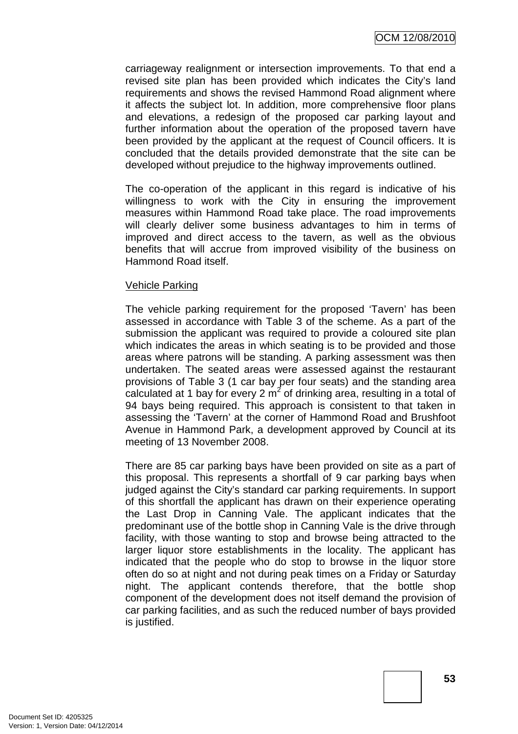carriageway realignment or intersection improvements. To that end a revised site plan has been provided which indicates the City's land requirements and shows the revised Hammond Road alignment where it affects the subject lot. In addition, more comprehensive floor plans and elevations, a redesign of the proposed car parking layout and further information about the operation of the proposed tavern have been provided by the applicant at the request of Council officers. It is concluded that the details provided demonstrate that the site can be developed without prejudice to the highway improvements outlined.

The co-operation of the applicant in this regard is indicative of his willingness to work with the City in ensuring the improvement measures within Hammond Road take place. The road improvements will clearly deliver some business advantages to him in terms of improved and direct access to the tavern, as well as the obvious benefits that will accrue from improved visibility of the business on Hammond Road itself.

#### Vehicle Parking

The vehicle parking requirement for the proposed 'Tavern' has been assessed in accordance with Table 3 of the scheme. As a part of the submission the applicant was required to provide a coloured site plan which indicates the areas in which seating is to be provided and those areas where patrons will be standing. A parking assessment was then undertaken. The seated areas were assessed against the restaurant provisions of Table 3 (1 car bay per four seats) and the standing area calculated at 1 bay for every 2  $\text{m}^2$  of drinking area, resulting in a total of 94 bays being required. This approach is consistent to that taken in assessing the 'Tavern' at the corner of Hammond Road and Brushfoot Avenue in Hammond Park, a development approved by Council at its meeting of 13 November 2008.

There are 85 car parking bays have been provided on site as a part of this proposal. This represents a shortfall of 9 car parking bays when judged against the City's standard car parking requirements. In support of this shortfall the applicant has drawn on their experience operating the Last Drop in Canning Vale. The applicant indicates that the predominant use of the bottle shop in Canning Vale is the drive through facility, with those wanting to stop and browse being attracted to the larger liquor store establishments in the locality. The applicant has indicated that the people who do stop to browse in the liquor store often do so at night and not during peak times on a Friday or Saturday night. The applicant contends therefore, that the bottle shop component of the development does not itself demand the provision of car parking facilities, and as such the reduced number of bays provided is justified.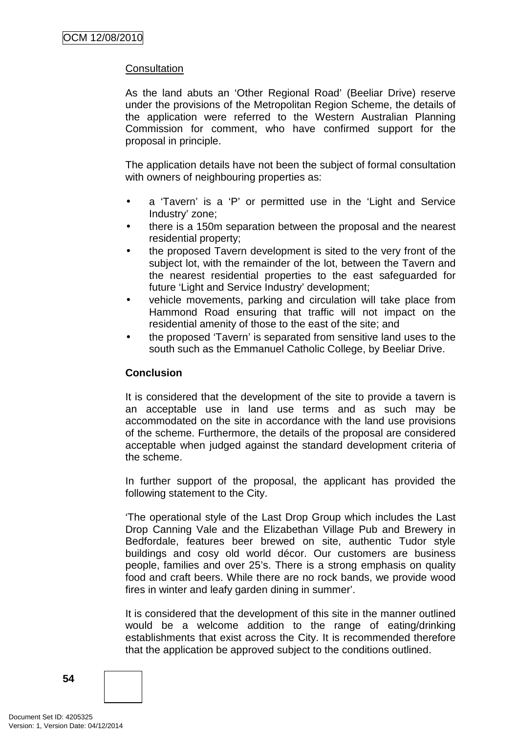# **Consultation**

As the land abuts an 'Other Regional Road' (Beeliar Drive) reserve under the provisions of the Metropolitan Region Scheme, the details of the application were referred to the Western Australian Planning Commission for comment, who have confirmed support for the proposal in principle.

The application details have not been the subject of formal consultation with owners of neighbouring properties as:

- a 'Tavern' is a 'P' or permitted use in the 'Light and Service Industry' zone;
- there is a 150m separation between the proposal and the nearest residential property;
- the proposed Tavern development is sited to the very front of the subject lot, with the remainder of the lot, between the Tavern and the nearest residential properties to the east safeguarded for future 'Light and Service Industry' development;
- vehicle movements, parking and circulation will take place from Hammond Road ensuring that traffic will not impact on the residential amenity of those to the east of the site; and
- the proposed 'Tavern' is separated from sensitive land uses to the south such as the Emmanuel Catholic College, by Beeliar Drive.

#### **Conclusion**

It is considered that the development of the site to provide a tavern is an acceptable use in land use terms and as such may be accommodated on the site in accordance with the land use provisions of the scheme. Furthermore, the details of the proposal are considered acceptable when judged against the standard development criteria of the scheme.

In further support of the proposal, the applicant has provided the following statement to the City.

'The operational style of the Last Drop Group which includes the Last Drop Canning Vale and the Elizabethan Village Pub and Brewery in Bedfordale, features beer brewed on site, authentic Tudor style buildings and cosy old world décor. Our customers are business people, families and over 25's. There is a strong emphasis on quality food and craft beers. While there are no rock bands, we provide wood fires in winter and leafy garden dining in summer'.

It is considered that the development of this site in the manner outlined would be a welcome addition to the range of eating/drinking establishments that exist across the City. It is recommended therefore that the application be approved subject to the conditions outlined.

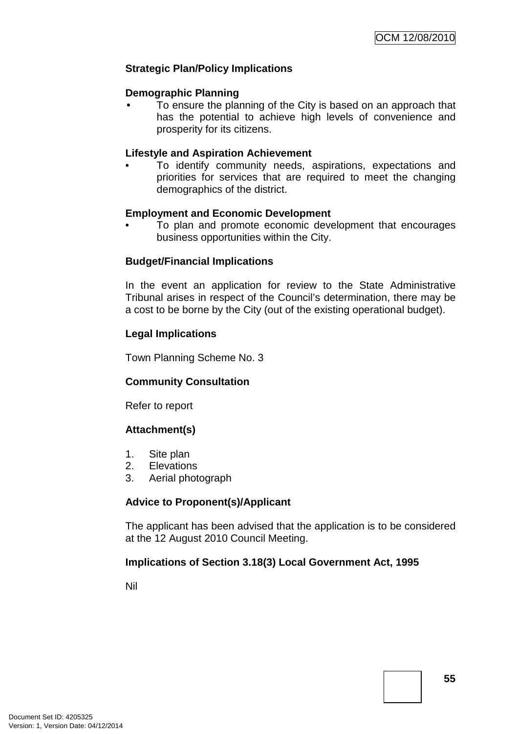# **Strategic Plan/Policy Implications**

#### **Demographic Planning**

• To ensure the planning of the City is based on an approach that has the potential to achieve high levels of convenience and prosperity for its citizens.

#### **Lifestyle and Aspiration Achievement**

• To identify community needs, aspirations, expectations and priorities for services that are required to meet the changing demographics of the district.

#### **Employment and Economic Development**

• To plan and promote economic development that encourages business opportunities within the City.

#### **Budget/Financial Implications**

In the event an application for review to the State Administrative Tribunal arises in respect of the Council's determination, there may be a cost to be borne by the City (out of the existing operational budget).

#### **Legal Implications**

Town Planning Scheme No. 3

#### **Community Consultation**

Refer to report

#### **Attachment(s)**

- 1. Site plan
- 2. Elevations
- 3. Aerial photograph

#### **Advice to Proponent(s)/Applicant**

The applicant has been advised that the application is to be considered at the 12 August 2010 Council Meeting.

#### **Implications of Section 3.18(3) Local Government Act, 1995**

Nil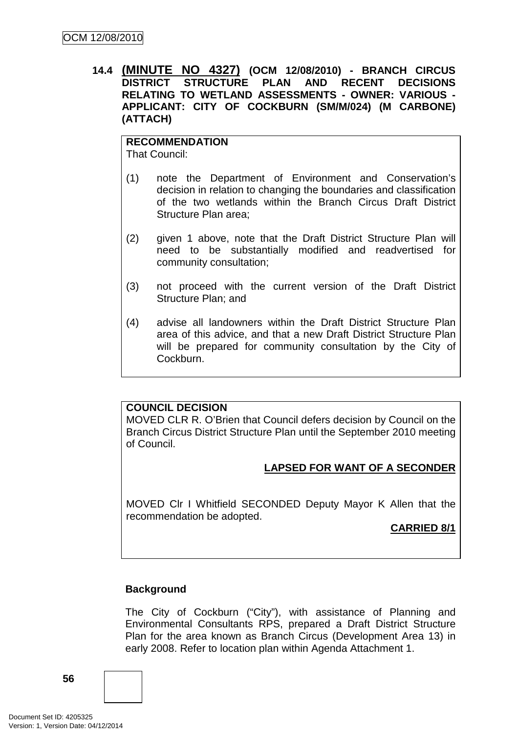**14.4 (MINUTE NO 4327) (OCM 12/08/2010) - BRANCH CIRCUS DISTRICT STRUCTURE PLAN AND RECENT DECISIONS RELATING TO WETLAND ASSESSMENTS - OWNER: VARIOUS - APPLICANT: CITY OF COCKBURN (SM/M/024) (M CARBONE) (ATTACH)** 

**RECOMMENDATION** That Council:

- (1) note the Department of Environment and Conservation's decision in relation to changing the boundaries and classification of the two wetlands within the Branch Circus Draft District Structure Plan area;
- (2) given 1 above, note that the Draft District Structure Plan will need to be substantially modified and readvertised for community consultation;
- (3) not proceed with the current version of the Draft District Structure Plan; and
- (4) advise all landowners within the Draft District Structure Plan area of this advice, and that a new Draft District Structure Plan will be prepared for community consultation by the City of Cockburn.

#### **COUNCIL DECISION**

MOVED CLR R. O'Brien that Council defers decision by Council on the Branch Circus District Structure Plan until the September 2010 meeting of Council.

# **LAPSED FOR WANT OF A SECONDER**

MOVED Clr I Whitfield SECONDED Deputy Mayor K Allen that the recommendation be adopted.

# **CARRIED 8/1**

# **Background**

The City of Cockburn ("City"), with assistance of Planning and Environmental Consultants RPS, prepared a Draft District Structure Plan for the area known as Branch Circus (Development Area 13) in early 2008. Refer to location plan within Agenda Attachment 1.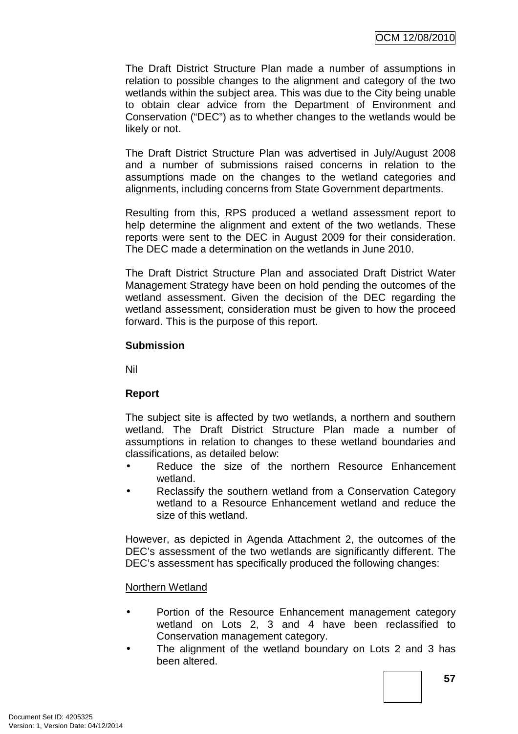The Draft District Structure Plan made a number of assumptions in relation to possible changes to the alignment and category of the two wetlands within the subject area. This was due to the City being unable to obtain clear advice from the Department of Environment and Conservation ("DEC") as to whether changes to the wetlands would be likely or not.

The Draft District Structure Plan was advertised in July/August 2008 and a number of submissions raised concerns in relation to the assumptions made on the changes to the wetland categories and alignments, including concerns from State Government departments.

Resulting from this, RPS produced a wetland assessment report to help determine the alignment and extent of the two wetlands. These reports were sent to the DEC in August 2009 for their consideration. The DEC made a determination on the wetlands in June 2010.

The Draft District Structure Plan and associated Draft District Water Management Strategy have been on hold pending the outcomes of the wetland assessment. Given the decision of the DEC regarding the wetland assessment, consideration must be given to how the proceed forward. This is the purpose of this report.

#### **Submission**

Nil

# **Report**

The subject site is affected by two wetlands, a northern and southern wetland. The Draft District Structure Plan made a number of assumptions in relation to changes to these wetland boundaries and classifications, as detailed below:

- Reduce the size of the northern Resource Enhancement wetland.
- Reclassify the southern wetland from a Conservation Category wetland to a Resource Enhancement wetland and reduce the size of this wetland.

However, as depicted in Agenda Attachment 2, the outcomes of the DEC's assessment of the two wetlands are significantly different. The DEC's assessment has specifically produced the following changes:

#### Northern Wetland

- Portion of the Resource Enhancement management category wetland on Lots 2, 3 and 4 have been reclassified to Conservation management category.
- The alignment of the wetland boundary on Lots 2 and 3 has been altered.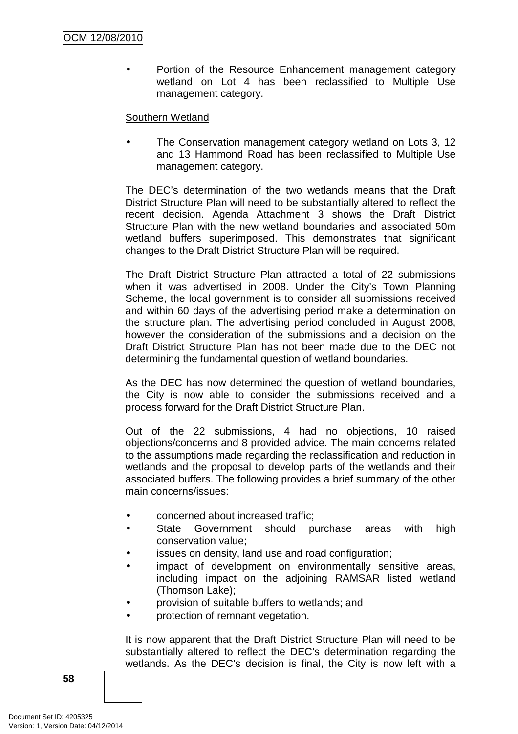Portion of the Resource Enhancement management category wetland on Lot 4 has been reclassified to Multiple Use management category.

#### Southern Wetland

The Conservation management category wetland on Lots 3, 12 and 13 Hammond Road has been reclassified to Multiple Use management category.

The DEC's determination of the two wetlands means that the Draft District Structure Plan will need to be substantially altered to reflect the recent decision. Agenda Attachment 3 shows the Draft District Structure Plan with the new wetland boundaries and associated 50m wetland buffers superimposed. This demonstrates that significant changes to the Draft District Structure Plan will be required.

The Draft District Structure Plan attracted a total of 22 submissions when it was advertised in 2008. Under the City's Town Planning Scheme, the local government is to consider all submissions received and within 60 days of the advertising period make a determination on the structure plan. The advertising period concluded in August 2008, however the consideration of the submissions and a decision on the Draft District Structure Plan has not been made due to the DEC not determining the fundamental question of wetland boundaries.

As the DEC has now determined the question of wetland boundaries, the City is now able to consider the submissions received and a process forward for the Draft District Structure Plan.

Out of the 22 submissions, 4 had no objections, 10 raised objections/concerns and 8 provided advice. The main concerns related to the assumptions made regarding the reclassification and reduction in wetlands and the proposal to develop parts of the wetlands and their associated buffers. The following provides a brief summary of the other main concerns/issues:

- concerned about increased traffic;
- State Government should purchase areas with high conservation value;
- issues on density, land use and road configuration;
- impact of development on environmentally sensitive areas, including impact on the adjoining RAMSAR listed wetland (Thomson Lake);
- provision of suitable buffers to wetlands; and
- protection of remnant vegetation.

It is now apparent that the Draft District Structure Plan will need to be substantially altered to reflect the DEC's determination regarding the wetlands. As the DEC's decision is final, the City is now left with a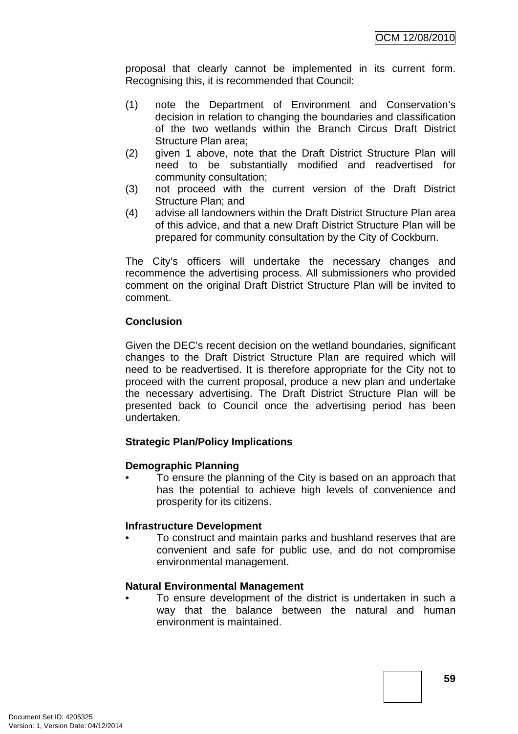proposal that clearly cannot be implemented in its current form. Recognising this, it is recommended that Council:

- (1) note the Department of Environment and Conservation's decision in relation to changing the boundaries and classification of the two wetlands within the Branch Circus Draft District Structure Plan area;
- (2) given 1 above, note that the Draft District Structure Plan will need to be substantially modified and readvertised for community consultation;
- (3) not proceed with the current version of the Draft District Structure Plan; and
- (4) advise all landowners within the Draft District Structure Plan area of this advice, and that a new Draft District Structure Plan will be prepared for community consultation by the City of Cockburn.

The City's officers will undertake the necessary changes and recommence the advertising process. All submissioners who provided comment on the original Draft District Structure Plan will be invited to comment.

# **Conclusion**

Given the DEC's recent decision on the wetland boundaries, significant changes to the Draft District Structure Plan are required which will need to be readvertised. It is therefore appropriate for the City not to proceed with the current proposal, produce a new plan and undertake the necessary advertising. The Draft District Structure Plan will be presented back to Council once the advertising period has been undertaken.

#### **Strategic Plan/Policy Implications**

#### **Demographic Planning**

• To ensure the planning of the City is based on an approach that has the potential to achieve high levels of convenience and prosperity for its citizens.

#### **Infrastructure Development**

• To construct and maintain parks and bushland reserves that are convenient and safe for public use, and do not compromise environmental management.

#### **Natural Environmental Management**

To ensure development of the district is undertaken in such a way that the balance between the natural and human environment is maintained.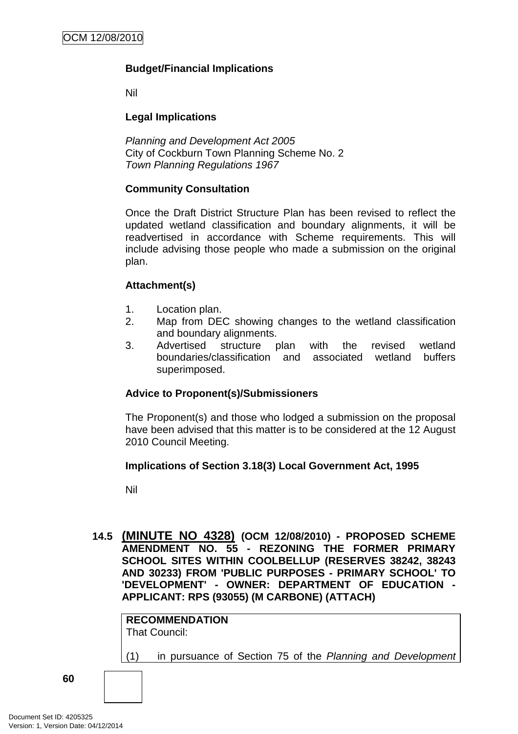# **Budget/Financial Implications**

Nil

#### **Legal Implications**

Planning and Development Act 2005 City of Cockburn Town Planning Scheme No. 2 Town Planning Regulations 1967

#### **Community Consultation**

Once the Draft District Structure Plan has been revised to reflect the updated wetland classification and boundary alignments, it will be readvertised in accordance with Scheme requirements. This will include advising those people who made a submission on the original plan.

# **Attachment(s)**

- 1. Location plan.
- 2. Map from DEC showing changes to the wetland classification and boundary alignments.
- 3. Advertised structure plan with the revised wetland boundaries/classification and associated wetland buffers superimposed.

# **Advice to Proponent(s)/Submissioners**

The Proponent(s) and those who lodged a submission on the proposal have been advised that this matter is to be considered at the 12 August 2010 Council Meeting.

#### **Implications of Section 3.18(3) Local Government Act, 1995**

Nil

**14.5 (MINUTE NO 4328) (OCM 12/08/2010) - PROPOSED SCHEME AMENDMENT NO. 55 - REZONING THE FORMER PRIMARY SCHOOL SITES WITHIN COOLBELLUP (RESERVES 38242, 38243 AND 30233) FROM 'PUBLIC PURPOSES - PRIMARY SCHOOL' TO 'DEVELOPMENT' - OWNER: DEPARTMENT OF EDUCATION - APPLICANT: RPS (93055) (M CARBONE) (ATTACH)** 

| That Council: |  |  | <b>RECOMMENDATION</b> |  |  |  |  |                                                            |  |  |
|---------------|--|--|-----------------------|--|--|--|--|------------------------------------------------------------|--|--|
|               |  |  |                       |  |  |  |  | in pursuance of Section 75 of the Planning and Development |  |  |
|               |  |  |                       |  |  |  |  |                                                            |  |  |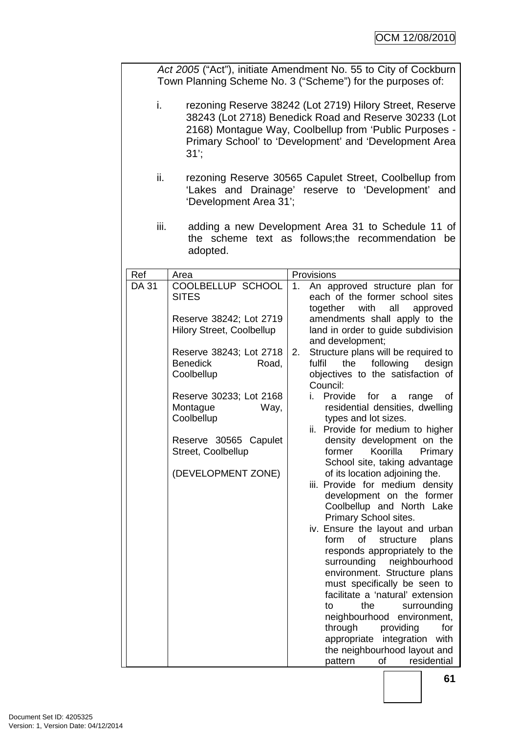|       |                                                                                                                                                                                                                                                                                                         | Act 2005 ("Act"), initiate Amendment No. 55 to City of Cockburn<br>Town Planning Scheme No. 3 ("Scheme") for the purposes of:                                                                                                                                                                                                                                                                                                                                                                                                                                                                                                                                                                                                                                                                                                                                                                                                                                                                                                                                                                                                                           |
|-------|---------------------------------------------------------------------------------------------------------------------------------------------------------------------------------------------------------------------------------------------------------------------------------------------------------|---------------------------------------------------------------------------------------------------------------------------------------------------------------------------------------------------------------------------------------------------------------------------------------------------------------------------------------------------------------------------------------------------------------------------------------------------------------------------------------------------------------------------------------------------------------------------------------------------------------------------------------------------------------------------------------------------------------------------------------------------------------------------------------------------------------------------------------------------------------------------------------------------------------------------------------------------------------------------------------------------------------------------------------------------------------------------------------------------------------------------------------------------------|
| i.    | $31$ :                                                                                                                                                                                                                                                                                                  | rezoning Reserve 38242 (Lot 2719) Hilory Street, Reserve<br>38243 (Lot 2718) Benedick Road and Reserve 30233 (Lot<br>2168) Montague Way, Coolbellup from 'Public Purposes -<br>Primary School' to 'Development' and 'Development Area                                                                                                                                                                                                                                                                                                                                                                                                                                                                                                                                                                                                                                                                                                                                                                                                                                                                                                                   |
| ii.   | 'Development Area 31';                                                                                                                                                                                                                                                                                  | rezoning Reserve 30565 Capulet Street, Coolbellup from<br>'Lakes and Drainage' reserve to 'Development' and                                                                                                                                                                                                                                                                                                                                                                                                                                                                                                                                                                                                                                                                                                                                                                                                                                                                                                                                                                                                                                             |
| iii.  | adopted.                                                                                                                                                                                                                                                                                                | adding a new Development Area 31 to Schedule 11 of<br>the scheme text as follows; the recommendation be                                                                                                                                                                                                                                                                                                                                                                                                                                                                                                                                                                                                                                                                                                                                                                                                                                                                                                                                                                                                                                                 |
| Ref   | Area                                                                                                                                                                                                                                                                                                    | Provisions                                                                                                                                                                                                                                                                                                                                                                                                                                                                                                                                                                                                                                                                                                                                                                                                                                                                                                                                                                                                                                                                                                                                              |
| DA 31 | COOLBELLUP SCHOOL<br><b>SITES</b><br>Reserve 38242; Lot 2719<br><b>Hilory Street, Coolbellup</b><br>Reserve 38243; Lot 2718<br><b>Benedick</b><br>Road,<br>Coolbellup<br>Reserve 30233; Lot 2168<br>Montague<br>Way,<br>Coolbellup<br>Reserve 30565 Capulet<br>Street, Coolbellup<br>(DEVELOPMENT ZONE) | An approved structure plan for<br>1.<br>each of the former school sites<br>with<br>all<br>together<br>approved<br>amendments shall apply to the<br>land in order to guide subdivision<br>and development;<br>Structure plans will be required to<br>2.<br>following<br>fulfil<br>the<br>design<br>objectives to the satisfaction of<br>Council:<br>Provide<br>for<br>i.<br>range<br>0f<br>a<br>residential densities, dwelling<br>types and lot sizes.<br>ii. Provide for medium to higher<br>density development on the<br>Koorilla<br>Primary<br>former<br>School site, taking advantage<br>of its location adjoining the.<br>iii. Provide for medium density<br>development on the former<br>Coolbellup and North Lake<br>Primary School sites.<br>iv. Ensure the layout and urban<br>of<br>structure<br>plans<br>form<br>responds appropriately to the<br>surrounding neighbourhood<br>environment. Structure plans<br>must specifically be seen to<br>facilitate a 'natural' extension<br>the<br>surrounding<br>to<br>neighbourhood environment,<br>providing<br>through<br>for<br>appropriate integration<br>with<br>the neighbourhood layout and |
|       |                                                                                                                                                                                                                                                                                                         | residential<br>pattern<br>Οf                                                                                                                                                                                                                                                                                                                                                                                                                                                                                                                                                                                                                                                                                                                                                                                                                                                                                                                                                                                                                                                                                                                            |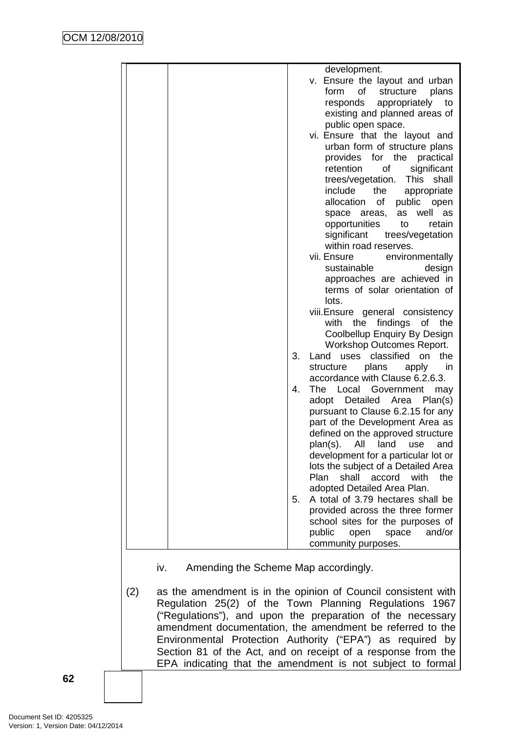|                                                                                                                                                                                                                                                                                                                                                                                                                                                      |                                      | 3.<br>4.<br>5. | development.<br>v. Ensure the layout and urban<br>of<br>form<br>structure<br>plans<br>responds<br>appropriately<br>to<br>existing and planned areas of<br>public open space.<br>vi. Ensure that the layout and<br>urban form of structure plans<br>provides for the<br>practical<br>retention<br>significant<br>οf<br>shall<br>trees/vegetation.<br>This<br>include<br>the<br>appropriate<br>allocation<br>of<br>public<br>open<br>as well<br>as<br>space areas,<br>opportunities<br>retain<br>to<br>significant<br>trees/vegetation<br>within road reserves.<br>vii. Ensure<br>environmentally<br>sustainable<br>design<br>approaches are achieved in<br>terms of solar orientation of<br>lots.<br>viii.Ensure general consistency<br>with the findings of the<br>Coolbellup Enquiry By Design<br><b>Workshop Outcomes Report.</b><br>classified<br>Land<br>uses<br>on<br>the<br>structure<br>plans<br>apply<br>in<br>accordance with Clause 6.2.6.3.<br>The Local Government<br>may<br>adopt Detailed Area<br>Plan(s)<br>pursuant to Clause 6.2.15 for any<br>part of the Development Area as<br>defined on the approved structure<br>All<br>plan(s).<br>land<br>use<br>and<br>development for a particular lot or<br>lots the subject of a Detailed Area<br>shall accord<br>Plan<br>with<br>the<br>adopted Detailed Area Plan.<br>A total of 3.79 hectares shall be<br>provided across the three former<br>school sites for the purposes of<br>public<br>space<br>and/or<br>open<br>community purposes. |  |  |  |
|------------------------------------------------------------------------------------------------------------------------------------------------------------------------------------------------------------------------------------------------------------------------------------------------------------------------------------------------------------------------------------------------------------------------------------------------------|--------------------------------------|----------------|------------------------------------------------------------------------------------------------------------------------------------------------------------------------------------------------------------------------------------------------------------------------------------------------------------------------------------------------------------------------------------------------------------------------------------------------------------------------------------------------------------------------------------------------------------------------------------------------------------------------------------------------------------------------------------------------------------------------------------------------------------------------------------------------------------------------------------------------------------------------------------------------------------------------------------------------------------------------------------------------------------------------------------------------------------------------------------------------------------------------------------------------------------------------------------------------------------------------------------------------------------------------------------------------------------------------------------------------------------------------------------------------------------------------------------------------------------------------------------------------------------|--|--|--|
|                                                                                                                                                                                                                                                                                                                                                                                                                                                      |                                      |                |                                                                                                                                                                                                                                                                                                                                                                                                                                                                                                                                                                                                                                                                                                                                                                                                                                                                                                                                                                                                                                                                                                                                                                                                                                                                                                                                                                                                                                                                                                            |  |  |  |
| iv.                                                                                                                                                                                                                                                                                                                                                                                                                                                  | Amending the Scheme Map accordingly. |                |                                                                                                                                                                                                                                                                                                                                                                                                                                                                                                                                                                                                                                                                                                                                                                                                                                                                                                                                                                                                                                                                                                                                                                                                                                                                                                                                                                                                                                                                                                            |  |  |  |
| (2)<br>as the amendment is in the opinion of Council consistent with<br>Regulation 25(2) of the Town Planning Regulations 1967<br>("Regulations"), and upon the preparation of the necessary<br>amendment documentation, the amendment be referred to the<br>Environmental Protection Authority ("EPA") as required by<br>Section 81 of the Act, and on receipt of a response from the<br>EPA indicating that the amendment is not subject to formal |                                      |                |                                                                                                                                                                                                                                                                                                                                                                                                                                                                                                                                                                                                                                                                                                                                                                                                                                                                                                                                                                                                                                                                                                                                                                                                                                                                                                                                                                                                                                                                                                            |  |  |  |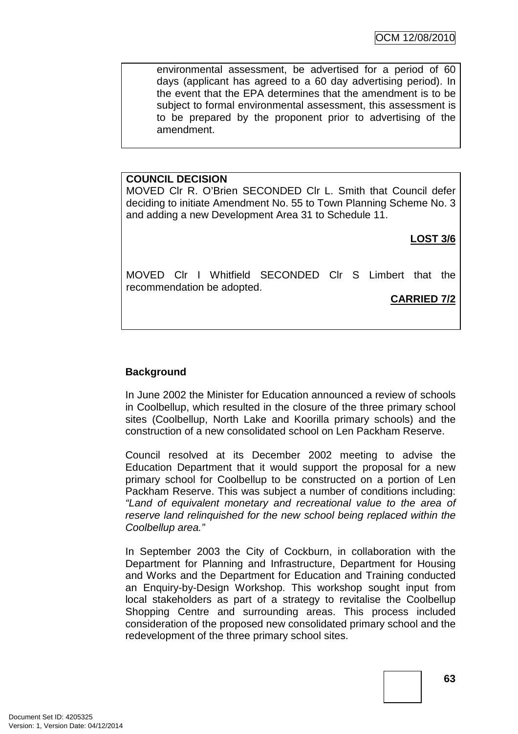environmental assessment, be advertised for a period of 60 days (applicant has agreed to a 60 day advertising period). In the event that the EPA determines that the amendment is to be subject to formal environmental assessment, this assessment is to be prepared by the proponent prior to advertising of the amendment.

## **COUNCIL DECISION**

MOVED Clr R. O'Brien SECONDED Clr L. Smith that Council defer deciding to initiate Amendment No. 55 to Town Planning Scheme No. 3 and adding a new Development Area 31 to Schedule 11.

# **LOST 3/6**

MOVED Clr I Whitfield SECONDED Clr S Limbert that the recommendation be adopted.

**CARRIED 7/2**

# **Background**

In June 2002 the Minister for Education announced a review of schools in Coolbellup, which resulted in the closure of the three primary school sites (Coolbellup, North Lake and Koorilla primary schools) and the construction of a new consolidated school on Len Packham Reserve.

Council resolved at its December 2002 meeting to advise the Education Department that it would support the proposal for a new primary school for Coolbellup to be constructed on a portion of Len Packham Reserve. This was subject a number of conditions including: "Land of equivalent monetary and recreational value to the area of reserve land relinquished for the new school being replaced within the Coolbellup area."

In September 2003 the City of Cockburn, in collaboration with the Department for Planning and Infrastructure, Department for Housing and Works and the Department for Education and Training conducted an Enquiry-by-Design Workshop. This workshop sought input from local stakeholders as part of a strategy to revitalise the Coolbellup Shopping Centre and surrounding areas. This process included consideration of the proposed new consolidated primary school and the redevelopment of the three primary school sites.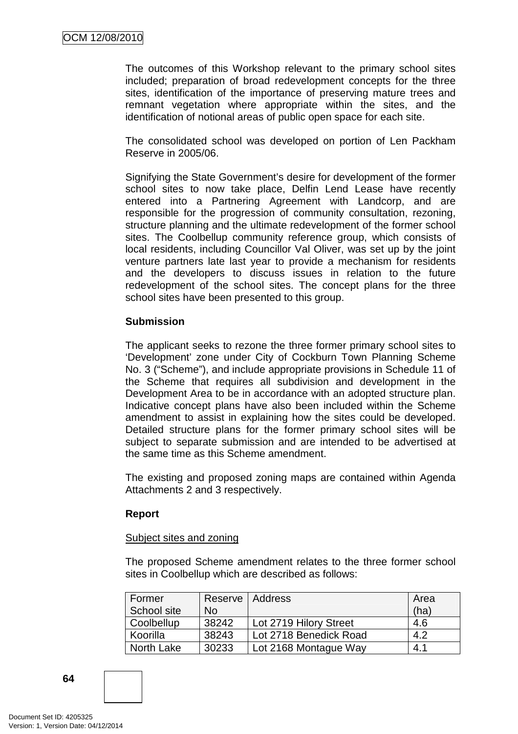The outcomes of this Workshop relevant to the primary school sites included; preparation of broad redevelopment concepts for the three sites, identification of the importance of preserving mature trees and remnant vegetation where appropriate within the sites, and the identification of notional areas of public open space for each site.

The consolidated school was developed on portion of Len Packham Reserve in 2005/06.

Signifying the State Government's desire for development of the former school sites to now take place, Delfin Lend Lease have recently entered into a Partnering Agreement with Landcorp, and are responsible for the progression of community consultation, rezoning, structure planning and the ultimate redevelopment of the former school sites. The Coolbellup community reference group, which consists of local residents, including Councillor Val Oliver, was set up by the joint venture partners late last year to provide a mechanism for residents and the developers to discuss issues in relation to the future redevelopment of the school sites. The concept plans for the three school sites have been presented to this group.

#### **Submission**

The applicant seeks to rezone the three former primary school sites to 'Development' zone under City of Cockburn Town Planning Scheme No. 3 ("Scheme"), and include appropriate provisions in Schedule 11 of the Scheme that requires all subdivision and development in the Development Area to be in accordance with an adopted structure plan. Indicative concept plans have also been included within the Scheme amendment to assist in explaining how the sites could be developed. Detailed structure plans for the former primary school sites will be subject to separate submission and are intended to be advertised at the same time as this Scheme amendment.

The existing and proposed zoning maps are contained within Agenda Attachments 2 and 3 respectively.

#### **Report**

#### Subject sites and zoning

The proposed Scheme amendment relates to the three former school sites in Coolbellup which are described as follows:

| Former      | Reserve   Address |                        | Area |
|-------------|-------------------|------------------------|------|
| School site | <b>No</b>         |                        | (ha) |
| Coolbellup  | 38242             | Lot 2719 Hilory Street | 4.6  |
| Koorilla    | 38243             | Lot 2718 Benedick Road | 4.2  |
| North Lake  | 30233             | Lot 2168 Montague Way  | 4.1  |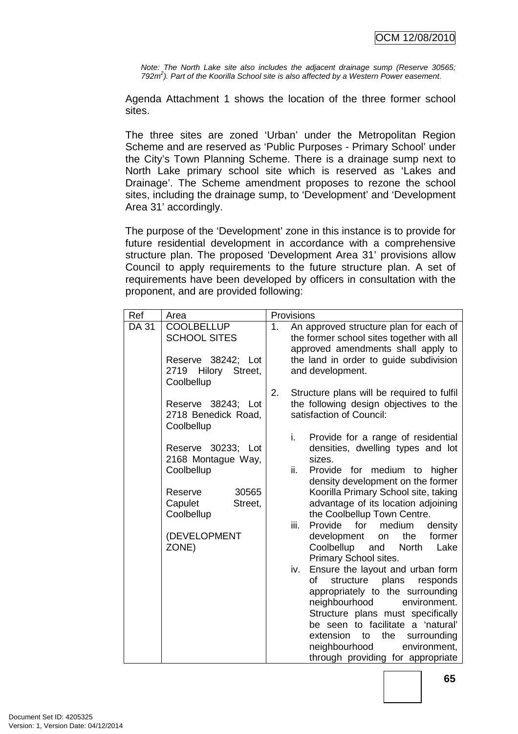Note: The North Lake site also includes the adjacent drainage sump (Reserve 30565;  $792m<sup>2</sup>$ ). Part of the Koorilla School site is also affected by a Western Power easement.

Agenda Attachment 1 shows the location of the three former school sites.

The three sites are zoned 'Urban' under the Metropolitan Region Scheme and are reserved as 'Public Purposes - Primary School' under the City's Town Planning Scheme. There is a drainage sump next to North Lake primary school site which is reserved as 'Lakes and Drainage'. The Scheme amendment proposes to rezone the school sites, including the drainage sump, to 'Development' and 'Development Area 31' accordingly.

The purpose of the 'Development' zone in this instance is to provide for future residential development in accordance with a comprehensive structure plan. The proposed 'Development Area 31' provisions allow Council to apply requirements to the future structure plan. A set of requirements have been developed by officers in consultation with the proponent, and are provided following:

| Ref          | Area                                                                                                |    | Provisions                                                                                                                                                                                                                                                                                            |
|--------------|-----------------------------------------------------------------------------------------------------|----|-------------------------------------------------------------------------------------------------------------------------------------------------------------------------------------------------------------------------------------------------------------------------------------------------------|
| <b>DA 31</b> | <b>COOLBELLUP</b><br><b>SCHOOL SITES</b><br>Reserve 38242; Lot<br>2719 Hilory Street,<br>Coolbellup | 1. | An approved structure plan for each of<br>the former school sites together with all<br>approved amendments shall apply to<br>the land in order to guide subdivision<br>and development.                                                                                                               |
|              | Reserve 38243; Lot<br>2718 Benedick Road,<br>Coolbellup                                             | 2. | Structure plans will be required to fulfil<br>the following design objectives to the<br>satisfaction of Council:                                                                                                                                                                                      |
|              | Reserve 30233; Lot<br>2168 Montague Way,<br>Coolbellup                                              |    | i.<br>Provide for a range of residential<br>densities, dwelling types and lot<br>sizes.<br>ii.<br>Provide for medium to<br>higher<br>density development on the former                                                                                                                                |
|              | 30565<br>Reserve<br>Capulet<br>Street,<br>Coolbellup                                                |    | Koorilla Primary School site, taking<br>advantage of its location adjoining<br>the Coolbellup Town Centre.<br>iii.<br>Provide<br>for<br>medium<br>density                                                                                                                                             |
|              | (DEVELOPMENT<br>ZONE)                                                                               |    | development<br>the<br>former<br>on<br>Coolbellup and<br>North<br>Lake<br>Primary School sites.                                                                                                                                                                                                        |
|              |                                                                                                     |    | Ensure the layout and urban form<br>iv.<br>plans<br>of<br>structure<br>responds<br>appropriately to the surrounding<br>neighbourhood<br>environment.<br>Structure plans must specifically<br>be seen to facilitate a 'natural'<br>the<br>extension to<br>surrounding<br>neighbourhood<br>environment, |
|              |                                                                                                     |    | through providing for appropriate                                                                                                                                                                                                                                                                     |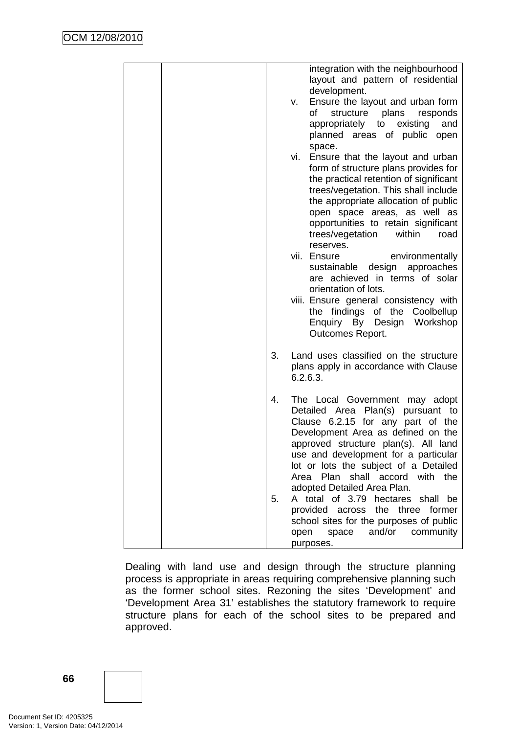|          | integration with the neighbourhood<br>layout and pattern of residential<br>development.<br>Ensure the layout and urban form<br>v.<br>structure plans<br>οf<br>responds<br>appropriately to<br>existing<br>and<br>planned areas of public open<br>space.<br>Ensure that the layout and urban<br>vi.<br>form of structure plans provides for<br>the practical retention of significant<br>trees/vegetation. This shall include<br>the appropriate allocation of public<br>open space areas, as well as<br>opportunities to retain significant<br>trees/vegetation<br>within<br>road<br>reserves.<br>vii. Ensure<br>environmentally<br>sustainable design<br>approaches<br>are achieved in terms of solar<br>orientation of lots.<br>viii. Ensure general consistency with<br>the findings of the Coolbellup<br>Enquiry By Design Workshop<br>Outcomes Report. |
|----------|-------------------------------------------------------------------------------------------------------------------------------------------------------------------------------------------------------------------------------------------------------------------------------------------------------------------------------------------------------------------------------------------------------------------------------------------------------------------------------------------------------------------------------------------------------------------------------------------------------------------------------------------------------------------------------------------------------------------------------------------------------------------------------------------------------------------------------------------------------------|
| 3.       | Land uses classified on the structure<br>plans apply in accordance with Clause<br>6.2.6.3.                                                                                                                                                                                                                                                                                                                                                                                                                                                                                                                                                                                                                                                                                                                                                                  |
| 4.<br>5. | The Local Government may adopt<br>Area Plan(s)<br>Detailed<br>pursuant to<br>Clause 6.2.15 for any part of the<br>Development Area as defined on the<br>approved structure plan(s). All land<br>use and development for a particular<br>lot or lots the subject of a Detailed<br>Plan<br>shall accord<br>with<br>Area<br>the<br>adopted Detailed Area Plan.<br>A total of 3.79<br>hectares<br>shall<br>be<br>provided<br>the<br>three<br>former<br>across<br>school sites for the purposes of public<br>and/or<br>community<br>open<br>space<br>purposes.                                                                                                                                                                                                                                                                                                   |

Dealing with land use and design through the structure planning process is appropriate in areas requiring comprehensive planning such as the former school sites. Rezoning the sites 'Development' and 'Development Area 31' establishes the statutory framework to require structure plans for each of the school sites to be prepared and approved.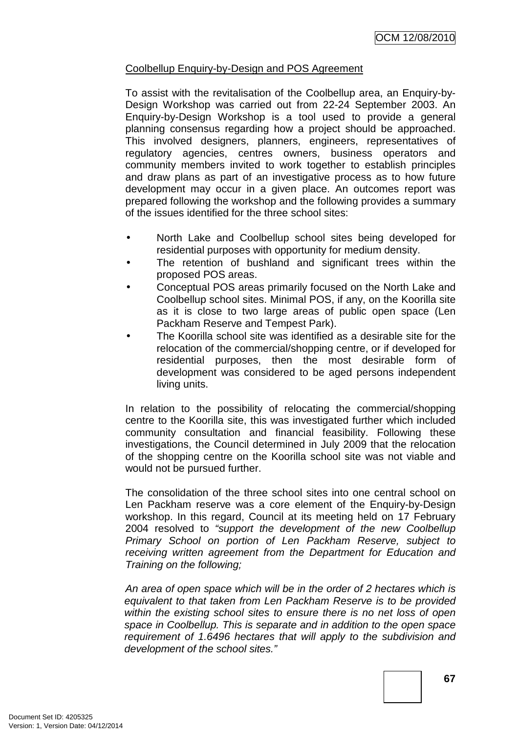# Coolbellup Enquiry-by-Design and POS Agreement

To assist with the revitalisation of the Coolbellup area, an Enquiry-by-Design Workshop was carried out from 22-24 September 2003. An Enquiry-by-Design Workshop is a tool used to provide a general planning consensus regarding how a project should be approached. This involved designers, planners, engineers, representatives of regulatory agencies, centres owners, business operators and community members invited to work together to establish principles and draw plans as part of an investigative process as to how future development may occur in a given place. An outcomes report was prepared following the workshop and the following provides a summary of the issues identified for the three school sites:

- North Lake and Coolbellup school sites being developed for residential purposes with opportunity for medium density.
- The retention of bushland and significant trees within the proposed POS areas.
- Conceptual POS areas primarily focused on the North Lake and Coolbellup school sites. Minimal POS, if any, on the Koorilla site as it is close to two large areas of public open space (Len Packham Reserve and Tempest Park).
- The Koorilla school site was identified as a desirable site for the relocation of the commercial/shopping centre, or if developed for residential purposes, then the most desirable form of development was considered to be aged persons independent living units.

In relation to the possibility of relocating the commercial/shopping centre to the Koorilla site, this was investigated further which included community consultation and financial feasibility. Following these investigations, the Council determined in July 2009 that the relocation of the shopping centre on the Koorilla school site was not viable and would not be pursued further.

The consolidation of the three school sites into one central school on Len Packham reserve was a core element of the Enquiry-by-Design workshop. In this regard, Council at its meeting held on 17 February 2004 resolved to "support the development of the new Coolbellup Primary School on portion of Len Packham Reserve, subject to receiving written agreement from the Department for Education and Training on the following;

An area of open space which will be in the order of 2 hectares which is equivalent to that taken from Len Packham Reserve is to be provided within the existing school sites to ensure there is no net loss of open space in Coolbellup. This is separate and in addition to the open space requirement of 1.6496 hectares that will apply to the subdivision and development of the school sites."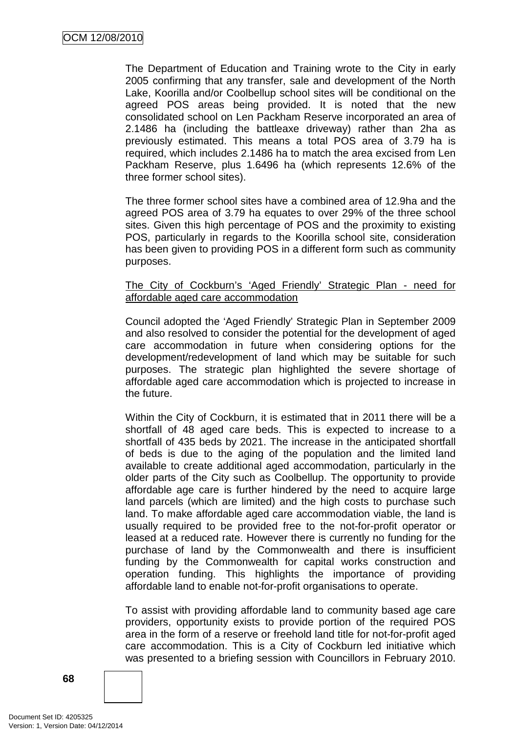The Department of Education and Training wrote to the City in early 2005 confirming that any transfer, sale and development of the North Lake, Koorilla and/or Coolbellup school sites will be conditional on the agreed POS areas being provided. It is noted that the new consolidated school on Len Packham Reserve incorporated an area of 2.1486 ha (including the battleaxe driveway) rather than 2ha as previously estimated. This means a total POS area of 3.79 ha is required, which includes 2.1486 ha to match the area excised from Len Packham Reserve, plus 1.6496 ha (which represents 12.6% of the three former school sites).

The three former school sites have a combined area of 12.9ha and the agreed POS area of 3.79 ha equates to over 29% of the three school sites. Given this high percentage of POS and the proximity to existing POS, particularly in regards to the Koorilla school site, consideration has been given to providing POS in a different form such as community purposes.

#### The City of Cockburn's 'Aged Friendly' Strategic Plan - need for affordable aged care accommodation

Council adopted the 'Aged Friendly' Strategic Plan in September 2009 and also resolved to consider the potential for the development of aged care accommodation in future when considering options for the development/redevelopment of land which may be suitable for such purposes. The strategic plan highlighted the severe shortage of affordable aged care accommodation which is projected to increase in the future.

Within the City of Cockburn, it is estimated that in 2011 there will be a shortfall of 48 aged care beds. This is expected to increase to a shortfall of 435 beds by 2021. The increase in the anticipated shortfall of beds is due to the aging of the population and the limited land available to create additional aged accommodation, particularly in the older parts of the City such as Coolbellup. The opportunity to provide affordable age care is further hindered by the need to acquire large land parcels (which are limited) and the high costs to purchase such land. To make affordable aged care accommodation viable, the land is usually required to be provided free to the not-for-profit operator or leased at a reduced rate. However there is currently no funding for the purchase of land by the Commonwealth and there is insufficient funding by the Commonwealth for capital works construction and operation funding. This highlights the importance of providing affordable land to enable not-for-profit organisations to operate.

To assist with providing affordable land to community based age care providers, opportunity exists to provide portion of the required POS area in the form of a reserve or freehold land title for not-for-profit aged care accommodation. This is a City of Cockburn led initiative which was presented to a briefing session with Councillors in February 2010.

**68**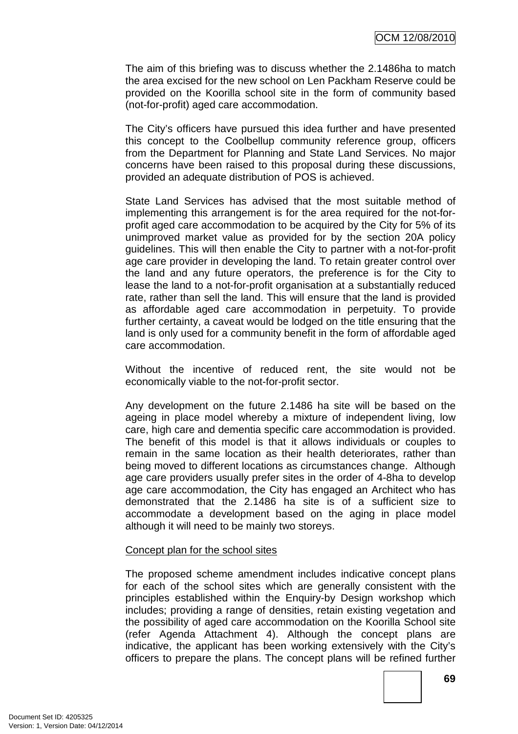The aim of this briefing was to discuss whether the 2.1486ha to match the area excised for the new school on Len Packham Reserve could be provided on the Koorilla school site in the form of community based (not-for-profit) aged care accommodation.

The City's officers have pursued this idea further and have presented this concept to the Coolbellup community reference group, officers from the Department for Planning and State Land Services. No major concerns have been raised to this proposal during these discussions, provided an adequate distribution of POS is achieved.

State Land Services has advised that the most suitable method of implementing this arrangement is for the area required for the not-forprofit aged care accommodation to be acquired by the City for 5% of its unimproved market value as provided for by the section 20A policy guidelines. This will then enable the City to partner with a not-for-profit age care provider in developing the land. To retain greater control over the land and any future operators, the preference is for the City to lease the land to a not-for-profit organisation at a substantially reduced rate, rather than sell the land. This will ensure that the land is provided as affordable aged care accommodation in perpetuity. To provide further certainty, a caveat would be lodged on the title ensuring that the land is only used for a community benefit in the form of affordable aged care accommodation.

Without the incentive of reduced rent, the site would not be economically viable to the not-for-profit sector.

Any development on the future 2.1486 ha site will be based on the ageing in place model whereby a mixture of independent living, low care, high care and dementia specific care accommodation is provided. The benefit of this model is that it allows individuals or couples to remain in the same location as their health deteriorates, rather than being moved to different locations as circumstances change. Although age care providers usually prefer sites in the order of 4-8ha to develop age care accommodation, the City has engaged an Architect who has demonstrated that the 2.1486 ha site is of a sufficient size to accommodate a development based on the aging in place model although it will need to be mainly two storeys.

# Concept plan for the school sites

The proposed scheme amendment includes indicative concept plans for each of the school sites which are generally consistent with the principles established within the Enquiry-by Design workshop which includes; providing a range of densities, retain existing vegetation and the possibility of aged care accommodation on the Koorilla School site (refer Agenda Attachment 4). Although the concept plans are indicative, the applicant has been working extensively with the City's officers to prepare the plans. The concept plans will be refined further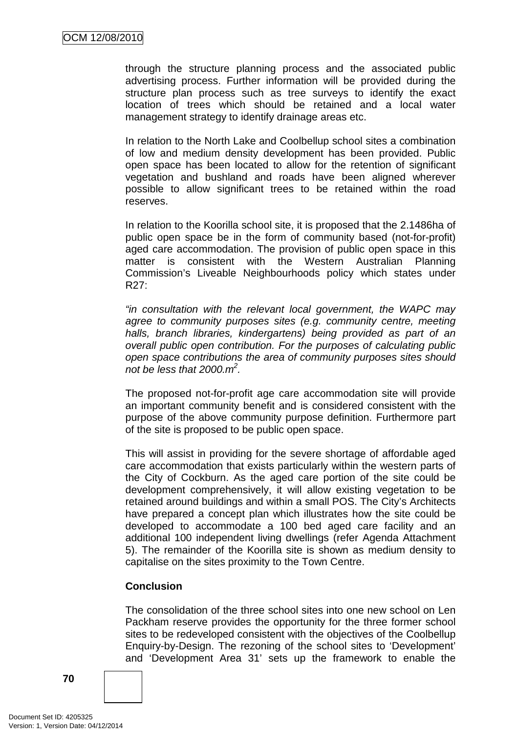through the structure planning process and the associated public advertising process. Further information will be provided during the structure plan process such as tree surveys to identify the exact location of trees which should be retained and a local water management strategy to identify drainage areas etc.

In relation to the North Lake and Coolbellup school sites a combination of low and medium density development has been provided. Public open space has been located to allow for the retention of significant vegetation and bushland and roads have been aligned wherever possible to allow significant trees to be retained within the road reserves.

In relation to the Koorilla school site, it is proposed that the 2.1486ha of public open space be in the form of community based (not-for-profit) aged care accommodation. The provision of public open space in this matter is consistent with the Western Australian Planning Commission's Liveable Neighbourhoods policy which states under R27:

"in consultation with the relevant local government, the WAPC may agree to community purposes sites (e.g. community centre, meeting halls, branch libraries, kindergartens) being provided as part of an overall public open contribution. For the purposes of calculating public open space contributions the area of community purposes sites should not be less that  $2000 \cdot m^2$ .

The proposed not-for-profit age care accommodation site will provide an important community benefit and is considered consistent with the purpose of the above community purpose definition. Furthermore part of the site is proposed to be public open space.

This will assist in providing for the severe shortage of affordable aged care accommodation that exists particularly within the western parts of the City of Cockburn. As the aged care portion of the site could be development comprehensively, it will allow existing vegetation to be retained around buildings and within a small POS. The City's Architects have prepared a concept plan which illustrates how the site could be developed to accommodate a 100 bed aged care facility and an additional 100 independent living dwellings (refer Agenda Attachment 5). The remainder of the Koorilla site is shown as medium density to capitalise on the sites proximity to the Town Centre.

# **Conclusion**

The consolidation of the three school sites into one new school on Len Packham reserve provides the opportunity for the three former school sites to be redeveloped consistent with the objectives of the Coolbellup Enquiry-by-Design. The rezoning of the school sites to 'Development' and 'Development Area 31' sets up the framework to enable the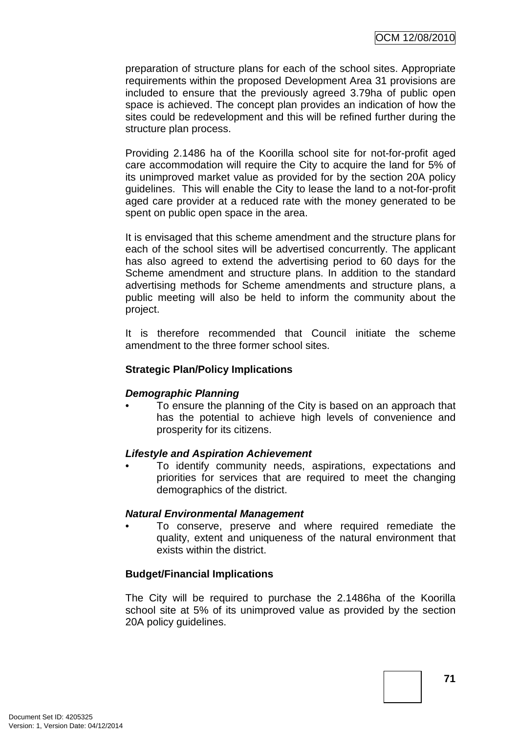preparation of structure plans for each of the school sites. Appropriate requirements within the proposed Development Area 31 provisions are included to ensure that the previously agreed 3.79ha of public open space is achieved. The concept plan provides an indication of how the sites could be redevelopment and this will be refined further during the structure plan process.

Providing 2.1486 ha of the Koorilla school site for not-for-profit aged care accommodation will require the City to acquire the land for 5% of its unimproved market value as provided for by the section 20A policy guidelines. This will enable the City to lease the land to a not-for-profit aged care provider at a reduced rate with the money generated to be spent on public open space in the area.

It is envisaged that this scheme amendment and the structure plans for each of the school sites will be advertised concurrently. The applicant has also agreed to extend the advertising period to 60 days for the Scheme amendment and structure plans. In addition to the standard advertising methods for Scheme amendments and structure plans, a public meeting will also be held to inform the community about the project.

It is therefore recommended that Council initiate the scheme amendment to the three former school sites.

# **Strategic Plan/Policy Implications**

# **Demographic Planning**

• To ensure the planning of the City is based on an approach that has the potential to achieve high levels of convenience and prosperity for its citizens.

# **Lifestyle and Aspiration Achievement**

• To identify community needs, aspirations, expectations and priorities for services that are required to meet the changing demographics of the district.

# **Natural Environmental Management**

• To conserve, preserve and where required remediate the quality, extent and uniqueness of the natural environment that exists within the district.

# **Budget/Financial Implications**

The City will be required to purchase the 2.1486ha of the Koorilla school site at 5% of its unimproved value as provided by the section 20A policy guidelines.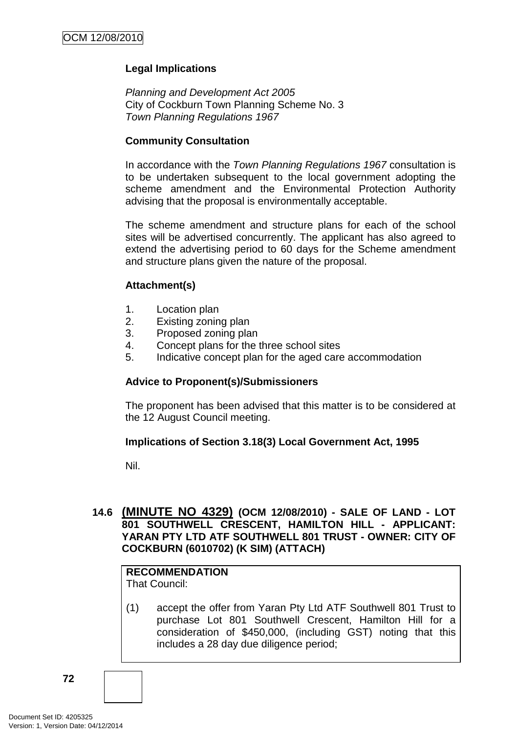# **Legal Implications**

Planning and Development Act 2005 City of Cockburn Town Planning Scheme No. 3 Town Planning Regulations 1967

# **Community Consultation**

In accordance with the Town Planning Regulations 1967 consultation is to be undertaken subsequent to the local government adopting the scheme amendment and the Environmental Protection Authority advising that the proposal is environmentally acceptable.

The scheme amendment and structure plans for each of the school sites will be advertised concurrently. The applicant has also agreed to extend the advertising period to 60 days for the Scheme amendment and structure plans given the nature of the proposal.

# **Attachment(s)**

- 1. Location plan
- 2. Existing zoning plan
- 3. Proposed zoning plan
- 4. Concept plans for the three school sites
- 5. Indicative concept plan for the aged care accommodation

# **Advice to Proponent(s)/Submissioners**

The proponent has been advised that this matter is to be considered at the 12 August Council meeting.

# **Implications of Section 3.18(3) Local Government Act, 1995**

Nil.

# **14.6 (MINUTE NO 4329) (OCM 12/08/2010) - SALE OF LAND - LOT 801 SOUTHWELL CRESCENT, HAMILTON HILL - APPLICANT: YARAN PTY LTD ATF SOUTHWELL 801 TRUST - OWNER: CITY OF COCKBURN (6010702) (K SIM) (ATTACH)**

#### **RECOMMENDATION** That Council:

(1) accept the offer from Yaran Pty Ltd ATF Southwell 801 Trust to purchase Lot 801 Southwell Crescent, Hamilton Hill for a consideration of \$450,000, (including GST) noting that this includes a 28 day due diligence period;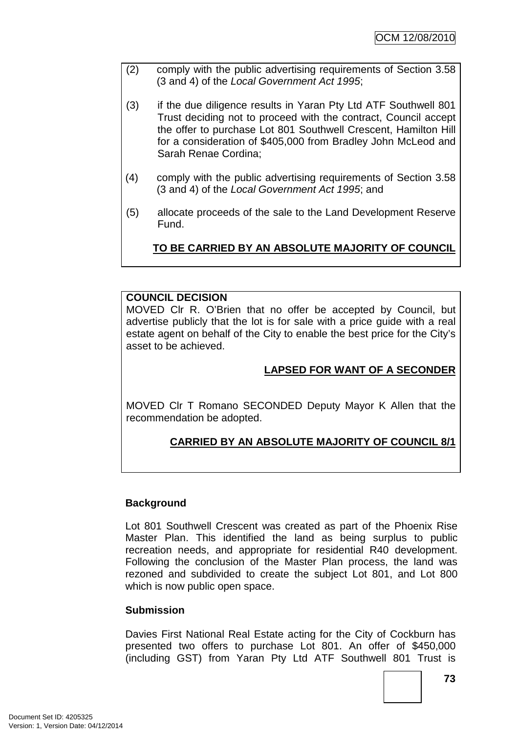- (2) comply with the public advertising requirements of Section 3.58 (3 and 4) of the Local Government Act 1995;
- (3) if the due diligence results in Yaran Pty Ltd ATF Southwell 801 Trust deciding not to proceed with the contract, Council accept the offer to purchase Lot 801 Southwell Crescent, Hamilton Hill for a consideration of \$405,000 from Bradley John McLeod and Sarah Renae Cordina;
- (4) comply with the public advertising requirements of Section 3.58 (3 and 4) of the Local Government Act 1995; and
- (5) allocate proceeds of the sale to the Land Development Reserve Fund.

# **TO BE CARRIED BY AN ABSOLUTE MAJORITY OF COUNCIL**

# **COUNCIL DECISION**

MOVED Clr R. O'Brien that no offer be accepted by Council, but advertise publicly that the lot is for sale with a price guide with a real estate agent on behalf of the City to enable the best price for the City's asset to be achieved.

# **LAPSED FOR WANT OF A SECONDER**

MOVED Clr T Romano SECONDED Deputy Mayor K Allen that the recommendation be adopted.

# **CARRIED BY AN ABSOLUTE MAJORITY OF COUNCIL 8/1**

# **Background**

Lot 801 Southwell Crescent was created as part of the Phoenix Rise Master Plan. This identified the land as being surplus to public recreation needs, and appropriate for residential R40 development. Following the conclusion of the Master Plan process, the land was rezoned and subdivided to create the subject Lot 801, and Lot 800 which is now public open space.

# **Submission**

Davies First National Real Estate acting for the City of Cockburn has presented two offers to purchase Lot 801. An offer of \$450,000 (including GST) from Yaran Pty Ltd ATF Southwell 801 Trust is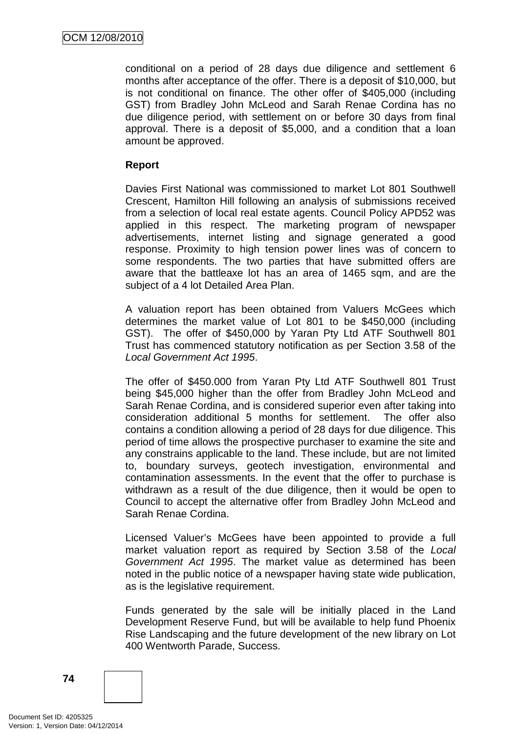conditional on a period of 28 days due diligence and settlement 6 months after acceptance of the offer. There is a deposit of \$10,000, but is not conditional on finance. The other offer of \$405,000 (including GST) from Bradley John McLeod and Sarah Renae Cordina has no due diligence period, with settlement on or before 30 days from final approval. There is a deposit of \$5,000, and a condition that a loan amount be approved.

# **Report**

Davies First National was commissioned to market Lot 801 Southwell Crescent, Hamilton Hill following an analysis of submissions received from a selection of local real estate agents. Council Policy APD52 was applied in this respect. The marketing program of newspaper advertisements, internet listing and signage generated a good response. Proximity to high tension power lines was of concern to some respondents. The two parties that have submitted offers are aware that the battleaxe lot has an area of 1465 sqm, and are the subject of a 4 lot Detailed Area Plan.

A valuation report has been obtained from Valuers McGees which determines the market value of Lot 801 to be \$450,000 (including GST). The offer of \$450,000 by Yaran Pty Ltd ATF Southwell 801 Trust has commenced statutory notification as per Section 3.58 of the Local Government Act 1995.

The offer of \$450.000 from Yaran Pty Ltd ATF Southwell 801 Trust being \$45,000 higher than the offer from Bradley John McLeod and Sarah Renae Cordina, and is considered superior even after taking into consideration additional 5 months for settlement. The offer also contains a condition allowing a period of 28 days for due diligence. This period of time allows the prospective purchaser to examine the site and any constrains applicable to the land. These include, but are not limited to, boundary surveys, geotech investigation, environmental and contamination assessments. In the event that the offer to purchase is withdrawn as a result of the due diligence, then it would be open to Council to accept the alternative offer from Bradley John McLeod and Sarah Renae Cordina.

Licensed Valuer's McGees have been appointed to provide a full market valuation report as required by Section 3.58 of the Local Government Act 1995. The market value as determined has been noted in the public notice of a newspaper having state wide publication, as is the legislative requirement.

Funds generated by the sale will be initially placed in the Land Development Reserve Fund, but will be available to help fund Phoenix Rise Landscaping and the future development of the new library on Lot 400 Wentworth Parade, Success.

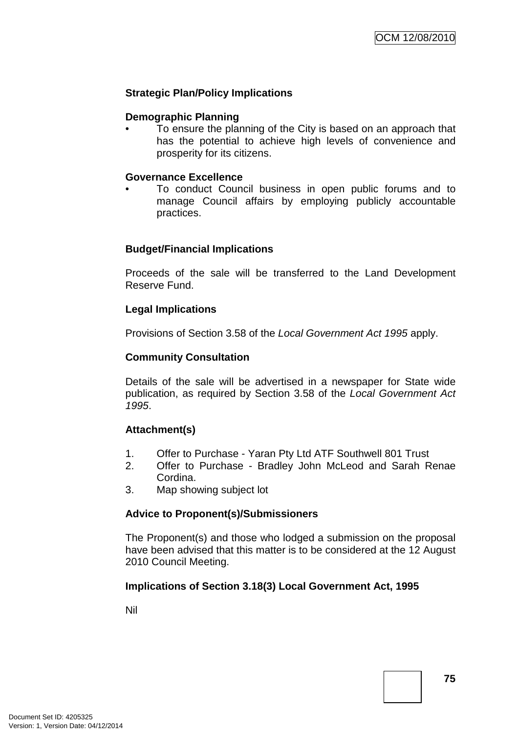# **Strategic Plan/Policy Implications**

# **Demographic Planning**

• To ensure the planning of the City is based on an approach that has the potential to achieve high levels of convenience and prosperity for its citizens.

### **Governance Excellence**

• To conduct Council business in open public forums and to manage Council affairs by employing publicly accountable practices.

# **Budget/Financial Implications**

Proceeds of the sale will be transferred to the Land Development Reserve Fund.

# **Legal Implications**

Provisions of Section 3.58 of the Local Government Act 1995 apply.

# **Community Consultation**

Details of the sale will be advertised in a newspaper for State wide publication, as required by Section 3.58 of the Local Government Act 1995.

# **Attachment(s)**

- 1. Offer to Purchase Yaran Pty Ltd ATF Southwell 801 Trust
- 2. Offer to Purchase Bradley John McLeod and Sarah Renae Cordina.
- 3. Map showing subject lot

# **Advice to Proponent(s)/Submissioners**

The Proponent(s) and those who lodged a submission on the proposal have been advised that this matter is to be considered at the 12 August 2010 Council Meeting.

# **Implications of Section 3.18(3) Local Government Act, 1995**

Nil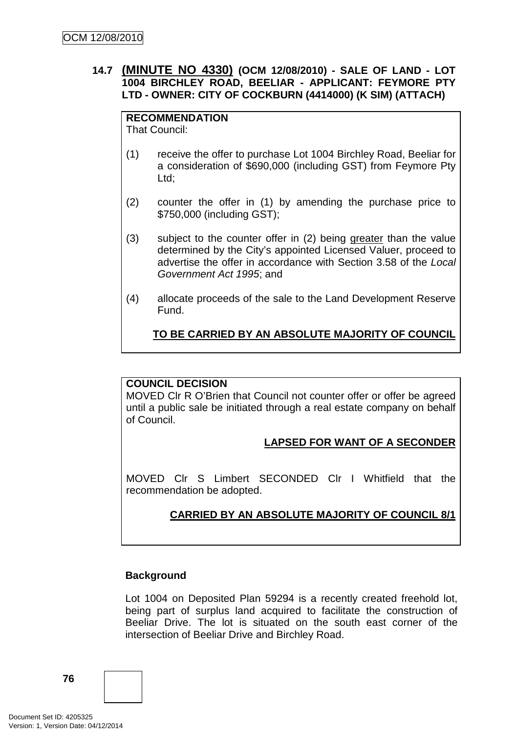# **14.7 (MINUTE NO 4330) (OCM 12/08/2010) - SALE OF LAND - LOT 1004 BIRCHLEY ROAD, BEELIAR - APPLICANT: FEYMORE PTY LTD - OWNER: CITY OF COCKBURN (4414000) (K SIM) (ATTACH)**

#### **RECOMMENDATION** That Council:

(1) receive the offer to purchase Lot 1004 Birchley Road, Beeliar for a consideration of \$690,000 (including GST) from Feymore Pty Ltd;

- (2) counter the offer in (1) by amending the purchase price to \$750,000 (including GST);
- (3) subject to the counter offer in (2) being greater than the value determined by the City's appointed Licensed Valuer, proceed to advertise the offer in accordance with Section 3.58 of the Local Government Act 1995; and
- (4) allocate proceeds of the sale to the Land Development Reserve Fund.

# **TO BE CARRIED BY AN ABSOLUTE MAJORITY OF COUNCIL**

# **COUNCIL DECISION**

MOVED Clr R O'Brien that Council not counter offer or offer be agreed until a public sale be initiated through a real estate company on behalf of Council.

# **LAPSED FOR WANT OF A SECONDER**

MOVED Clr S Limbert SECONDED Clr I Whitfield that the recommendation be adopted.

# **CARRIED BY AN ABSOLUTE MAJORITY OF COUNCIL 8/1**

# **Background**

Lot 1004 on Deposited Plan 59294 is a recently created freehold lot, being part of surplus land acquired to facilitate the construction of Beeliar Drive. The lot is situated on the south east corner of the intersection of Beeliar Drive and Birchley Road.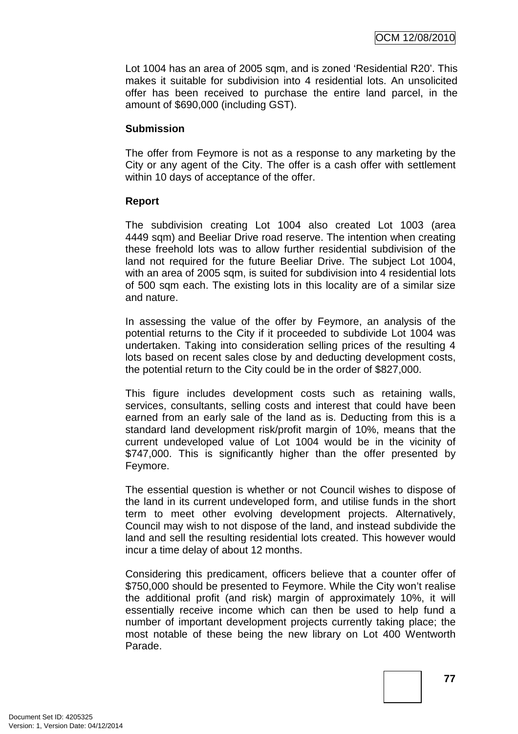Lot 1004 has an area of 2005 sqm, and is zoned 'Residential R20'. This makes it suitable for subdivision into 4 residential lots. An unsolicited offer has been received to purchase the entire land parcel, in the amount of \$690,000 (including GST).

### **Submission**

The offer from Feymore is not as a response to any marketing by the City or any agent of the City. The offer is a cash offer with settlement within 10 days of acceptance of the offer.

#### **Report**

The subdivision creating Lot 1004 also created Lot 1003 (area 4449 sqm) and Beeliar Drive road reserve. The intention when creating these freehold lots was to allow further residential subdivision of the land not required for the future Beeliar Drive. The subject Lot 1004, with an area of 2005 sqm, is suited for subdivision into 4 residential lots of 500 sqm each. The existing lots in this locality are of a similar size and nature.

In assessing the value of the offer by Feymore, an analysis of the potential returns to the City if it proceeded to subdivide Lot 1004 was undertaken. Taking into consideration selling prices of the resulting 4 lots based on recent sales close by and deducting development costs, the potential return to the City could be in the order of \$827,000.

This figure includes development costs such as retaining walls, services, consultants, selling costs and interest that could have been earned from an early sale of the land as is. Deducting from this is a standard land development risk/profit margin of 10%, means that the current undeveloped value of Lot 1004 would be in the vicinity of \$747,000. This is significantly higher than the offer presented by Feymore.

The essential question is whether or not Council wishes to dispose of the land in its current undeveloped form, and utilise funds in the short term to meet other evolving development projects. Alternatively, Council may wish to not dispose of the land, and instead subdivide the land and sell the resulting residential lots created. This however would incur a time delay of about 12 months.

Considering this predicament, officers believe that a counter offer of \$750,000 should be presented to Feymore. While the City won't realise the additional profit (and risk) margin of approximately 10%, it will essentially receive income which can then be used to help fund a number of important development projects currently taking place; the most notable of these being the new library on Lot 400 Wentworth Parade.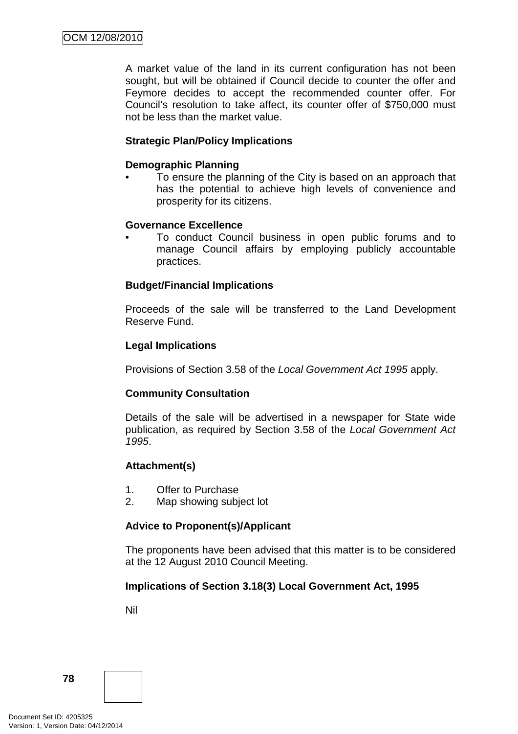A market value of the land in its current configuration has not been sought, but will be obtained if Council decide to counter the offer and Feymore decides to accept the recommended counter offer. For Council's resolution to take affect, its counter offer of \$750,000 must not be less than the market value.

# **Strategic Plan/Policy Implications**

# **Demographic Planning**

• To ensure the planning of the City is based on an approach that has the potential to achieve high levels of convenience and prosperity for its citizens.

# **Governance Excellence**

• To conduct Council business in open public forums and to manage Council affairs by employing publicly accountable practices.

# **Budget/Financial Implications**

Proceeds of the sale will be transferred to the Land Development Reserve Fund.

# **Legal Implications**

Provisions of Section 3.58 of the Local Government Act 1995 apply.

# **Community Consultation**

Details of the sale will be advertised in a newspaper for State wide publication, as required by Section 3.58 of the Local Government Act 1995.

# **Attachment(s)**

- 1. Offer to Purchase
- 2. Map showing subject lot

# **Advice to Proponent(s)/Applicant**

The proponents have been advised that this matter is to be considered at the 12 August 2010 Council Meeting.

# **Implications of Section 3.18(3) Local Government Act, 1995**

Nil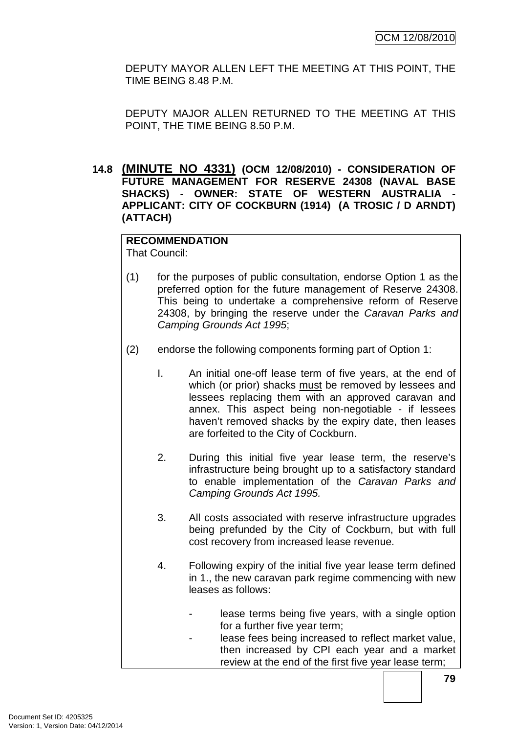DEPUTY MAYOR ALLEN LEFT THE MEETING AT THIS POINT, THE TIME BEING 8.48 P.M.

DEPUTY MAJOR ALLEN RETURNED TO THE MEETING AT THIS POINT, THE TIME BEING 8.50 P.M.

**14.8 (MINUTE NO 4331) (OCM 12/08/2010) - CONSIDERATION OF FUTURE MANAGEMENT FOR RESERVE 24308 (NAVAL BASE**  SHACKS) - OWNER: STATE OF WESTERN AUSTRALIA **APPLICANT: CITY OF COCKBURN (1914) (A TROSIC / D ARNDT) (ATTACH)** 

# **RECOMMENDATION**

That Council:

- (1) for the purposes of public consultation, endorse Option 1 as the preferred option for the future management of Reserve 24308. This being to undertake a comprehensive reform of Reserve 24308, by bringing the reserve under the Caravan Parks and Camping Grounds Act 1995;
- (2) endorse the following components forming part of Option 1:
	- I. An initial one-off lease term of five years, at the end of which (or prior) shacks must be removed by lessees and lessees replacing them with an approved caravan and annex. This aspect being non-negotiable - if lessees haven't removed shacks by the expiry date, then leases are forfeited to the City of Cockburn.
	- 2. During this initial five year lease term, the reserve's infrastructure being brought up to a satisfactory standard to enable implementation of the Caravan Parks and Camping Grounds Act 1995.
	- 3. All costs associated with reserve infrastructure upgrades being prefunded by the City of Cockburn, but with full cost recovery from increased lease revenue.
	- 4. Following expiry of the initial five year lease term defined in 1., the new caravan park regime commencing with new leases as follows:
		- lease terms being five years, with a single option for a further five year term;
		- lease fees being increased to reflect market value, then increased by CPI each year and a market review at the end of the first five year lease term;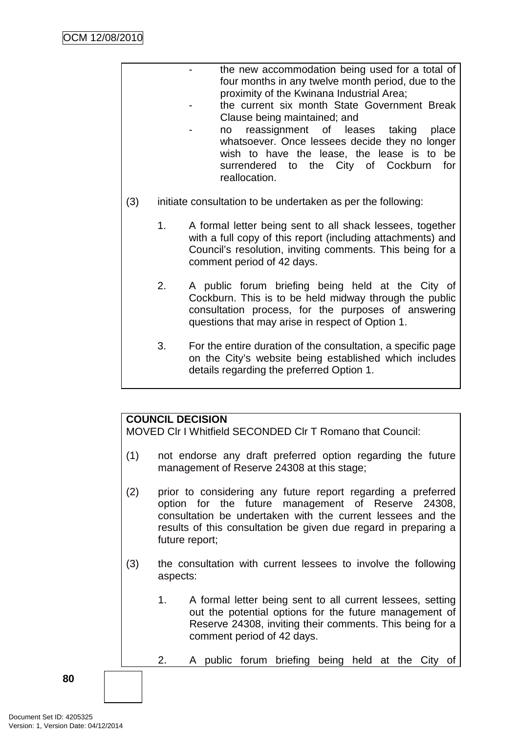|     |                                                              | the new accommodation being used for a total of<br>four months in any twelve month period, due to the<br>proximity of the Kwinana Industrial Area;<br>the current six month State Government Break<br>Clause being maintained; and<br>reassignment of leases taking<br>place<br>no<br>whatsoever. Once lessees decide they no longer<br>wish to have the lease, the lease is to be<br>surrendered to the City of Cockburn<br>for<br>reallocation. |  |
|-----|--------------------------------------------------------------|---------------------------------------------------------------------------------------------------------------------------------------------------------------------------------------------------------------------------------------------------------------------------------------------------------------------------------------------------------------------------------------------------------------------------------------------------|--|
| (3) | initiate consultation to be undertaken as per the following: |                                                                                                                                                                                                                                                                                                                                                                                                                                                   |  |
|     | 1.                                                           | A formal letter being sent to all shack lessees, together<br>with a full copy of this report (including attachments) and<br>Council's resolution, inviting comments. This being for a<br>comment period of 42 days.                                                                                                                                                                                                                               |  |
|     | 2.                                                           | A public forum briefing being held at the City of<br>Cockburn. This is to be held midway through the public<br>consultation process, for the purposes of answering<br>questions that may arise in respect of Option 1.                                                                                                                                                                                                                            |  |
|     | 3.                                                           | For the entire duration of the consultation, a specific page<br>on the City's website being established which includes<br>details regarding the preferred Option 1.                                                                                                                                                                                                                                                                               |  |

# **COUNCIL DECISION**

MOVED Clr I Whitfield SECONDED Clr T Romano that Council:

- (1) not endorse any draft preferred option regarding the future management of Reserve 24308 at this stage;
- (2) prior to considering any future report regarding a preferred option for the future management of Reserve 24308, consultation be undertaken with the current lessees and the results of this consultation be given due regard in preparing a future report;
- (3) the consultation with current lessees to involve the following aspects:
	- 1. A formal letter being sent to all current lessees, setting out the potential options for the future management of Reserve 24308, inviting their comments. This being for a comment period of 42 days.
	- 2. A public forum briefing being held at the City of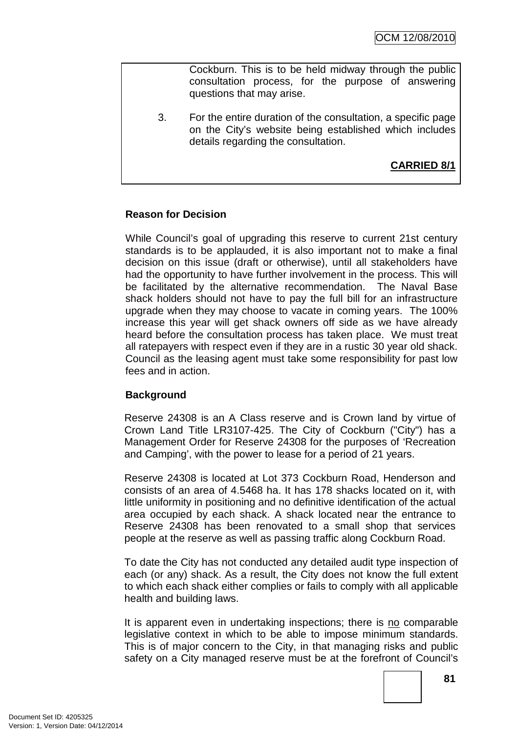Cockburn. This is to be held midway through the public consultation process, for the purpose of answering questions that may arise.

3. For the entire duration of the consultation, a specific page on the City's website being established which includes details regarding the consultation.

**CARRIED 8/1**

# **Reason for Decision**

While Council's goal of upgrading this reserve to current 21st century standards is to be applauded, it is also important not to make a final decision on this issue (draft or otherwise), until all stakeholders have had the opportunity to have further involvement in the process. This will be facilitated by the alternative recommendation. The Naval Base shack holders should not have to pay the full bill for an infrastructure upgrade when they may choose to vacate in coming years. The 100% increase this year will get shack owners off side as we have already heard before the consultation process has taken place. We must treat all ratepayers with respect even if they are in a rustic 30 year old shack. Council as the leasing agent must take some responsibility for past low fees and in action.

# **Background**

Reserve 24308 is an A Class reserve and is Crown land by virtue of Crown Land Title LR3107-425. The City of Cockburn ("City") has a Management Order for Reserve 24308 for the purposes of 'Recreation and Camping', with the power to lease for a period of 21 years.

Reserve 24308 is located at Lot 373 Cockburn Road, Henderson and consists of an area of 4.5468 ha. It has 178 shacks located on it, with little uniformity in positioning and no definitive identification of the actual area occupied by each shack. A shack located near the entrance to Reserve 24308 has been renovated to a small shop that services people at the reserve as well as passing traffic along Cockburn Road.

To date the City has not conducted any detailed audit type inspection of each (or any) shack. As a result, the City does not know the full extent to which each shack either complies or fails to comply with all applicable health and building laws.

It is apparent even in undertaking inspections; there is no comparable legislative context in which to be able to impose minimum standards. This is of major concern to the City, in that managing risks and public safety on a City managed reserve must be at the forefront of Council's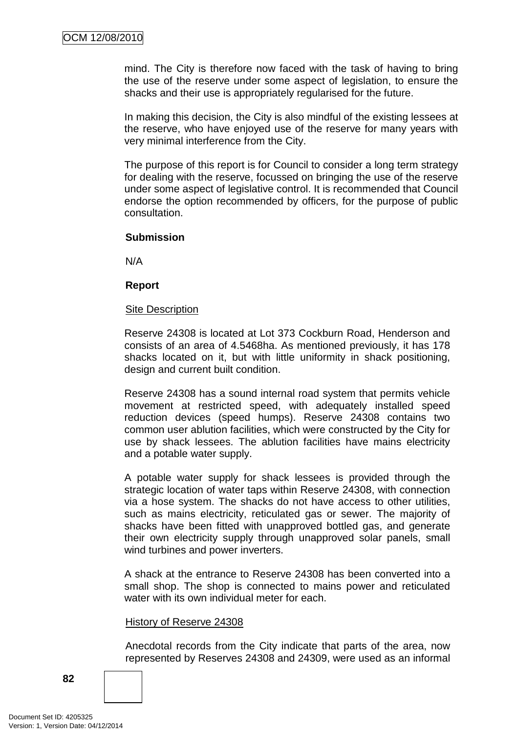mind. The City is therefore now faced with the task of having to bring the use of the reserve under some aspect of legislation, to ensure the shacks and their use is appropriately regularised for the future.

In making this decision, the City is also mindful of the existing lessees at the reserve, who have enjoyed use of the reserve for many years with very minimal interference from the City.

The purpose of this report is for Council to consider a long term strategy for dealing with the reserve, focussed on bringing the use of the reserve under some aspect of legislative control. It is recommended that Council endorse the option recommended by officers, for the purpose of public consultation.

#### **Submission**

N/A

#### **Report**

#### Site Description

Reserve 24308 is located at Lot 373 Cockburn Road, Henderson and consists of an area of 4.5468ha. As mentioned previously, it has 178 shacks located on it, but with little uniformity in shack positioning, design and current built condition.

Reserve 24308 has a sound internal road system that permits vehicle movement at restricted speed, with adequately installed speed reduction devices (speed humps). Reserve 24308 contains two common user ablution facilities, which were constructed by the City for use by shack lessees. The ablution facilities have mains electricity and a potable water supply.

A potable water supply for shack lessees is provided through the strategic location of water taps within Reserve 24308, with connection via a hose system. The shacks do not have access to other utilities, such as mains electricity, reticulated gas or sewer. The majority of shacks have been fitted with unapproved bottled gas, and generate their own electricity supply through unapproved solar panels, small wind turbines and power inverters.

A shack at the entrance to Reserve 24308 has been converted into a small shop. The shop is connected to mains power and reticulated water with its own individual meter for each.

#### History of Reserve 24308

Anecdotal records from the City indicate that parts of the area, now represented by Reserves 24308 and 24309, were used as an informal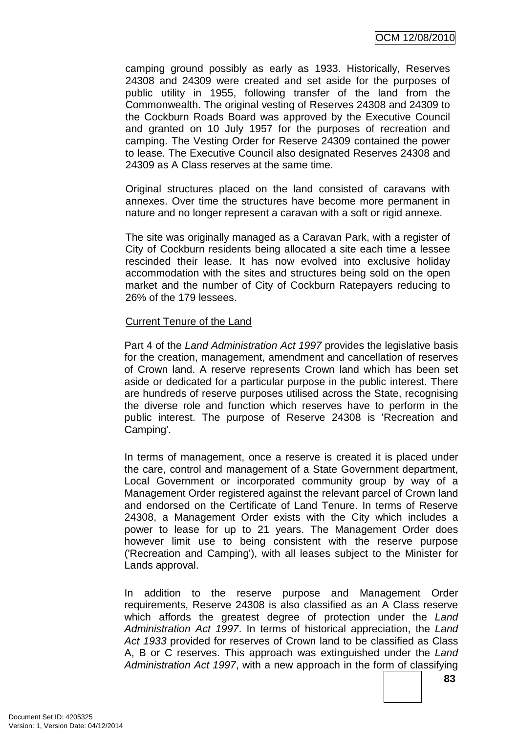camping ground possibly as early as 1933. Historically, Reserves 24308 and 24309 were created and set aside for the purposes of public utility in 1955, following transfer of the land from the Commonwealth. The original vesting of Reserves 24308 and 24309 to the Cockburn Roads Board was approved by the Executive Council and granted on 10 July 1957 for the purposes of recreation and camping. The Vesting Order for Reserve 24309 contained the power to lease. The Executive Council also designated Reserves 24308 and 24309 as A Class reserves at the same time.

Original structures placed on the land consisted of caravans with annexes. Over time the structures have become more permanent in nature and no longer represent a caravan with a soft or rigid annexe.

The site was originally managed as a Caravan Park, with a register of City of Cockburn residents being allocated a site each time a lessee rescinded their lease. It has now evolved into exclusive holiday accommodation with the sites and structures being sold on the open market and the number of City of Cockburn Ratepayers reducing to 26% of the 179 lessees.

#### Current Tenure of the Land

Part 4 of the Land Administration Act 1997 provides the legislative basis for the creation, management, amendment and cancellation of reserves of Crown land. A reserve represents Crown land which has been set aside or dedicated for a particular purpose in the public interest. There are hundreds of reserve purposes utilised across the State, recognising the diverse role and function which reserves have to perform in the public interest. The purpose of Reserve 24308 is 'Recreation and Camping'.

In terms of management, once a reserve is created it is placed under the care, control and management of a State Government department, Local Government or incorporated community group by way of a Management Order registered against the relevant parcel of Crown land and endorsed on the Certificate of Land Tenure. In terms of Reserve 24308, a Management Order exists with the City which includes a power to lease for up to 21 years. The Management Order does however limit use to being consistent with the reserve purpose ('Recreation and Camping'), with all leases subject to the Minister for Lands approval.

In addition to the reserve purpose and Management Order requirements, Reserve 24308 is also classified as an A Class reserve which affords the greatest degree of protection under the Land Administration Act 1997. In terms of historical appreciation, the Land Act 1933 provided for reserves of Crown land to be classified as Class A, B or C reserves. This approach was extinguished under the Land Administration Act 1997, with a new approach in the form of classifying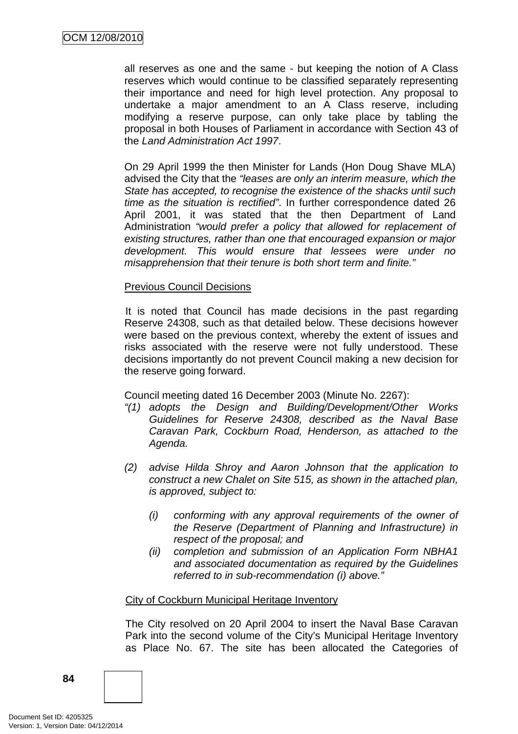all reserves as one and the same - but keeping the notion of A Class reserves which would continue to be classified separately representing their importance and need for high level protection. Any proposal to undertake a major amendment to an A Class reserve, including modifying a reserve purpose, can only take place by tabling the proposal in both Houses of Parliament in accordance with Section 43 of the Land Administration Act 1997.

On 29 April 1999 the then Minister for Lands (Hon Doug Shave MLA) advised the City that the "leases are only an interim measure, which the State has accepted, to recognise the existence of the shacks until such time as the situation is rectified". In further correspondence dated 26 April 2001, it was stated that the then Department of Land Administration "would prefer a policy that allowed for replacement of existing structures, rather than one that encouraged expansion or major development. This would ensure that lessees were under no misapprehension that their tenure is both short term and finite."

#### Previous Council Decisions

It is noted that Council has made decisions in the past regarding Reserve 24308, such as that detailed below. These decisions however were based on the previous context, whereby the extent of issues and risks associated with the reserve were not fully understood. These decisions importantly do not prevent Council making a new decision for the reserve going forward.

Council meeting dated 16 December 2003 (Minute No. 2267):

- "(1) adopts the Design and Building/Development/Other Works Guidelines for Reserve 24308, described as the Naval Base Caravan Park, Cockburn Road, Henderson, as attached to the Agenda.
- (2) advise Hilda Shroy and Aaron Johnson that the application to construct a new Chalet on Site 515, as shown in the attached plan, is approved, subject to:
	- (i) conforming with any approval requirements of the owner of the Reserve (Department of Planning and Infrastructure) in respect of the proposal; and
	- (ii) completion and submission of an Application Form NBHA1 and associated documentation as required by the Guidelines referred to in sub-recommendation (i) above."

#### City of Cockburn Municipal Heritage Inventory

The City resolved on 20 April 2004 to insert the Naval Base Caravan Park into the second volume of the City's Municipal Heritage Inventory as Place No. 67. The site has been allocated the Categories of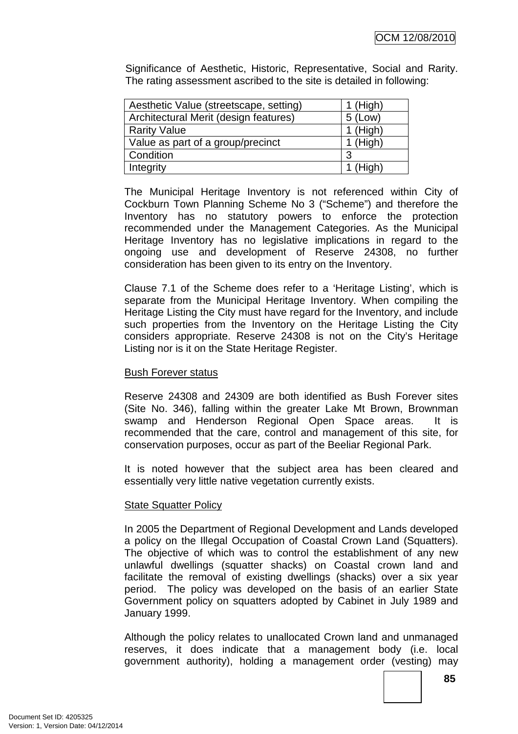Significance of Aesthetic, Historic, Representative, Social and Rarity. The rating assessment ascribed to the site is detailed in following:

| Aesthetic Value (streetscape, setting) | $1$ (High) |
|----------------------------------------|------------|
| Architectural Merit (design features)  | $5$ (Low)  |
| <b>Rarity Value</b>                    | $1$ (High) |
| Value as part of a group/precinct      | $1$ (High) |
| Condition                              | 3          |
| Integrity                              | $1$ (High) |

The Municipal Heritage Inventory is not referenced within City of Cockburn Town Planning Scheme No 3 ("Scheme") and therefore the Inventory has no statutory powers to enforce the protection recommended under the Management Categories. As the Municipal Heritage Inventory has no legislative implications in regard to the ongoing use and development of Reserve 24308, no further consideration has been given to its entry on the Inventory.

Clause 7.1 of the Scheme does refer to a 'Heritage Listing', which is separate from the Municipal Heritage Inventory. When compiling the Heritage Listing the City must have regard for the Inventory, and include such properties from the Inventory on the Heritage Listing the City considers appropriate. Reserve 24308 is not on the City's Heritage Listing nor is it on the State Heritage Register.

# Bush Forever status

Reserve 24308 and 24309 are both identified as Bush Forever sites (Site No. 346), falling within the greater Lake Mt Brown, Brownman swamp and Henderson Regional Open Space areas. It is recommended that the care, control and management of this site, for conservation purposes, occur as part of the Beeliar Regional Park.

It is noted however that the subject area has been cleared and essentially very little native vegetation currently exists.

# **State Squatter Policy**

In 2005 the Department of Regional Development and Lands developed a policy on the Illegal Occupation of Coastal Crown Land (Squatters). The objective of which was to control the establishment of any new unlawful dwellings (squatter shacks) on Coastal crown land and facilitate the removal of existing dwellings (shacks) over a six year period. The policy was developed on the basis of an earlier State Government policy on squatters adopted by Cabinet in July 1989 and January 1999.

Although the policy relates to unallocated Crown land and unmanaged reserves, it does indicate that a management body (i.e. local government authority), holding a management order (vesting) may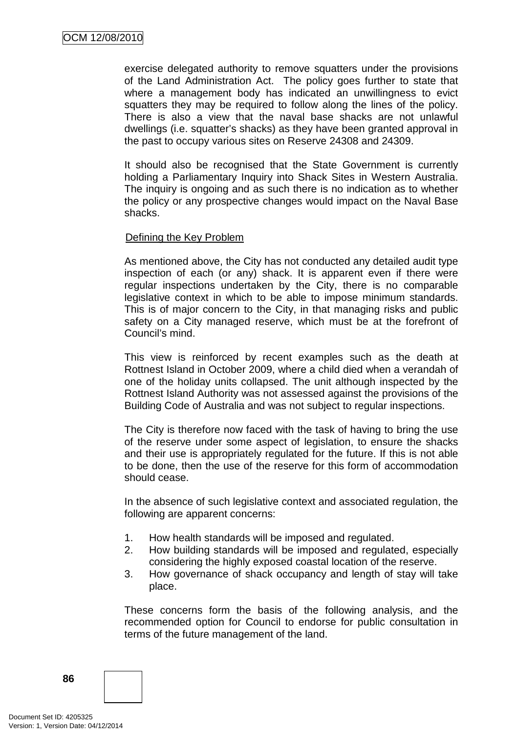exercise delegated authority to remove squatters under the provisions of the Land Administration Act. The policy goes further to state that where a management body has indicated an unwillingness to evict squatters they may be required to follow along the lines of the policy. There is also a view that the naval base shacks are not unlawful dwellings (i.e. squatter's shacks) as they have been granted approval in the past to occupy various sites on Reserve 24308 and 24309.

It should also be recognised that the State Government is currently holding a Parliamentary Inquiry into Shack Sites in Western Australia. The inquiry is ongoing and as such there is no indication as to whether the policy or any prospective changes would impact on the Naval Base shacks.

#### Defining the Key Problem

As mentioned above, the City has not conducted any detailed audit type inspection of each (or any) shack. It is apparent even if there were regular inspections undertaken by the City, there is no comparable legislative context in which to be able to impose minimum standards. This is of major concern to the City, in that managing risks and public safety on a City managed reserve, which must be at the forefront of Council's mind.

This view is reinforced by recent examples such as the death at Rottnest Island in October 2009, where a child died when a verandah of one of the holiday units collapsed. The unit although inspected by the Rottnest Island Authority was not assessed against the provisions of the Building Code of Australia and was not subject to regular inspections.

The City is therefore now faced with the task of having to bring the use of the reserve under some aspect of legislation, to ensure the shacks and their use is appropriately regulated for the future. If this is not able to be done, then the use of the reserve for this form of accommodation should cease.

In the absence of such legislative context and associated regulation, the following are apparent concerns:

- 1. How health standards will be imposed and regulated.
- 2. How building standards will be imposed and regulated, especially considering the highly exposed coastal location of the reserve.
- 3. How governance of shack occupancy and length of stay will take place.

These concerns form the basis of the following analysis, and the recommended option for Council to endorse for public consultation in terms of the future management of the land.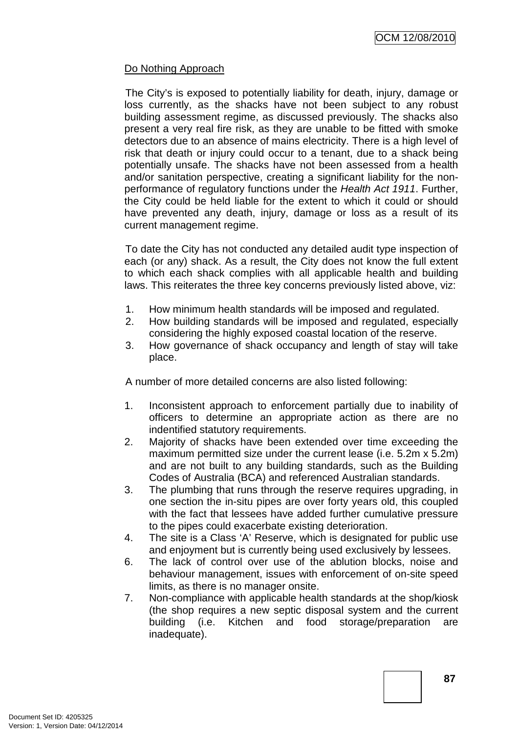# Do Nothing Approach

The City's is exposed to potentially liability for death, injury, damage or loss currently, as the shacks have not been subject to any robust building assessment regime, as discussed previously. The shacks also present a very real fire risk, as they are unable to be fitted with smoke detectors due to an absence of mains electricity. There is a high level of risk that death or injury could occur to a tenant, due to a shack being potentially unsafe. The shacks have not been assessed from a health and/or sanitation perspective, creating a significant liability for the nonperformance of regulatory functions under the Health Act 1911. Further, the City could be held liable for the extent to which it could or should have prevented any death, injury, damage or loss as a result of its current management regime.

To date the City has not conducted any detailed audit type inspection of each (or any) shack. As a result, the City does not know the full extent to which each shack complies with all applicable health and building laws. This reiterates the three key concerns previously listed above, viz:

- 1. How minimum health standards will be imposed and regulated.
- 2. How building standards will be imposed and regulated, especially considering the highly exposed coastal location of the reserve.
- 3. How governance of shack occupancy and length of stay will take place.

A number of more detailed concerns are also listed following:

- 1. Inconsistent approach to enforcement partially due to inability of officers to determine an appropriate action as there are no indentified statutory requirements.
- 2. Majority of shacks have been extended over time exceeding the maximum permitted size under the current lease (i.e. 5.2m x 5.2m) and are not built to any building standards, such as the Building Codes of Australia (BCA) and referenced Australian standards.
- 3. The plumbing that runs through the reserve requires upgrading, in one section the in-situ pipes are over forty years old, this coupled with the fact that lessees have added further cumulative pressure to the pipes could exacerbate existing deterioration.
- 4. The site is a Class 'A' Reserve, which is designated for public use and enjoyment but is currently being used exclusively by lessees.
- 6. The lack of control over use of the ablution blocks, noise and behaviour management, issues with enforcement of on-site speed limits, as there is no manager onsite.
- 7. Non-compliance with applicable health standards at the shop/kiosk (the shop requires a new septic disposal system and the current building (i.e. Kitchen and food storage/preparation are inadequate).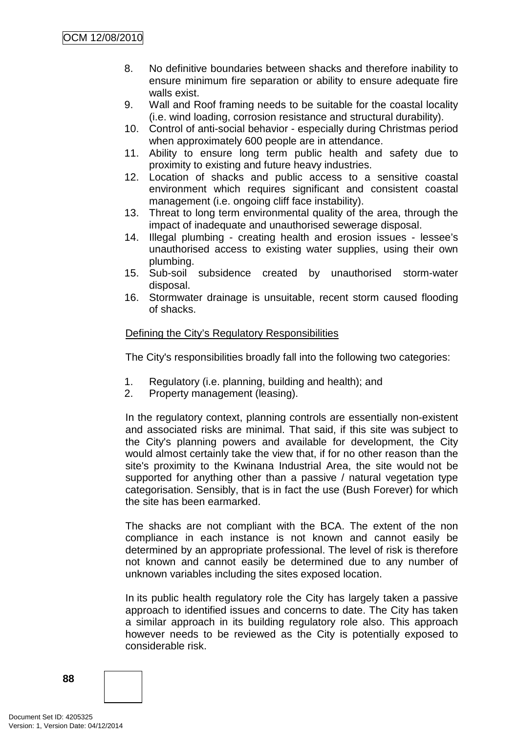- 8. No definitive boundaries between shacks and therefore inability to ensure minimum fire separation or ability to ensure adequate fire walls exist.
- 9. Wall and Roof framing needs to be suitable for the coastal locality (i.e. wind loading, corrosion resistance and structural durability).
- 10. Control of anti-social behavior especially during Christmas period when approximately 600 people are in attendance.
- 11. Ability to ensure long term public health and safety due to proximity to existing and future heavy industries.
- 12. Location of shacks and public access to a sensitive coastal environment which requires significant and consistent coastal management (i.e. ongoing cliff face instability).
- 13. Threat to long term environmental quality of the area, through the impact of inadequate and unauthorised sewerage disposal.
- 14. Illegal plumbing creating health and erosion issues lessee's unauthorised access to existing water supplies, using their own plumbing.
- 15. Sub-soil subsidence created by unauthorised storm-water disposal.
- 16. Stormwater drainage is unsuitable, recent storm caused flooding of shacks.

# Defining the City's Regulatory Responsibilities

The City's responsibilities broadly fall into the following two categories:

- 1. Regulatory (i.e. planning, building and health); and
- 2. Property management (leasing).

In the regulatory context, planning controls are essentially non-existent and associated risks are minimal. That said, if this site was subject to the City's planning powers and available for development, the City would almost certainly take the view that, if for no other reason than the site's proximity to the Kwinana Industrial Area, the site would not be supported for anything other than a passive / natural vegetation type categorisation. Sensibly, that is in fact the use (Bush Forever) for which the site has been earmarked.

The shacks are not compliant with the BCA. The extent of the non compliance in each instance is not known and cannot easily be determined by an appropriate professional. The level of risk is therefore not known and cannot easily be determined due to any number of unknown variables including the sites exposed location.

In its public health regulatory role the City has largely taken a passive approach to identified issues and concerns to date. The City has taken a similar approach in its building regulatory role also. This approach however needs to be reviewed as the City is potentially exposed to considerable risk.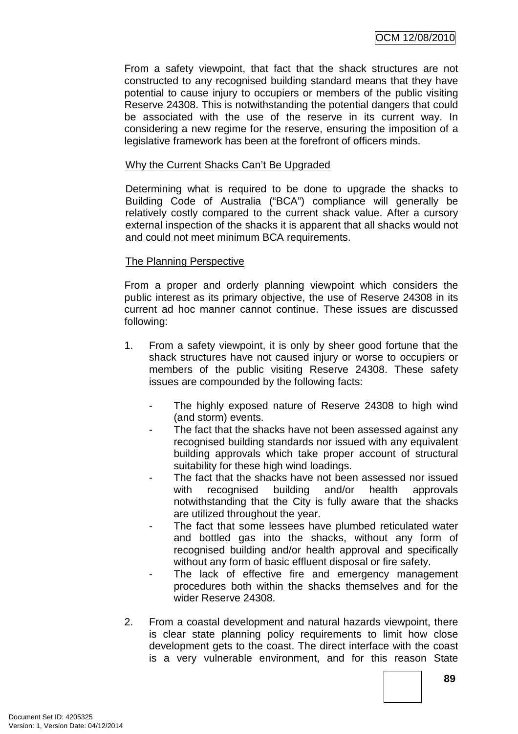From a safety viewpoint, that fact that the shack structures are not constructed to any recognised building standard means that they have potential to cause injury to occupiers or members of the public visiting Reserve 24308. This is notwithstanding the potential dangers that could be associated with the use of the reserve in its current way. In considering a new regime for the reserve, ensuring the imposition of a legislative framework has been at the forefront of officers minds.

### Why the Current Shacks Can't Be Upgraded

Determining what is required to be done to upgrade the shacks to Building Code of Australia ("BCA") compliance will generally be relatively costly compared to the current shack value. After a cursory external inspection of the shacks it is apparent that all shacks would not and could not meet minimum BCA requirements.

#### The Planning Perspective

From a proper and orderly planning viewpoint which considers the public interest as its primary objective, the use of Reserve 24308 in its current ad hoc manner cannot continue. These issues are discussed following:

- 1. From a safety viewpoint, it is only by sheer good fortune that the shack structures have not caused injury or worse to occupiers or members of the public visiting Reserve 24308. These safety issues are compounded by the following facts:
	- The highly exposed nature of Reserve 24308 to high wind (and storm) events.
	- The fact that the shacks have not been assessed against any recognised building standards nor issued with any equivalent building approvals which take proper account of structural suitability for these high wind loadings.
	- The fact that the shacks have not been assessed nor issued with recognised building and/or health approvals notwithstanding that the City is fully aware that the shacks are utilized throughout the year.
	- The fact that some lessees have plumbed reticulated water and bottled gas into the shacks, without any form of recognised building and/or health approval and specifically without any form of basic effluent disposal or fire safety.
	- The lack of effective fire and emergency management procedures both within the shacks themselves and for the wider Reserve 24308.
- 2. From a coastal development and natural hazards viewpoint, there is clear state planning policy requirements to limit how close development gets to the coast. The direct interface with the coast is a very vulnerable environment, and for this reason State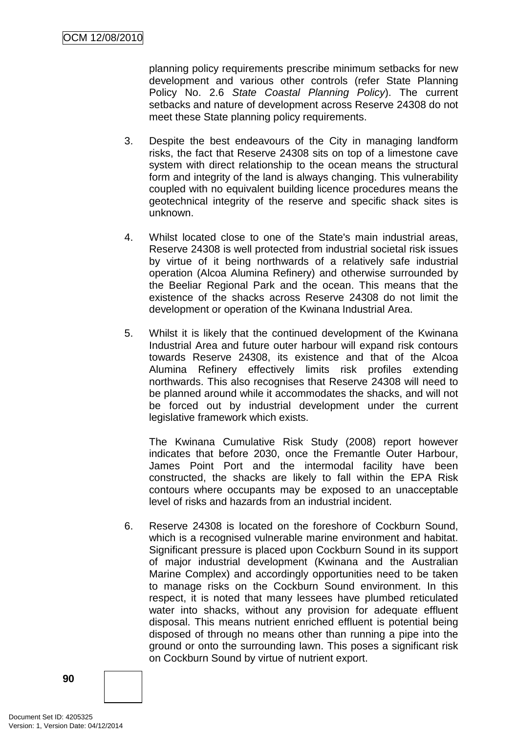planning policy requirements prescribe minimum setbacks for new development and various other controls (refer State Planning Policy No. 2.6 State Coastal Planning Policy). The current setbacks and nature of development across Reserve 24308 do not meet these State planning policy requirements.

- 3. Despite the best endeavours of the City in managing landform risks, the fact that Reserve 24308 sits on top of a limestone cave system with direct relationship to the ocean means the structural form and integrity of the land is always changing. This vulnerability coupled with no equivalent building licence procedures means the geotechnical integrity of the reserve and specific shack sites is unknown.
- 4. Whilst located close to one of the State's main industrial areas, Reserve 24308 is well protected from industrial societal risk issues by virtue of it being northwards of a relatively safe industrial operation (Alcoa Alumina Refinery) and otherwise surrounded by the Beeliar Regional Park and the ocean. This means that the existence of the shacks across Reserve 24308 do not limit the development or operation of the Kwinana Industrial Area.
- 5. Whilst it is likely that the continued development of the Kwinana Industrial Area and future outer harbour will expand risk contours towards Reserve 24308, its existence and that of the Alcoa Alumina Refinery effectively limits risk profiles extending northwards. This also recognises that Reserve 24308 will need to be planned around while it accommodates the shacks, and will not be forced out by industrial development under the current legislative framework which exists.

The Kwinana Cumulative Risk Study (2008) report however indicates that before 2030, once the Fremantle Outer Harbour, James Point Port and the intermodal facility have been constructed, the shacks are likely to fall within the EPA Risk contours where occupants may be exposed to an unacceptable level of risks and hazards from an industrial incident.

6. Reserve 24308 is located on the foreshore of Cockburn Sound, which is a recognised vulnerable marine environment and habitat. Significant pressure is placed upon Cockburn Sound in its support of major industrial development (Kwinana and the Australian Marine Complex) and accordingly opportunities need to be taken to manage risks on the Cockburn Sound environment. In this respect, it is noted that many lessees have plumbed reticulated water into shacks, without any provision for adequate effluent disposal. This means nutrient enriched effluent is potential being disposed of through no means other than running a pipe into the ground or onto the surrounding lawn. This poses a significant risk on Cockburn Sound by virtue of nutrient export.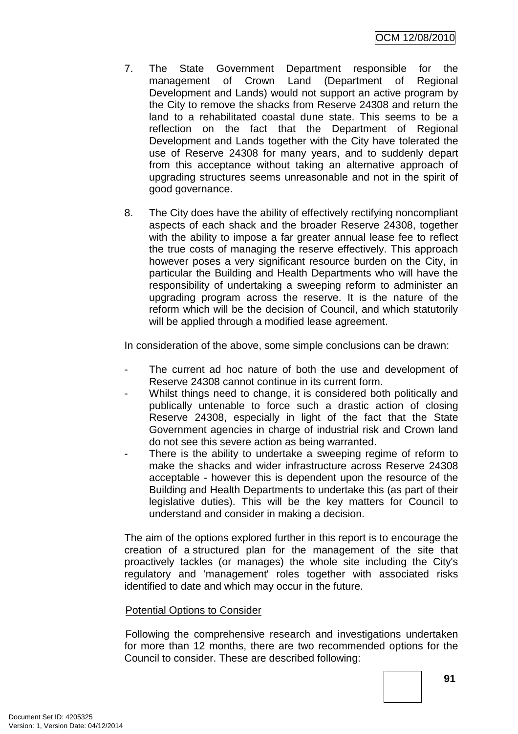- 7. The State Government Department responsible for the management of Crown Land (Department of Regional Development and Lands) would not support an active program by the City to remove the shacks from Reserve 24308 and return the land to a rehabilitated coastal dune state. This seems to be a reflection on the fact that the Department of Regional Development and Lands together with the City have tolerated the use of Reserve 24308 for many years, and to suddenly depart from this acceptance without taking an alternative approach of upgrading structures seems unreasonable and not in the spirit of good governance.
- 8. The City does have the ability of effectively rectifying noncompliant aspects of each shack and the broader Reserve 24308, together with the ability to impose a far greater annual lease fee to reflect the true costs of managing the reserve effectively. This approach however poses a very significant resource burden on the City, in particular the Building and Health Departments who will have the responsibility of undertaking a sweeping reform to administer an upgrading program across the reserve. It is the nature of the reform which will be the decision of Council, and which statutorily will be applied through a modified lease agreement.

In consideration of the above, some simple conclusions can be drawn:

- The current ad hoc nature of both the use and development of Reserve 24308 cannot continue in its current form.
- Whilst things need to change, it is considered both politically and publically untenable to force such a drastic action of closing Reserve 24308, especially in light of the fact that the State Government agencies in charge of industrial risk and Crown land do not see this severe action as being warranted.
- There is the ability to undertake a sweeping regime of reform to make the shacks and wider infrastructure across Reserve 24308 acceptable - however this is dependent upon the resource of the Building and Health Departments to undertake this (as part of their legislative duties). This will be the key matters for Council to understand and consider in making a decision.

The aim of the options explored further in this report is to encourage the creation of a structured plan for the management of the site that proactively tackles (or manages) the whole site including the City's regulatory and 'management' roles together with associated risks identified to date and which may occur in the future.

#### Potential Options to Consider

Following the comprehensive research and investigations undertaken for more than 12 months, there are two recommended options for the Council to consider. These are described following: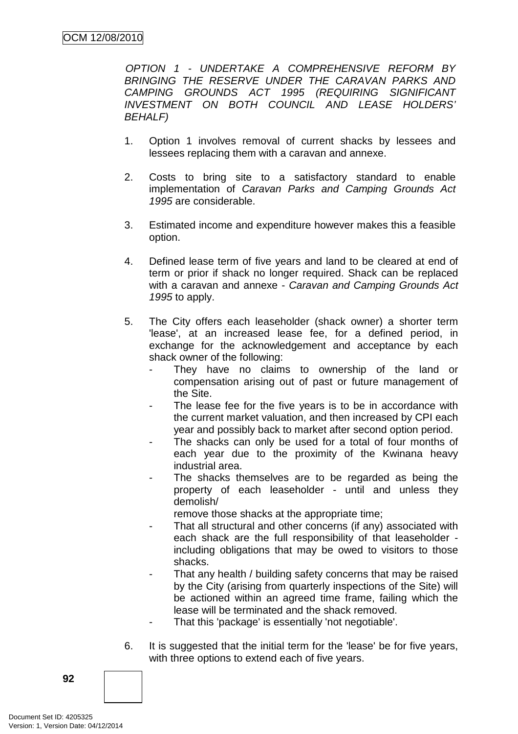OPTION 1 - UNDERTAKE A COMPREHENSIVE REFORM BY BRINGING THE RESERVE UNDER THE CARAVAN PARKS AND CAMPING GROUNDS ACT 1995 (REQUIRING SIGNIFICANT INVESTMENT ON BOTH COUNCIL AND LEASE HOLDERS' BEHALF)

- 1. Option 1 involves removal of current shacks by lessees and lessees replacing them with a caravan and annexe.
- 2. Costs to bring site to a satisfactory standard to enable implementation of Caravan Parks and Camping Grounds Act 1995 are considerable.
- 3. Estimated income and expenditure however makes this a feasible option.
- 4. Defined lease term of five years and land to be cleared at end of term or prior if shack no longer required. Shack can be replaced with a caravan and annexe - Caravan and Camping Grounds Act 1995 to apply.
- 5. The City offers each leaseholder (shack owner) a shorter term 'lease', at an increased lease fee, for a defined period, in exchange for the acknowledgement and acceptance by each shack owner of the following:
	- They have no claims to ownership of the land or compensation arising out of past or future management of the Site.
	- The lease fee for the five years is to be in accordance with the current market valuation, and then increased by CPI each year and possibly back to market after second option period.
	- The shacks can only be used for a total of four months of each year due to the proximity of the Kwinana heavy industrial area.
	- The shacks themselves are to be regarded as being the property of each leaseholder - until and unless they demolish/

remove those shacks at the appropriate time;

- That all structural and other concerns (if any) associated with each shack are the full responsibility of that leaseholder including obligations that may be owed to visitors to those shacks.
- That any health / building safety concerns that may be raised by the City (arising from quarterly inspections of the Site) will be actioned within an agreed time frame, failing which the lease will be terminated and the shack removed.
- That this 'package' is essentially 'not negotiable'.
- 6. It is suggested that the initial term for the 'lease' be for five years, with three options to extend each of five years.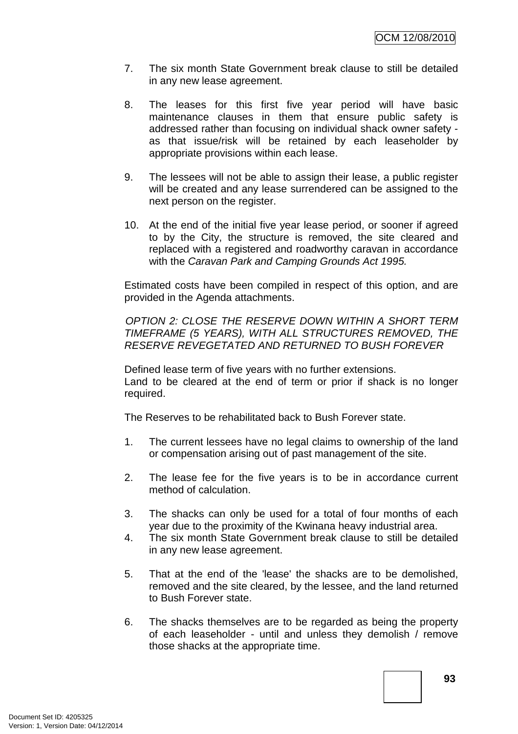- 7. The six month State Government break clause to still be detailed in any new lease agreement.
- 8. The leases for this first five year period will have basic maintenance clauses in them that ensure public safety is addressed rather than focusing on individual shack owner safety as that issue/risk will be retained by each leaseholder by appropriate provisions within each lease.
- 9. The lessees will not be able to assign their lease, a public register will be created and any lease surrendered can be assigned to the next person on the register.
- 10. At the end of the initial five year lease period, or sooner if agreed to by the City, the structure is removed, the site cleared and replaced with a registered and roadworthy caravan in accordance with the Caravan Park and Camping Grounds Act 1995.

Estimated costs have been compiled in respect of this option, and are provided in the Agenda attachments.

OPTION 2: CLOSE THE RESERVE DOWN WITHIN A SHORT TERM TIMEFRAME (5 YEARS), WITH ALL STRUCTURES REMOVED, THE RESERVE REVEGETATED AND RETURNED TO BUSH FOREVER

Defined lease term of five years with no further extensions. Land to be cleared at the end of term or prior if shack is no longer required.

The Reserves to be rehabilitated back to Bush Forever state.

- 1. The current lessees have no legal claims to ownership of the land or compensation arising out of past management of the site.
- 2. The lease fee for the five years is to be in accordance current method of calculation.
- 3. The shacks can only be used for a total of four months of each year due to the proximity of the Kwinana heavy industrial area.
- 4. The six month State Government break clause to still be detailed in any new lease agreement.
- 5. That at the end of the 'lease' the shacks are to be demolished, removed and the site cleared, by the lessee, and the land returned to Bush Forever state.
- 6. The shacks themselves are to be regarded as being the property of each leaseholder - until and unless they demolish / remove those shacks at the appropriate time.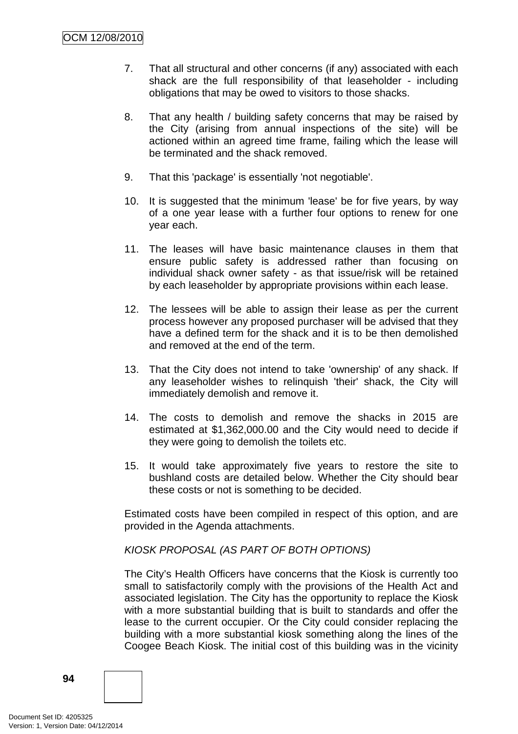- 7. That all structural and other concerns (if any) associated with each shack are the full responsibility of that leaseholder - including obligations that may be owed to visitors to those shacks.
- 8. That any health / building safety concerns that may be raised by the City (arising from annual inspections of the site) will be actioned within an agreed time frame, failing which the lease will be terminated and the shack removed.
- 9. That this 'package' is essentially 'not negotiable'.
- 10. It is suggested that the minimum 'lease' be for five years, by way of a one year lease with a further four options to renew for one year each.
- 11. The leases will have basic maintenance clauses in them that ensure public safety is addressed rather than focusing on individual shack owner safety - as that issue/risk will be retained by each leaseholder by appropriate provisions within each lease.
- 12. The lessees will be able to assign their lease as per the current process however any proposed purchaser will be advised that they have a defined term for the shack and it is to be then demolished and removed at the end of the term.
- 13. That the City does not intend to take 'ownership' of any shack. If any leaseholder wishes to relinquish 'their' shack, the City will immediately demolish and remove it.
- 14. The costs to demolish and remove the shacks in 2015 are estimated at \$1,362,000.00 and the City would need to decide if they were going to demolish the toilets etc.
- 15. It would take approximately five years to restore the site to bushland costs are detailed below. Whether the City should bear these costs or not is something to be decided.

Estimated costs have been compiled in respect of this option, and are provided in the Agenda attachments.

# KIOSK PROPOSAL (AS PART OF BOTH OPTIONS)

The City's Health Officers have concerns that the Kiosk is currently too small to satisfactorily comply with the provisions of the Health Act and associated legislation. The City has the opportunity to replace the Kiosk with a more substantial building that is built to standards and offer the lease to the current occupier. Or the City could consider replacing the building with a more substantial kiosk something along the lines of the Coogee Beach Kiosk. The initial cost of this building was in the vicinity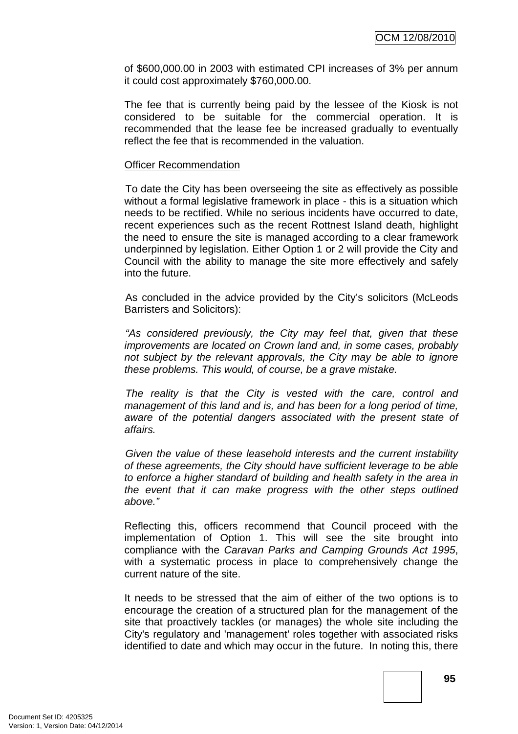of \$600,000.00 in 2003 with estimated CPI increases of 3% per annum it could cost approximately \$760,000.00.

The fee that is currently being paid by the lessee of the Kiosk is not considered to be suitable for the commercial operation. It is recommended that the lease fee be increased gradually to eventually reflect the fee that is recommended in the valuation.

#### Officer Recommendation

To date the City has been overseeing the site as effectively as possible without a formal legislative framework in place - this is a situation which needs to be rectified. While no serious incidents have occurred to date, recent experiences such as the recent Rottnest Island death, highlight the need to ensure the site is managed according to a clear framework underpinned by legislation. Either Option 1 or 2 will provide the City and Council with the ability to manage the site more effectively and safely into the future.

As concluded in the advice provided by the City's solicitors (McLeods Barristers and Solicitors):

"As considered previously, the City may feel that, given that these improvements are located on Crown land and, in some cases, probably not subject by the relevant approvals, the City may be able to ignore these problems. This would, of course, be a grave mistake.

The reality is that the City is vested with the care, control and management of this land and is, and has been for a long period of time, aware of the potential dangers associated with the present state of affairs.

Given the value of these leasehold interests and the current instability of these agreements, the City should have sufficient leverage to be able to enforce a higher standard of building and health safety in the area in the event that it can make progress with the other steps outlined above."

Reflecting this, officers recommend that Council proceed with the implementation of Option 1. This will see the site brought into compliance with the Caravan Parks and Camping Grounds Act 1995, with a systematic process in place to comprehensively change the current nature of the site.

It needs to be stressed that the aim of either of the two options is to encourage the creation of a structured plan for the management of the site that proactively tackles (or manages) the whole site including the City's regulatory and 'management' roles together with associated risks identified to date and which may occur in the future. In noting this, there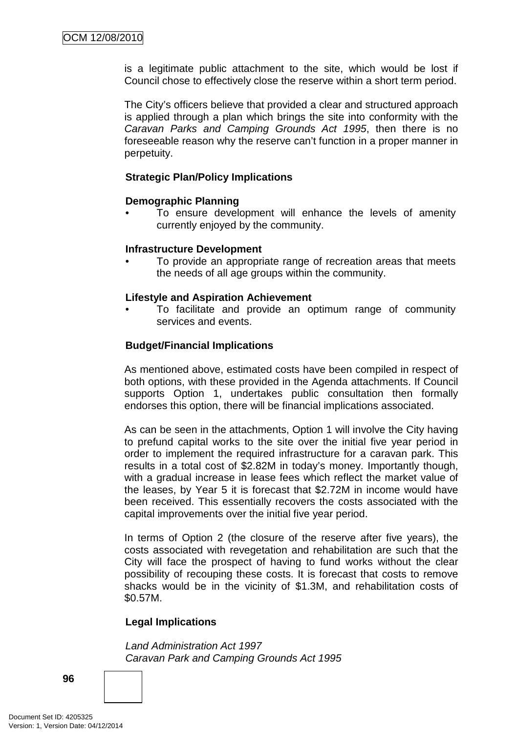is a legitimate public attachment to the site, which would be lost if Council chose to effectively close the reserve within a short term period.

The City's officers believe that provided a clear and structured approach is applied through a plan which brings the site into conformity with the Caravan Parks and Camping Grounds Act 1995, then there is no foreseeable reason why the reserve can't function in a proper manner in perpetuity.

# **Strategic Plan/Policy Implications**

# **Demographic Planning**

To ensure development will enhance the levels of amenity currently enjoyed by the community.

#### **Infrastructure Development**

• To provide an appropriate range of recreation areas that meets the needs of all age groups within the community.

#### **Lifestyle and Aspiration Achievement**

• To facilitate and provide an optimum range of community services and events.

#### **Budget/Financial Implications**

As mentioned above, estimated costs have been compiled in respect of both options, with these provided in the Agenda attachments. If Council supports Option 1, undertakes public consultation then formally endorses this option, there will be financial implications associated.

As can be seen in the attachments, Option 1 will involve the City having to prefund capital works to the site over the initial five year period in order to implement the required infrastructure for a caravan park. This results in a total cost of \$2.82M in today's money. Importantly though, with a gradual increase in lease fees which reflect the market value of the leases, by Year 5 it is forecast that \$2.72M in income would have been received. This essentially recovers the costs associated with the capital improvements over the initial five year period.

In terms of Option 2 (the closure of the reserve after five years), the costs associated with revegetation and rehabilitation are such that the City will face the prospect of having to fund works without the clear possibility of recouping these costs. It is forecast that costs to remove shacks would be in the vicinity of \$1.3M, and rehabilitation costs of \$0.57M.

# **Legal Implications**

Land Administration Act 1997 Caravan Park and Camping Grounds Act 1995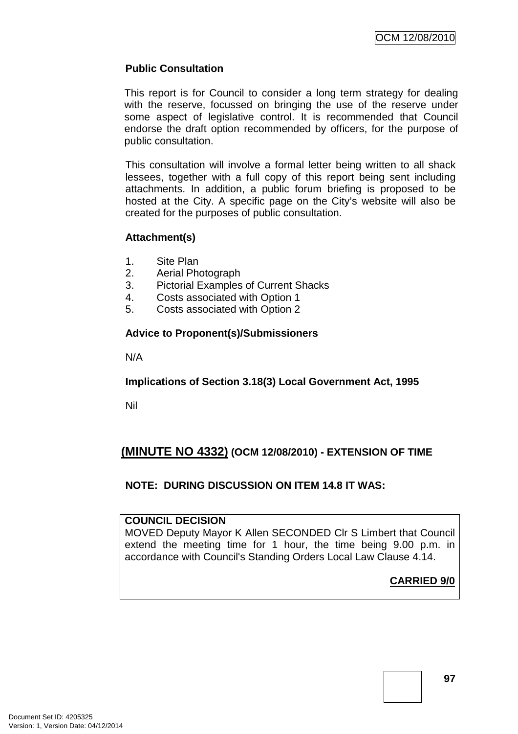# **Public Consultation**

This report is for Council to consider a long term strategy for dealing with the reserve, focussed on bringing the use of the reserve under some aspect of legislative control. It is recommended that Council endorse the draft option recommended by officers, for the purpose of public consultation.

This consultation will involve a formal letter being written to all shack lessees, together with a full copy of this report being sent including attachments. In addition, a public forum briefing is proposed to be hosted at the City. A specific page on the City's website will also be created for the purposes of public consultation.

# **Attachment(s)**

- 1. Site Plan
- 2. Aerial Photograph
- 3. Pictorial Examples of Current Shacks
- 4. Costs associated with Option 1
- 5. Costs associated with Option 2

# **Advice to Proponent(s)/Submissioners**

N/A

**Implications of Section 3.18(3) Local Government Act, 1995**

Nil

# **(MINUTE NO 4332) (OCM 12/08/2010) - EXTENSION OF TIME**

# **NOTE: DURING DISCUSSION ON ITEM 14.8 IT WAS:**

# **COUNCIL DECISION**

MOVED Deputy Mayor K Allen SECONDED Clr S Limbert that Council extend the meeting time for 1 hour, the time being 9.00 p.m. in accordance with Council's Standing Orders Local Law Clause 4.14.

# **CARRIED 9/0**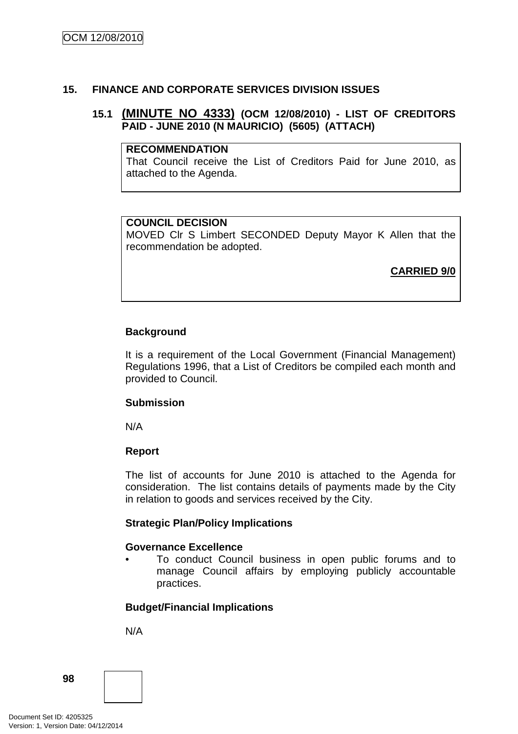# **15. FINANCE AND CORPORATE SERVICES DIVISION ISSUES**

# **15.1 (MINUTE NO 4333) (OCM 12/08/2010) - LIST OF CREDITORS PAID - JUNE 2010 (N MAURICIO) (5605) (ATTACH)**

### **RECOMMENDATION**

That Council receive the List of Creditors Paid for June 2010, as attached to the Agenda.

# **COUNCIL DECISION**

MOVED Clr S Limbert SECONDED Deputy Mayor K Allen that the recommendation be adopted.

**CARRIED 9/0**

# **Background**

It is a requirement of the Local Government (Financial Management) Regulations 1996, that a List of Creditors be compiled each month and provided to Council.

# **Submission**

N/A

# **Report**

The list of accounts for June 2010 is attached to the Agenda for consideration. The list contains details of payments made by the City in relation to goods and services received by the City.

# **Strategic Plan/Policy Implications**

# **Governance Excellence**

• To conduct Council business in open public forums and to manage Council affairs by employing publicly accountable practices.

# **Budget/Financial Implications**

N/A

**98**

Document Set ID: 4205325<br>Version: 1, Version Date: 04/12/2014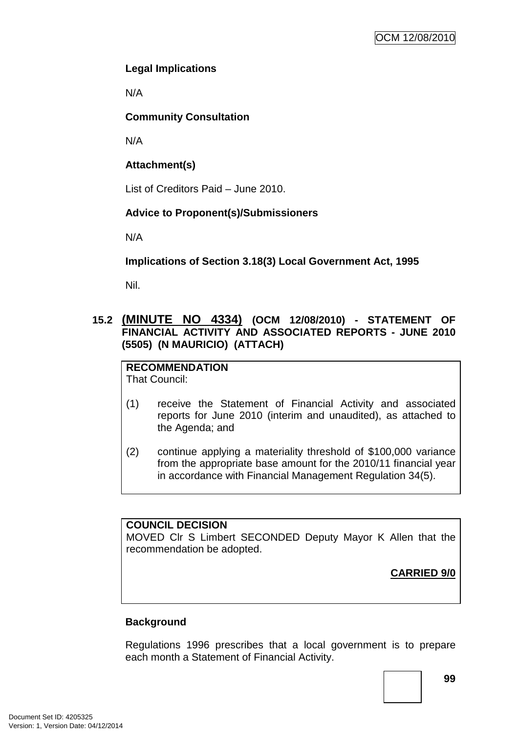# **Legal Implications**

N/A

# **Community Consultation**

N/A

# **Attachment(s)**

List of Creditors Paid – June 2010.

# **Advice to Proponent(s)/Submissioners**

N/A

# **Implications of Section 3.18(3) Local Government Act, 1995**

Nil.

# **15.2 (MINUTE NO 4334) (OCM 12/08/2010) - STATEMENT OF FINANCIAL ACTIVITY AND ASSOCIATED REPORTS - JUNE 2010 (5505) (N MAURICIO) (ATTACH)**

**RECOMMENDATION** That Council:

- (1) receive the Statement of Financial Activity and associated reports for June 2010 (interim and unaudited), as attached to the Agenda; and
- (2) continue applying a materiality threshold of \$100,000 variance from the appropriate base amount for the 2010/11 financial year in accordance with Financial Management Regulation 34(5).

# **COUNCIL DECISION**

MOVED Clr S Limbert SECONDED Deputy Mayor K Allen that the recommendation be adopted.

**CARRIED 9/0**

# **Background**

Regulations 1996 prescribes that a local government is to prepare each month a Statement of Financial Activity.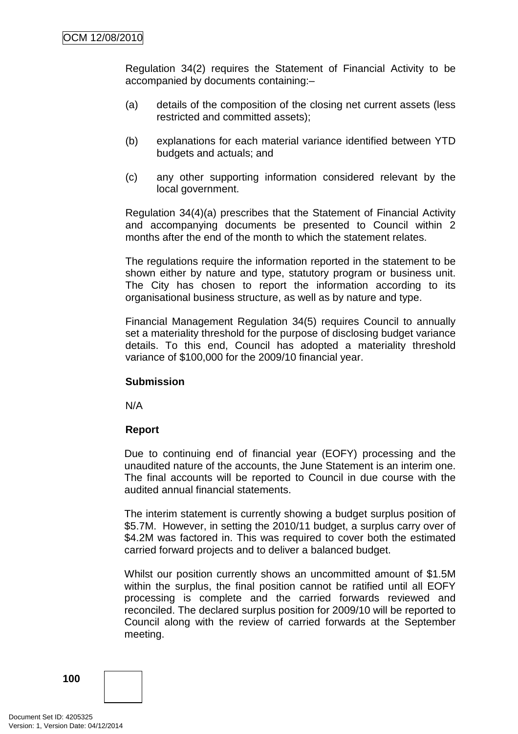Regulation 34(2) requires the Statement of Financial Activity to be accompanied by documents containing:–

- (a) details of the composition of the closing net current assets (less restricted and committed assets);
- (b) explanations for each material variance identified between YTD budgets and actuals; and
- (c) any other supporting information considered relevant by the local government.

Regulation 34(4)(a) prescribes that the Statement of Financial Activity and accompanying documents be presented to Council within 2 months after the end of the month to which the statement relates.

The regulations require the information reported in the statement to be shown either by nature and type, statutory program or business unit. The City has chosen to report the information according to its organisational business structure, as well as by nature and type.

Financial Management Regulation 34(5) requires Council to annually set a materiality threshold for the purpose of disclosing budget variance details. To this end, Council has adopted a materiality threshold variance of \$100,000 for the 2009/10 financial year.

# **Submission**

N/A

# **Report**

Due to continuing end of financial year (EOFY) processing and the unaudited nature of the accounts, the June Statement is an interim one. The final accounts will be reported to Council in due course with the audited annual financial statements.

The interim statement is currently showing a budget surplus position of \$5.7M. However, in setting the 2010/11 budget, a surplus carry over of \$4.2M was factored in. This was required to cover both the estimated carried forward projects and to deliver a balanced budget.

Whilst our position currently shows an uncommitted amount of \$1.5M within the surplus, the final position cannot be ratified until all EOFY processing is complete and the carried forwards reviewed and reconciled. The declared surplus position for 2009/10 will be reported to Council along with the review of carried forwards at the September meeting.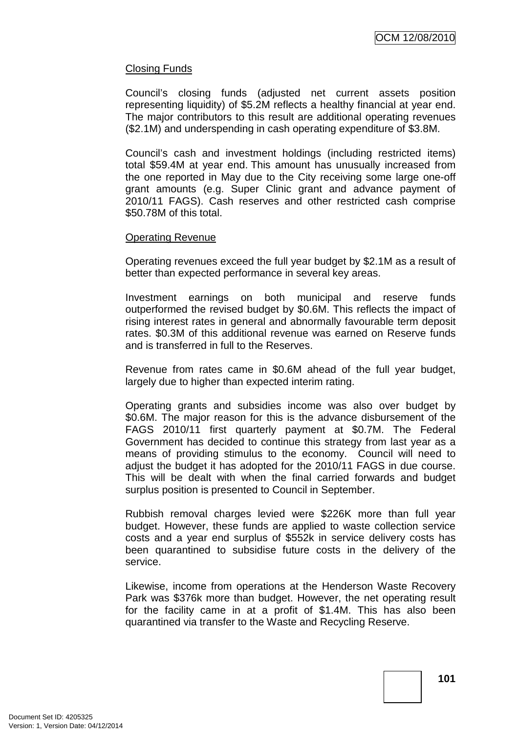# Closing Funds

Council's closing funds (adjusted net current assets position representing liquidity) of \$5.2M reflects a healthy financial at year end. The major contributors to this result are additional operating revenues (\$2.1M) and underspending in cash operating expenditure of \$3.8M.

Council's cash and investment holdings (including restricted items) total \$59.4M at year end. This amount has unusually increased from the one reported in May due to the City receiving some large one-off grant amounts (e.g. Super Clinic grant and advance payment of 2010/11 FAGS). Cash reserves and other restricted cash comprise \$50.78M of this total.

# Operating Revenue

Operating revenues exceed the full year budget by \$2.1M as a result of better than expected performance in several key areas.

Investment earnings on both municipal and reserve funds outperformed the revised budget by \$0.6M. This reflects the impact of rising interest rates in general and abnormally favourable term deposit rates. \$0.3M of this additional revenue was earned on Reserve funds and is transferred in full to the Reserves.

Revenue from rates came in \$0.6M ahead of the full year budget, largely due to higher than expected interim rating.

Operating grants and subsidies income was also over budget by \$0.6M. The major reason for this is the advance disbursement of the FAGS 2010/11 first quarterly payment at \$0.7M. The Federal Government has decided to continue this strategy from last year as a means of providing stimulus to the economy. Council will need to adjust the budget it has adopted for the 2010/11 FAGS in due course. This will be dealt with when the final carried forwards and budget surplus position is presented to Council in September.

Rubbish removal charges levied were \$226K more than full year budget. However, these funds are applied to waste collection service costs and a year end surplus of \$552k in service delivery costs has been quarantined to subsidise future costs in the delivery of the service.

Likewise, income from operations at the Henderson Waste Recovery Park was \$376k more than budget. However, the net operating result for the facility came in at a profit of \$1.4M. This has also been quarantined via transfer to the Waste and Recycling Reserve.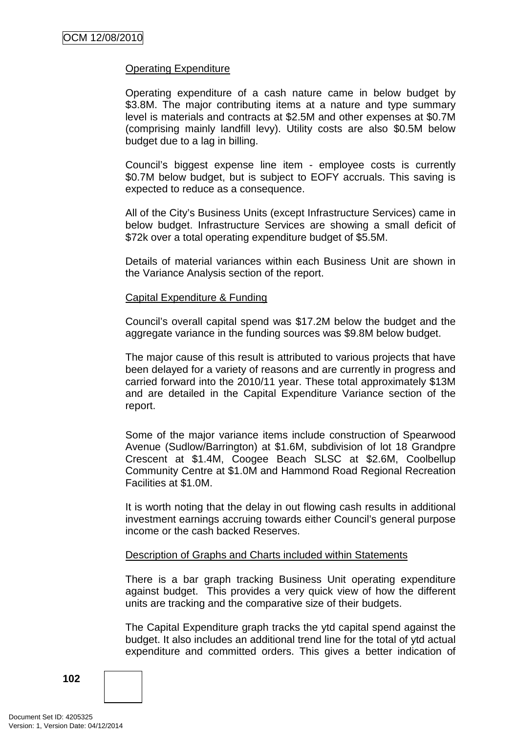### Operating Expenditure

Operating expenditure of a cash nature came in below budget by \$3.8M. The major contributing items at a nature and type summary level is materials and contracts at \$2.5M and other expenses at \$0.7M (comprising mainly landfill levy). Utility costs are also \$0.5M below budget due to a lag in billing.

Council's biggest expense line item - employee costs is currently \$0.7M below budget, but is subject to EOFY accruals. This saving is expected to reduce as a consequence.

All of the City's Business Units (except Infrastructure Services) came in below budget. Infrastructure Services are showing a small deficit of \$72k over a total operating expenditure budget of \$5.5M.

Details of material variances within each Business Unit are shown in the Variance Analysis section of the report.

#### Capital Expenditure & Funding

Council's overall capital spend was \$17.2M below the budget and the aggregate variance in the funding sources was \$9.8M below budget.

The major cause of this result is attributed to various projects that have been delayed for a variety of reasons and are currently in progress and carried forward into the 2010/11 year. These total approximately \$13M and are detailed in the Capital Expenditure Variance section of the report.

Some of the major variance items include construction of Spearwood Avenue (Sudlow/Barrington) at \$1.6M, subdivision of lot 18 Grandpre Crescent at \$1.4M, Coogee Beach SLSC at \$2.6M, Coolbellup Community Centre at \$1.0M and Hammond Road Regional Recreation Facilities at \$1.0M.

It is worth noting that the delay in out flowing cash results in additional investment earnings accruing towards either Council's general purpose income or the cash backed Reserves.

#### Description of Graphs and Charts included within Statements

There is a bar graph tracking Business Unit operating expenditure against budget. This provides a very quick view of how the different units are tracking and the comparative size of their budgets.

The Capital Expenditure graph tracks the ytd capital spend against the budget. It also includes an additional trend line for the total of ytd actual expenditure and committed orders. This gives a better indication of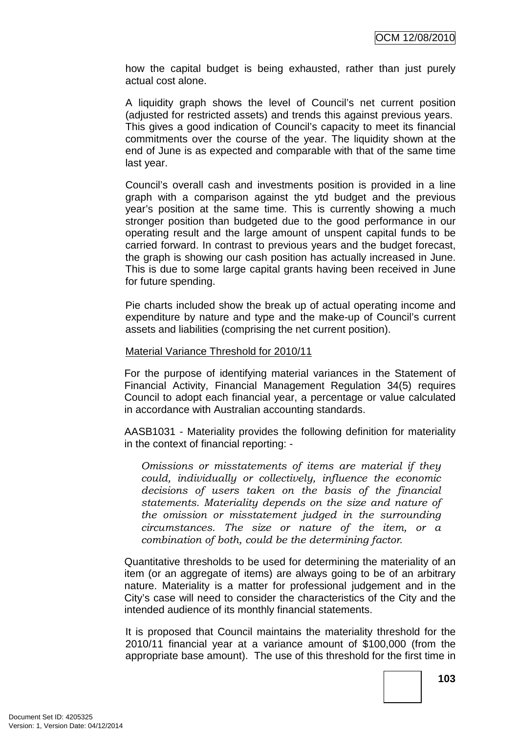how the capital budget is being exhausted, rather than just purely actual cost alone.

A liquidity graph shows the level of Council's net current position (adjusted for restricted assets) and trends this against previous years. This gives a good indication of Council's capacity to meet its financial commitments over the course of the year. The liquidity shown at the end of June is as expected and comparable with that of the same time last year.

Council's overall cash and investments position is provided in a line graph with a comparison against the ytd budget and the previous year's position at the same time. This is currently showing a much stronger position than budgeted due to the good performance in our operating result and the large amount of unspent capital funds to be carried forward. In contrast to previous years and the budget forecast, the graph is showing our cash position has actually increased in June. This is due to some large capital grants having been received in June for future spending.

Pie charts included show the break up of actual operating income and expenditure by nature and type and the make-up of Council's current assets and liabilities (comprising the net current position).

# Material Variance Threshold for 2010/11

For the purpose of identifying material variances in the Statement of Financial Activity, Financial Management Regulation 34(5) requires Council to adopt each financial year, a percentage or value calculated in accordance with Australian accounting standards.

AASB1031 - Materiality provides the following definition for materiality in the context of financial reporting: -

Omissions or misstatements of items are material if they could, individually or collectively, influence the economic decisions of users taken on the basis of the financial statements. Materiality depends on the size and nature of the omission or misstatement judged in the surrounding circumstances. The size or nature of the item, or a combination of both, could be the determining factor.

Quantitative thresholds to be used for determining the materiality of an item (or an aggregate of items) are always going to be of an arbitrary nature. Materiality is a matter for professional judgement and in the City's case will need to consider the characteristics of the City and the intended audience of its monthly financial statements.

It is proposed that Council maintains the materiality threshold for the 2010/11 financial year at a variance amount of \$100,000 (from the appropriate base amount). The use of this threshold for the first time in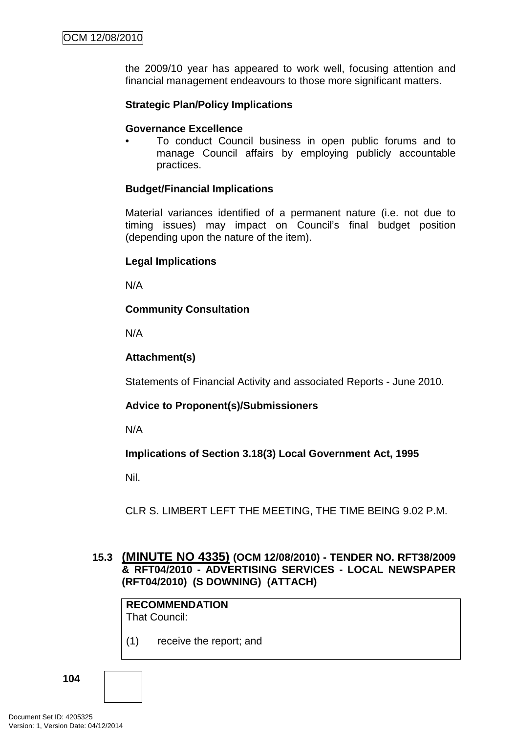the 2009/10 year has appeared to work well, focusing attention and financial management endeavours to those more significant matters.

# **Strategic Plan/Policy Implications**

# **Governance Excellence**

• To conduct Council business in open public forums and to manage Council affairs by employing publicly accountable practices.

# **Budget/Financial Implications**

Material variances identified of a permanent nature (i.e. not due to timing issues) may impact on Council's final budget position (depending upon the nature of the item).

# **Legal Implications**

N/A

# **Community Consultation**

N/A

# **Attachment(s)**

Statements of Financial Activity and associated Reports - June 2010.

# **Advice to Proponent(s)/Submissioners**

N/A

# **Implications of Section 3.18(3) Local Government Act, 1995**

Nil.

CLR S. LIMBERT LEFT THE MEETING, THE TIME BEING 9.02 P.M.

# **15.3 (MINUTE NO 4335) (OCM 12/08/2010) - TENDER NO. RFT38/2009 & RFT04/2010 - ADVERTISING SERVICES - LOCAL NEWSPAPER (RFT04/2010) (S DOWNING) (ATTACH)**

| <b>RECOMMENDATION</b> |
|-----------------------|
| <b>That Council:</b>  |

(1) receive the report; and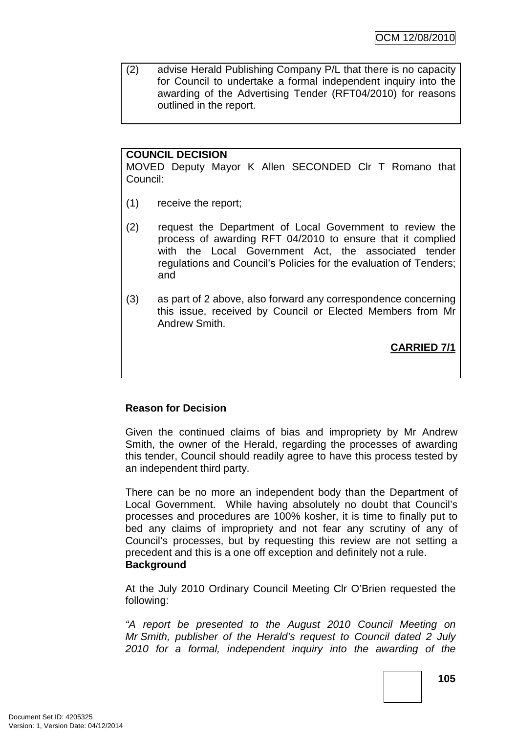(2) advise Herald Publishing Company P/L that there is no capacity for Council to undertake a formal independent inquiry into the awarding of the Advertising Tender (RFT04/2010) for reasons outlined in the report.

### **COUNCIL DECISION**

MOVED Deputy Mayor K Allen SECONDED Clr T Romano that Council:

- (1) receive the report;
- (2) request the Department of Local Government to review the process of awarding RFT 04/2010 to ensure that it complied with the Local Government Act, the associated tender regulations and Council's Policies for the evaluation of Tenders; and
- (3) as part of 2 above, also forward any correspondence concerning this issue, received by Council or Elected Members from Mr Andrew Smith.

**CARRIED 7/1**

### **Reason for Decision**

Given the continued claims of bias and impropriety by Mr Andrew Smith, the owner of the Herald, regarding the processes of awarding this tender, Council should readily agree to have this process tested by an independent third party.

There can be no more an independent body than the Department of Local Government. While having absolutely no doubt that Council's processes and procedures are 100% kosher, it is time to finally put to bed any claims of impropriety and not fear any scrutiny of any of Council's processes, but by requesting this review are not setting a precedent and this is a one off exception and definitely not a rule. **Background**

At the July 2010 Ordinary Council Meeting Clr O'Brien requested the following:

"A report be presented to the August 2010 Council Meeting on Mr Smith, publisher of the Herald's request to Council dated 2 July 2010 for a formal, independent inquiry into the awarding of the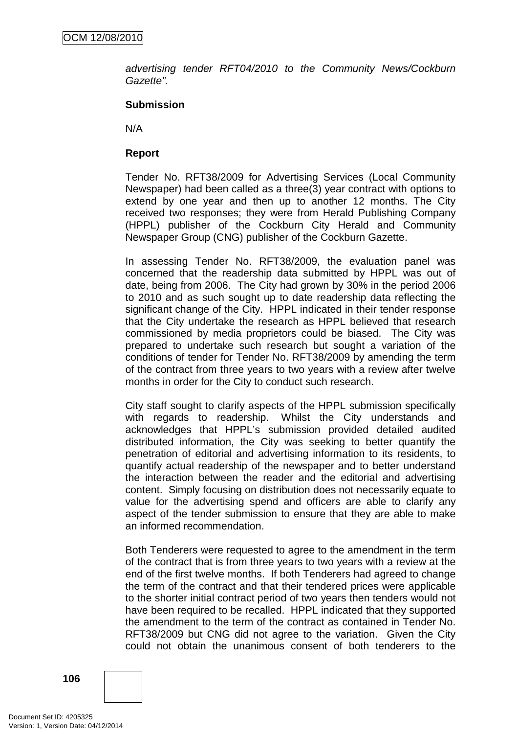advertising tender RFT04/2010 to the Community News/Cockburn Gazette".

### **Submission**

N/A

# **Report**

Tender No. RFT38/2009 for Advertising Services (Local Community Newspaper) had been called as a three(3) year contract with options to extend by one year and then up to another 12 months. The City received two responses; they were from Herald Publishing Company (HPPL) publisher of the Cockburn City Herald and Community Newspaper Group (CNG) publisher of the Cockburn Gazette.

In assessing Tender No. RFT38/2009, the evaluation panel was concerned that the readership data submitted by HPPL was out of date, being from 2006. The City had grown by 30% in the period 2006 to 2010 and as such sought up to date readership data reflecting the significant change of the City. HPPL indicated in their tender response that the City undertake the research as HPPL believed that research commissioned by media proprietors could be biased. The City was prepared to undertake such research but sought a variation of the conditions of tender for Tender No. RFT38/2009 by amending the term of the contract from three years to two years with a review after twelve months in order for the City to conduct such research.

City staff sought to clarify aspects of the HPPL submission specifically with regards to readership. Whilst the City understands and acknowledges that HPPL's submission provided detailed audited distributed information, the City was seeking to better quantify the penetration of editorial and advertising information to its residents, to quantify actual readership of the newspaper and to better understand the interaction between the reader and the editorial and advertising content. Simply focusing on distribution does not necessarily equate to value for the advertising spend and officers are able to clarify any aspect of the tender submission to ensure that they are able to make an informed recommendation.

Both Tenderers were requested to agree to the amendment in the term of the contract that is from three years to two years with a review at the end of the first twelve months. If both Tenderers had agreed to change the term of the contract and that their tendered prices were applicable to the shorter initial contract period of two years then tenders would not have been required to be recalled. HPPL indicated that they supported the amendment to the term of the contract as contained in Tender No. RFT38/2009 but CNG did not agree to the variation. Given the City could not obtain the unanimous consent of both tenderers to the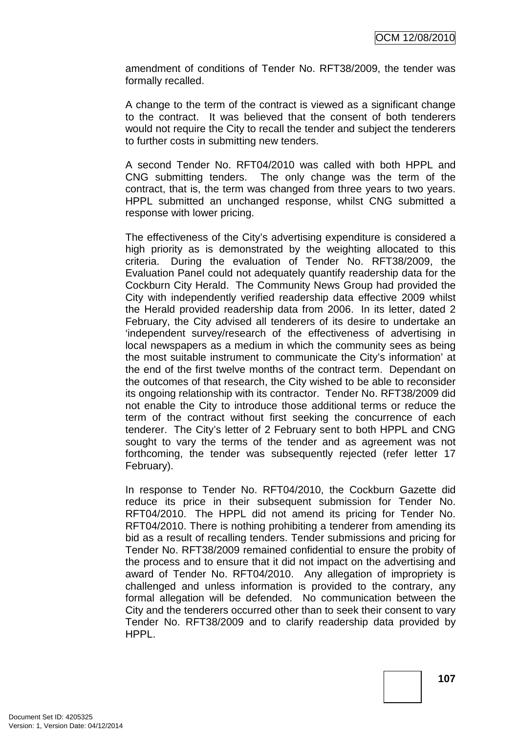amendment of conditions of Tender No. RFT38/2009, the tender was formally recalled.

A change to the term of the contract is viewed as a significant change to the contract. It was believed that the consent of both tenderers would not require the City to recall the tender and subject the tenderers to further costs in submitting new tenders.

A second Tender No. RFT04/2010 was called with both HPPL and CNG submitting tenders. The only change was the term of the contract, that is, the term was changed from three years to two years. HPPL submitted an unchanged response, whilst CNG submitted a response with lower pricing.

The effectiveness of the City's advertising expenditure is considered a high priority as is demonstrated by the weighting allocated to this criteria. During the evaluation of Tender No. RFT38/2009, the Evaluation Panel could not adequately quantify readership data for the Cockburn City Herald. The Community News Group had provided the City with independently verified readership data effective 2009 whilst the Herald provided readership data from 2006. In its letter, dated 2 February, the City advised all tenderers of its desire to undertake an 'independent survey/research of the effectiveness of advertising in local newspapers as a medium in which the community sees as being the most suitable instrument to communicate the City's information' at the end of the first twelve months of the contract term. Dependant on the outcomes of that research, the City wished to be able to reconsider its ongoing relationship with its contractor. Tender No. RFT38/2009 did not enable the City to introduce those additional terms or reduce the term of the contract without first seeking the concurrence of each tenderer. The City's letter of 2 February sent to both HPPL and CNG sought to vary the terms of the tender and as agreement was not forthcoming, the tender was subsequently rejected (refer letter 17 February).

In response to Tender No. RFT04/2010, the Cockburn Gazette did reduce its price in their subsequent submission for Tender No. RFT04/2010. The HPPL did not amend its pricing for Tender No. RFT04/2010. There is nothing prohibiting a tenderer from amending its bid as a result of recalling tenders. Tender submissions and pricing for Tender No. RFT38/2009 remained confidential to ensure the probity of the process and to ensure that it did not impact on the advertising and award of Tender No. RFT04/2010. Any allegation of impropriety is challenged and unless information is provided to the contrary, any formal allegation will be defended. No communication between the City and the tenderers occurred other than to seek their consent to vary Tender No. RFT38/2009 and to clarify readership data provided by HPPL.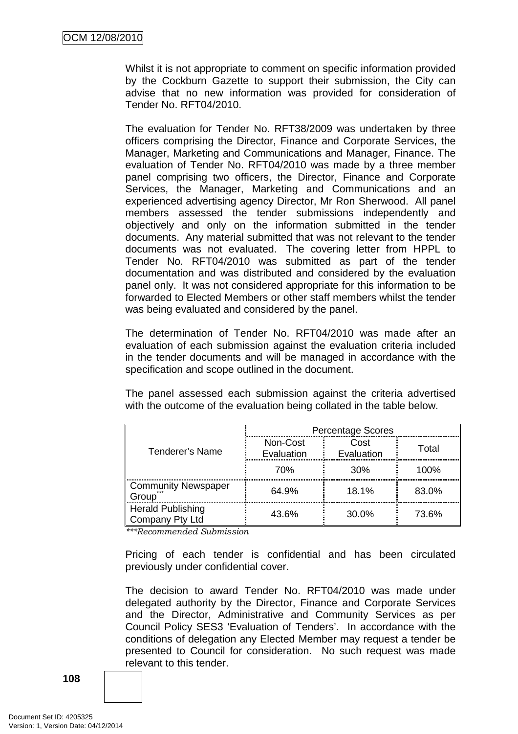Whilst it is not appropriate to comment on specific information provided by the Cockburn Gazette to support their submission, the City can advise that no new information was provided for consideration of Tender No. RFT04/2010.

The evaluation for Tender No. RFT38/2009 was undertaken by three officers comprising the Director, Finance and Corporate Services, the Manager, Marketing and Communications and Manager, Finance. The evaluation of Tender No. RFT04/2010 was made by a three member panel comprising two officers, the Director, Finance and Corporate Services, the Manager, Marketing and Communications and an experienced advertising agency Director, Mr Ron Sherwood. All panel members assessed the tender submissions independently and objectively and only on the information submitted in the tender documents. Any material submitted that was not relevant to the tender documents was not evaluated. The covering letter from HPPL to Tender No. RFT04/2010 was submitted as part of the tender documentation and was distributed and considered by the evaluation panel only. It was not considered appropriate for this information to be forwarded to Elected Members or other staff members whilst the tender was being evaluated and considered by the panel.

The determination of Tender No. RFT04/2010 was made after an evaluation of each submission against the evaluation criteria included in the tender documents and will be managed in accordance with the specification and scope outlined in the document.

The panel assessed each submission against the criteria advertised with the outcome of the evaluation being collated in the table below.

| <b>Tenderer's Name</b>                      | <b>Percentage Scores</b> |                    |       |  |
|---------------------------------------------|--------------------------|--------------------|-------|--|
|                                             | Non-Cost<br>Evaluation   | Cost<br>Evaluation | Total |  |
|                                             | 70%                      | 30%                | 100%  |  |
| <b>Community Newspaper</b><br>Group         | 64.9%                    | 18.1%              | 83.0% |  |
| <b>Herald Publishing</b><br>Company Pty Ltd | 43.6%                    | 30.0%              | 73.6% |  |

\*\*\*Recommended Submission

Pricing of each tender is confidential and has been circulated previously under confidential cover.

The decision to award Tender No. RFT04/2010 was made under delegated authority by the Director, Finance and Corporate Services and the Director, Administrative and Community Services as per Council Policy SES3 'Evaluation of Tenders'. In accordance with the conditions of delegation any Elected Member may request a tender be presented to Council for consideration. No such request was made relevant to this tender.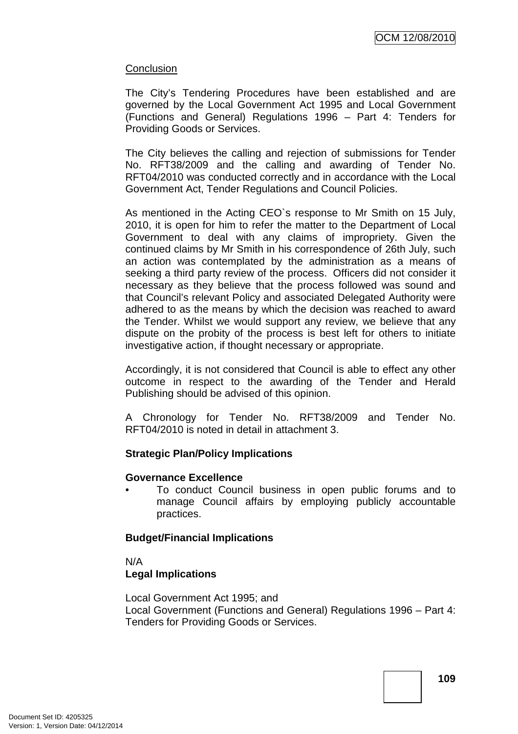### **Conclusion**

The City's Tendering Procedures have been established and are governed by the Local Government Act 1995 and Local Government (Functions and General) Regulations 1996 – Part 4: Tenders for Providing Goods or Services.

The City believes the calling and rejection of submissions for Tender No. RFT38/2009 and the calling and awarding of Tender No. RFT04/2010 was conducted correctly and in accordance with the Local Government Act, Tender Regulations and Council Policies.

As mentioned in the Acting CEO`s response to Mr Smith on 15 July, 2010, it is open for him to refer the matter to the Department of Local Government to deal with any claims of impropriety. Given the continued claims by Mr Smith in his correspondence of 26th July, such an action was contemplated by the administration as a means of seeking a third party review of the process. Officers did not consider it necessary as they believe that the process followed was sound and that Council's relevant Policy and associated Delegated Authority were adhered to as the means by which the decision was reached to award the Tender. Whilst we would support any review, we believe that any dispute on the probity of the process is best left for others to initiate investigative action, if thought necessary or appropriate.

Accordingly, it is not considered that Council is able to effect any other outcome in respect to the awarding of the Tender and Herald Publishing should be advised of this opinion.

A Chronology for Tender No. RFT38/2009 and Tender No. RFT04/2010 is noted in detail in attachment 3.

### **Strategic Plan/Policy Implications**

### **Governance Excellence**

• To conduct Council business in open public forums and to manage Council affairs by employing publicly accountable practices.

### **Budget/Financial Implications**

#### N/A **Legal Implications**

Local Government Act 1995; and Local Government (Functions and General) Regulations 1996 – Part 4: Tenders for Providing Goods or Services.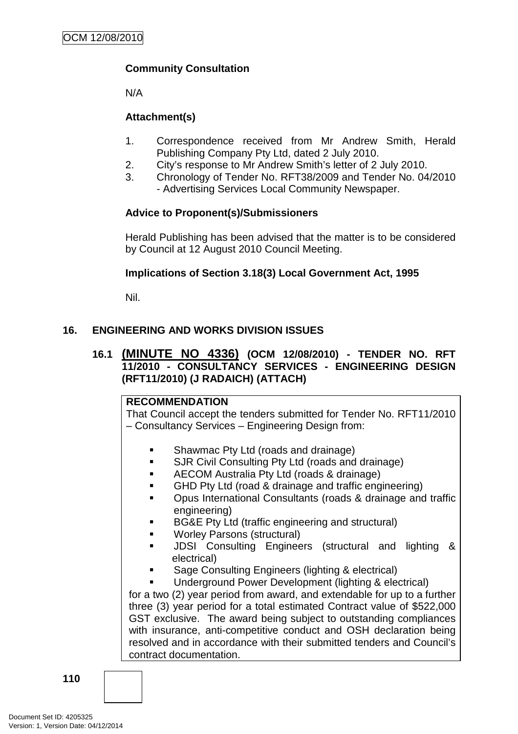# **Community Consultation**

N/A

# **Attachment(s)**

- 1. Correspondence received from Mr Andrew Smith, Herald Publishing Company Pty Ltd, dated 2 July 2010.
- 2. City's response to Mr Andrew Smith's letter of 2 July 2010.
- 3. Chronology of Tender No. RFT38/2009 and Tender No. 04/2010
	- Advertising Services Local Community Newspaper.

# **Advice to Proponent(s)/Submissioners**

Herald Publishing has been advised that the matter is to be considered by Council at 12 August 2010 Council Meeting.

# **Implications of Section 3.18(3) Local Government Act, 1995**

Nil.

# **16. ENGINEERING AND WORKS DIVISION ISSUES**

# **16.1 (MINUTE NO 4336) (OCM 12/08/2010) - TENDER NO. RFT 11/2010 - CONSULTANCY SERVICES - ENGINEERING DESIGN (RFT11/2010) (J RADAICH) (ATTACH)**

### **RECOMMENDATION**

That Council accept the tenders submitted for Tender No. RFT11/2010 – Consultancy Services – Engineering Design from:

- -Shawmac Pty Ltd (roads and drainage)
- -SJR Civil Consulting Pty Ltd (roads and drainage)
- -AECOM Australia Pty Ltd (roads & drainage)
- -GHD Pty Ltd (road & drainage and traffic engineering)
- - Opus International Consultants (roads & drainage and traffic engineering)
- -BG&E Pty Ltd (traffic engineering and structural)
- -Worley Parsons (structural)
- - JDSI Consulting Engineers (structural and lighting & electrical)
- -Sage Consulting Engineers (lighting & electrical)
- -Underground Power Development (lighting & electrical)

for a two (2) year period from award, and extendable for up to a further three (3) year period for a total estimated Contract value of \$522,000 GST exclusive. The award being subject to outstanding compliances with insurance, anti-competitive conduct and OSH declaration being resolved and in accordance with their submitted tenders and Council's contract documentation.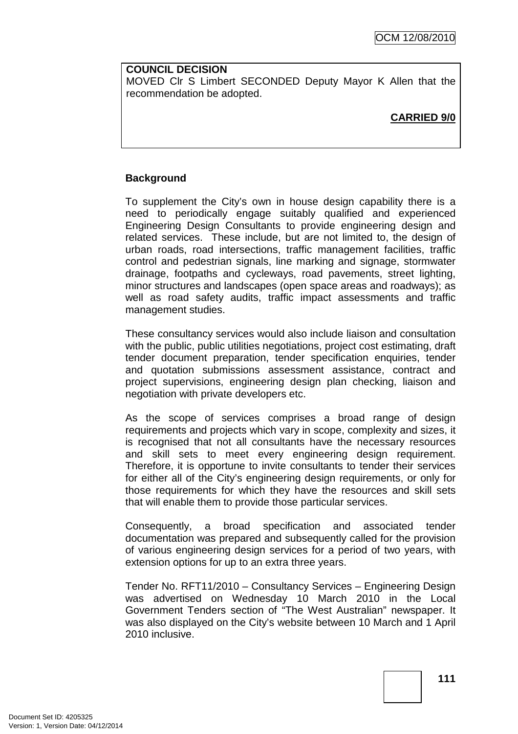### **COUNCIL DECISION**

MOVED Clr S Limbert SECONDED Deputy Mayor K Allen that the recommendation be adopted.

# **CARRIED 9/0**

# **Background**

To supplement the City's own in house design capability there is a need to periodically engage suitably qualified and experienced Engineering Design Consultants to provide engineering design and related services. These include, but are not limited to, the design of urban roads, road intersections, traffic management facilities, traffic control and pedestrian signals, line marking and signage, stormwater drainage, footpaths and cycleways, road pavements, street lighting, minor structures and landscapes (open space areas and roadways); as well as road safety audits, traffic impact assessments and traffic management studies.

These consultancy services would also include liaison and consultation with the public, public utilities negotiations, project cost estimating, draft tender document preparation, tender specification enquiries, tender and quotation submissions assessment assistance, contract and project supervisions, engineering design plan checking, liaison and negotiation with private developers etc.

As the scope of services comprises a broad range of design requirements and projects which vary in scope, complexity and sizes, it is recognised that not all consultants have the necessary resources and skill sets to meet every engineering design requirement. Therefore, it is opportune to invite consultants to tender their services for either all of the City's engineering design requirements, or only for those requirements for which they have the resources and skill sets that will enable them to provide those particular services.

Consequently, a broad specification and associated tender documentation was prepared and subsequently called for the provision of various engineering design services for a period of two years, with extension options for up to an extra three years.

Tender No. RFT11/2010 – Consultancy Services – Engineering Design was advertised on Wednesday 10 March 2010 in the Local Government Tenders section of "The West Australian" newspaper. It was also displayed on the City's website between 10 March and 1 April 2010 inclusive.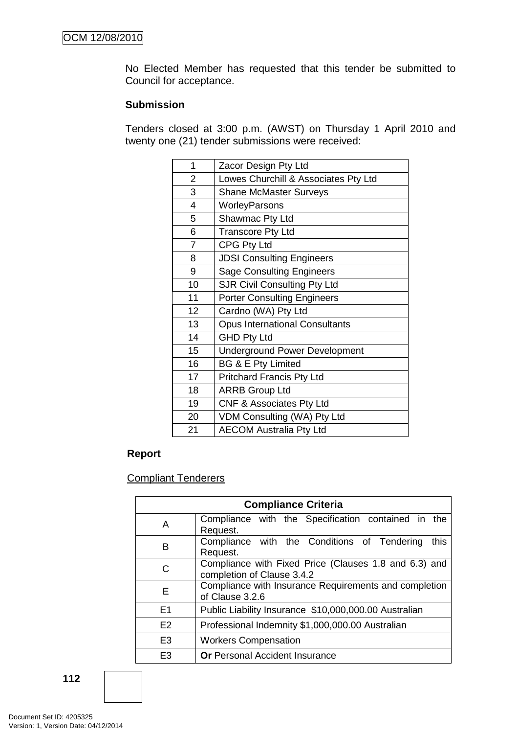No Elected Member has requested that this tender be submitted to Council for acceptance.

### **Submission**

Tenders closed at 3:00 p.m. (AWST) on Thursday 1 April 2010 and twenty one (21) tender submissions were received:

| 1              | Zacor Design Pty Ltd                  |
|----------------|---------------------------------------|
| $\overline{2}$ | Lowes Churchill & Associates Pty Ltd  |
| 3              | <b>Shane McMaster Surveys</b>         |
| 4              | WorleyParsons                         |
| 5              | Shawmac Pty Ltd                       |
| 6              | <b>Transcore Pty Ltd</b>              |
| $\overline{7}$ | <b>CPG Pty Ltd</b>                    |
| 8              | <b>JDSI Consulting Engineers</b>      |
| 9              | <b>Sage Consulting Engineers</b>      |
| 10             | <b>SJR Civil Consulting Pty Ltd</b>   |
| 11             | <b>Porter Consulting Engineers</b>    |
| 12             | Cardno (WA) Pty Ltd                   |
| 13             | <b>Opus International Consultants</b> |
| 14             | <b>GHD Pty Ltd</b>                    |
| 15             | <b>Underground Power Development</b>  |
| 16             | <b>BG &amp; E Pty Limited</b>         |
| 17             | <b>Pritchard Francis Pty Ltd</b>      |
| 18             | <b>ARRB Group Ltd</b>                 |
| 19             | <b>CNF &amp; Associates Pty Ltd</b>   |
| 20             | VDM Consulting (WA) Pty Ltd           |
| 21             | <b>AECOM Australia Pty Ltd</b>        |

# **Report**

Compliant Tenderers

| <b>Compliance Criteria</b> |                                                                                     |  |  |  |
|----------------------------|-------------------------------------------------------------------------------------|--|--|--|
| A                          | Compliance with the Specification contained in the<br>Request.                      |  |  |  |
| B                          | Compliance with the Conditions of Tendering<br>this<br>Request.                     |  |  |  |
| C                          | Compliance with Fixed Price (Clauses 1.8 and 6.3) and<br>completion of Clause 3.4.2 |  |  |  |
| Е                          | Compliance with Insurance Requirements and completion<br>of Clause 3.2.6            |  |  |  |
| E <sub>1</sub>             | Public Liability Insurance \$10,000,000.00 Australian                               |  |  |  |
| E2                         | Professional Indemnity \$1,000,000.00 Australian                                    |  |  |  |
| E <sub>3</sub>             | <b>Workers Compensation</b>                                                         |  |  |  |
| E3                         | <b>Or Personal Accident Insurance</b>                                               |  |  |  |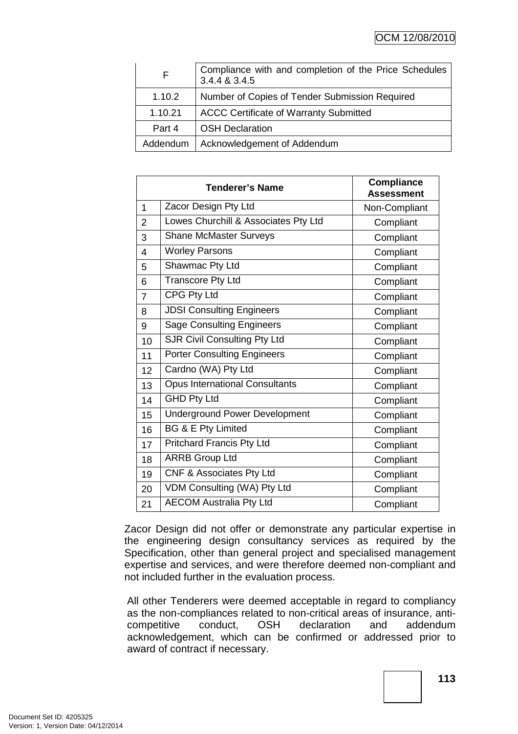| F        | Compliance with and completion of the Price Schedules<br>3.4.4 & 3.4.5 |
|----------|------------------------------------------------------------------------|
| 1.10.2   | Number of Copies of Tender Submission Required                         |
| 1.10.21  | <b>ACCC Certificate of Warranty Submitted</b>                          |
| Part 4   | <b>OSH Declaration</b>                                                 |
| Addendum | Acknowledgement of Addendum                                            |

| <b>Tenderer's Name</b>  |                                       | <b>Compliance</b><br><b>Assessment</b> |
|-------------------------|---------------------------------------|----------------------------------------|
| 1                       | Zacor Design Pty Ltd                  | Non-Compliant                          |
| $\overline{2}$          | Lowes Churchill & Associates Pty Ltd  | Compliant                              |
| 3                       | <b>Shane McMaster Surveys</b>         | Compliant                              |
| $\overline{\mathbf{4}}$ | <b>Worley Parsons</b>                 | Compliant                              |
| 5                       | Shawmac Pty Ltd                       | Compliant                              |
| 6                       | <b>Transcore Pty Ltd</b>              | Compliant                              |
| $\overline{7}$          | CPG Pty Ltd                           | Compliant                              |
| 8                       | <b>JDSI Consulting Engineers</b>      | Compliant                              |
| 9                       | <b>Sage Consulting Engineers</b>      | Compliant                              |
| 10                      | <b>SJR Civil Consulting Pty Ltd</b>   | Compliant                              |
| 11                      | <b>Porter Consulting Engineers</b>    | Compliant                              |
| 12                      | Cardno (WA) Pty Ltd                   | Compliant                              |
| 13                      | <b>Opus International Consultants</b> | Compliant                              |
| 14                      | <b>GHD Pty Ltd</b>                    | Compliant                              |
| 15                      | <b>Underground Power Development</b>  | Compliant                              |
| 16                      | <b>BG &amp; E Pty Limited</b>         | Compliant                              |
| 17                      | <b>Pritchard Francis Pty Ltd</b>      | Compliant                              |
| 18                      | <b>ARRB Group Ltd</b>                 | Compliant                              |
| 19                      | CNF & Associates Pty Ltd              | Compliant                              |
| 20                      | VDM Consulting (WA) Pty Ltd           | Compliant                              |
| 21                      | <b>AECOM Australia Pty Ltd</b>        | Compliant                              |

Zacor Design did not offer or demonstrate any particular expertise in the engineering design consultancy services as required by the Specification, other than general project and specialised management expertise and services, and were therefore deemed non-compliant and not included further in the evaluation process.

All other Tenderers were deemed acceptable in regard to compliancy as the non-compliances related to non-critical areas of insurance, anticompetitive conduct, OSH declaration and addendum acknowledgement, which can be confirmed or addressed prior to award of contract if necessary.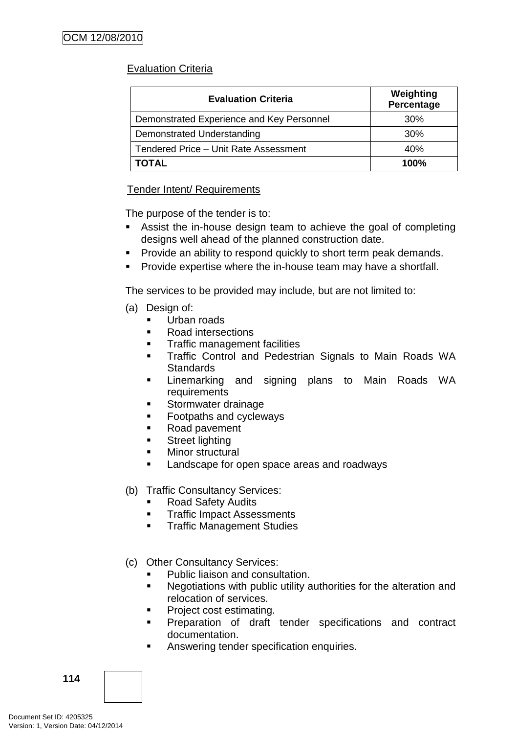# Evaluation Criteria

| <b>Evaluation Criteria</b>                | Weighting<br>Percentage |
|-------------------------------------------|-------------------------|
| Demonstrated Experience and Key Personnel | 30%                     |
| Demonstrated Understanding                | 30%                     |
| Tendered Price - Unit Rate Assessment     | 40%                     |
| <b>TOTAL</b>                              | 100%                    |

# Tender Intent/ Requirements

The purpose of the tender is to:

- **EXEL Assist the in-house design team to achieve the goal of completing** designs well ahead of the planned construction date.
- **Provide an ability to respond quickly to short term peak demands.**
- **Provide expertise where the in-house team may have a shortfall.**

The services to be provided may include, but are not limited to:

- (a) Design of:
	- -Urban roads
	- -Road intersections
	- -Traffic management facilities
	- - Traffic Control and Pedestrian Signals to Main Roads WA **Standards**
	- - Linemarking and signing plans to Main Roads WA requirements
	- -Stormwater drainage
	- -Footpaths and cycleways
	- -Road pavement
	- -Street lighting
	- -Minor structural
	- -Landscape for open space areas and roadways

(b) Traffic Consultancy Services:

- -Road Safety Audits
- -Traffic Impact Assessments
- -Traffic Management Studies
- (c) Other Consultancy Services:
	- -Public liaison and consultation.
	- - Negotiations with public utility authorities for the alteration and relocation of services.
	- -Project cost estimating.
	- - Preparation of draft tender specifications and contract documentation.
	- -Answering tender specification enquiries.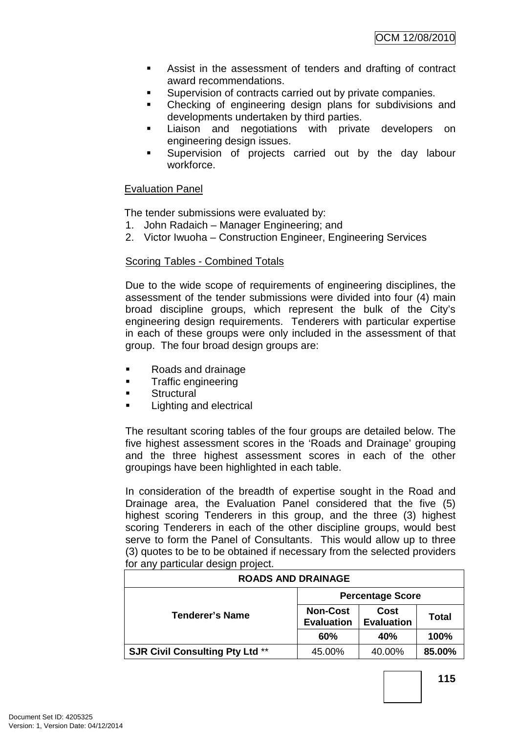- - Assist in the assessment of tenders and drafting of contract award recommendations.
- -Supervision of contracts carried out by private companies.
- - Checking of engineering design plans for subdivisions and developments undertaken by third parties.
- - Liaison and negotiations with private developers on engineering design issues.
- - Supervision of projects carried out by the day labour workforce.

# Evaluation Panel

The tender submissions were evaluated by:

- 1. John Radaich Manager Engineering; and
- 2. Victor Iwuoha Construction Engineer, Engineering Services

# Scoring Tables - Combined Totals

Due to the wide scope of requirements of engineering disciplines, the assessment of the tender submissions were divided into four (4) main broad discipline groups, which represent the bulk of the City's engineering design requirements. Tenderers with particular expertise in each of these groups were only included in the assessment of that group. The four broad design groups are:

- -Roads and drainage
- -Traffic engineering
- -**Structural**
- -Lighting and electrical

The resultant scoring tables of the four groups are detailed below. The five highest assessment scores in the 'Roads and Drainage' grouping and the three highest assessment scores in each of the other groupings have been highlighted in each table.

In consideration of the breadth of expertise sought in the Road and Drainage area, the Evaluation Panel considered that the five (5) highest scoring Tenderers in this group, and the three (3) highest scoring Tenderers in each of the other discipline groups, would best serve to form the Panel of Consultants. This would allow up to three (3) quotes to be to be obtained if necessary from the selected providers for any particular design project.

| <b>ROADS AND DRAINAGE</b>              |                                      |                           |        |
|----------------------------------------|--------------------------------------|---------------------------|--------|
|                                        | <b>Percentage Score</b>              |                           |        |
| Tenderer's Name                        | <b>Non-Cost</b><br><b>Evaluation</b> | Cost<br><b>Evaluation</b> | Total  |
|                                        | 60%                                  | 40%                       | 100%   |
| <b>SJR Civil Consulting Pty Ltd **</b> | 45.00%                               | 40.00%                    | 85.00% |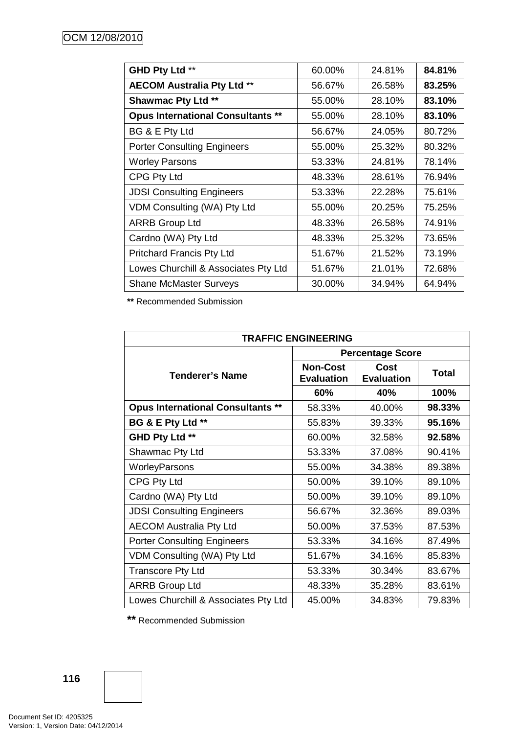| GHD Pty Ltd **                           | 60.00% | 24.81% | 84.81% |
|------------------------------------------|--------|--------|--------|
| <b>AECOM Australia Pty Ltd **</b>        | 56.67% | 26.58% | 83.25% |
| <b>Shawmac Pty Ltd **</b>                | 55.00% | 28.10% | 83.10% |
| <b>Opus International Consultants **</b> | 55.00% | 28.10% | 83.10% |
| BG & E Pty Ltd                           | 56.67% | 24.05% | 80.72% |
| <b>Porter Consulting Engineers</b>       | 55.00% | 25.32% | 80.32% |
| <b>Worley Parsons</b>                    | 53.33% | 24.81% | 78.14% |
| <b>CPG Pty Ltd</b>                       | 48.33% | 28.61% | 76.94% |
| <b>JDSI Consulting Engineers</b>         | 53.33% | 22.28% | 75.61% |
| VDM Consulting (WA) Pty Ltd              | 55.00% | 20.25% | 75.25% |
| <b>ARRB Group Ltd</b>                    | 48.33% | 26.58% | 74.91% |
| Cardno (WA) Pty Ltd                      | 48.33% | 25.32% | 73.65% |
| <b>Pritchard Francis Pty Ltd</b>         | 51.67% | 21.52% | 73.19% |
| Lowes Churchill & Associates Pty Ltd     | 51.67% | 21.01% | 72.68% |
| <b>Shane McMaster Surveys</b>            | 30.00% | 34.94% | 64.94% |

**\*\*** Recommended Submission

| <b>TRAFFIC ENGINEERING</b>               |                                      |                                  |              |  |
|------------------------------------------|--------------------------------------|----------------------------------|--------------|--|
|                                          | <b>Percentage Score</b>              |                                  |              |  |
| <b>Tenderer's Name</b>                   | <b>Non-Cost</b><br><b>Evaluation</b> | <b>Cost</b><br><b>Evaluation</b> | <b>Total</b> |  |
|                                          | 60%                                  | 40%                              | 100%         |  |
| <b>Opus International Consultants **</b> | 58.33%                               | 40.00%                           | 98.33%       |  |
| BG & E Pty Ltd **                        | 55.83%                               | 39.33%                           | 95.16%       |  |
| GHD Pty Ltd **                           | 60.00%                               | 32.58%                           | 92.58%       |  |
| Shawmac Pty Ltd                          | 53.33%                               | 37.08%                           | 90.41%       |  |
| WorleyParsons                            | 55.00%                               | 34.38%                           | 89.38%       |  |
| <b>CPG Pty Ltd</b>                       | 50.00%                               | 39.10%                           | 89.10%       |  |
| Cardno (WA) Pty Ltd                      | 50.00%                               | 39.10%                           | 89.10%       |  |
| <b>JDSI Consulting Engineers</b>         | 56.67%                               | 32.36%                           | 89.03%       |  |
| <b>AECOM Australia Pty Ltd</b>           | 50.00%                               | 37.53%                           | 87.53%       |  |
| <b>Porter Consulting Engineers</b>       | 53.33%                               | 34.16%                           | 87.49%       |  |
| VDM Consulting (WA) Pty Ltd              | 51.67%                               | 34.16%                           | 85.83%       |  |
| <b>Transcore Pty Ltd</b>                 | 53.33%                               | 30.34%                           | 83.67%       |  |
| <b>ARRB Group Ltd</b>                    | 48.33%                               | 35.28%                           | 83.61%       |  |
| Lowes Churchill & Associates Pty Ltd     | 45.00%                               | 34.83%                           | 79.83%       |  |

**\*\*** Recommended Submission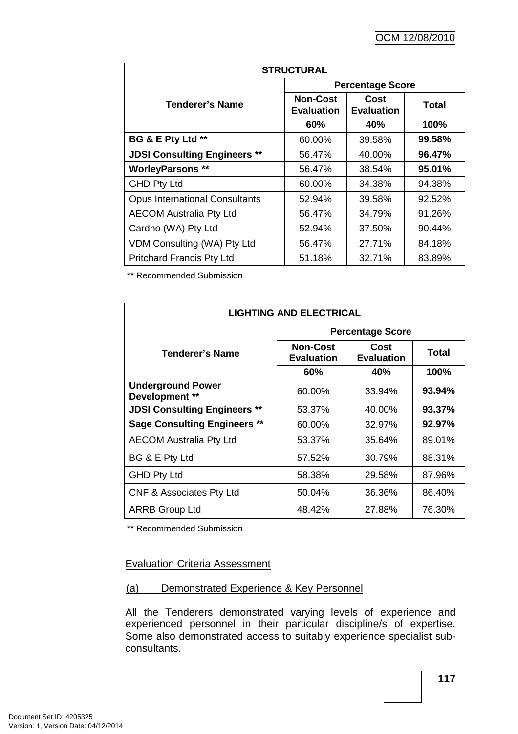| <b>STRUCTURAL</b>                     |                                      |                                  |              |  |
|---------------------------------------|--------------------------------------|----------------------------------|--------------|--|
|                                       | <b>Percentage Score</b>              |                                  |              |  |
| Tenderer's Name                       | <b>Non-Cost</b><br><b>Evaluation</b> | <b>Cost</b><br><b>Evaluation</b> | <b>Total</b> |  |
|                                       | 60%                                  | 40%                              | 100%         |  |
| BG & E Pty Ltd **                     | 60.00%                               | 39.58%                           | 99.58%       |  |
| <b>JDSI Consulting Engineers **</b>   | 56.47%                               | 40.00%                           | 96.47%       |  |
| <b>WorleyParsons **</b>               | 56.47%                               | 38.54%                           | 95.01%       |  |
| <b>GHD Pty Ltd</b>                    | 60.00%                               | 34.38%                           | 94.38%       |  |
| <b>Opus International Consultants</b> | 52.94%                               | 39.58%                           | 92.52%       |  |
| <b>AECOM Australia Pty Ltd</b>        | 56.47%                               | 34.79%                           | 91.26%       |  |
| Cardno (WA) Pty Ltd                   | 52.94%                               | 37.50%                           | 90.44%       |  |
| VDM Consulting (WA) Pty Ltd           | 56.47%                               | 27.71%                           | 84.18%       |  |
| <b>Pritchard Francis Pty Ltd</b>      | 51.18%                               | 32.71%                           | 83.89%       |  |

**\*\*** Recommended Submission

| <b>LIGHTING AND ELECTRICAL</b>             |                                      |                           |        |  |
|--------------------------------------------|--------------------------------------|---------------------------|--------|--|
|                                            | <b>Percentage Score</b>              |                           |        |  |
| Tenderer's Name                            | <b>Non-Cost</b><br><b>Evaluation</b> | Cost<br><b>Evaluation</b> | Total  |  |
|                                            | 60%                                  | 40%                       | 100%   |  |
| <b>Underground Power</b><br>Development ** | 60.00%                               | 33.94%                    | 93.94% |  |
| <b>JDSI Consulting Engineers **</b>        | 53.37%                               | 40.00%                    | 93.37% |  |
| <b>Sage Consulting Engineers **</b>        | 60.00%                               | 32.97%                    | 92.97% |  |
| <b>AECOM Australia Pty Ltd</b>             | 53.37%                               | 35.64%                    | 89.01% |  |
| BG & E Pty Ltd                             | 57.52%                               | 30.79%                    | 88.31% |  |
| <b>GHD Pty Ltd</b>                         | 58.38%                               | 29.58%                    | 87.96% |  |
| <b>CNF &amp; Associates Pty Ltd</b>        | 50.04%                               | 36.36%                    | 86.40% |  |
| <b>ARRB Group Ltd</b>                      | 48.42%                               | 27.88%                    | 76.30% |  |

**\*\*** Recommended Submission

### Evaluation Criteria Assessment

# (a) Demonstrated Experience & Key Personnel

All the Tenderers demonstrated varying levels of experience and experienced personnel in their particular discipline/s of expertise. Some also demonstrated access to suitably experience specialist subconsultants.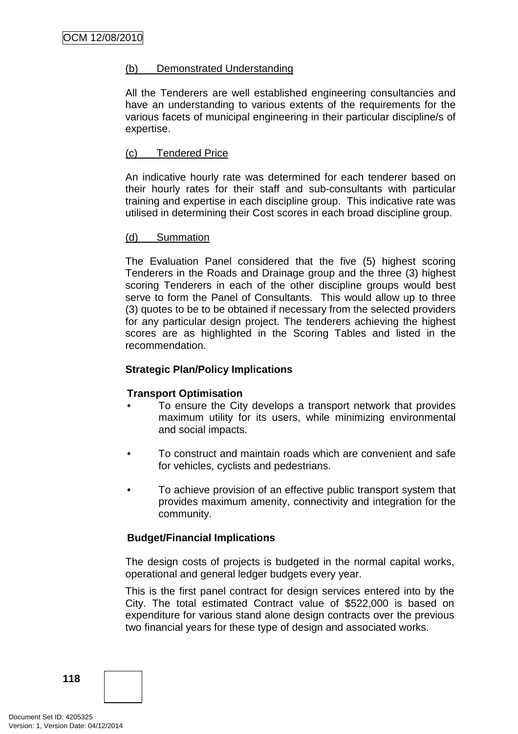#### (b) Demonstrated Understanding

All the Tenderers are well established engineering consultancies and have an understanding to various extents of the requirements for the various facets of municipal engineering in their particular discipline/s of expertise.

#### (c) Tendered Price

An indicative hourly rate was determined for each tenderer based on their hourly rates for their staff and sub-consultants with particular training and expertise in each discipline group. This indicative rate was utilised in determining their Cost scores in each broad discipline group.

#### (d) Summation

The Evaluation Panel considered that the five (5) highest scoring Tenderers in the Roads and Drainage group and the three (3) highest scoring Tenderers in each of the other discipline groups would best serve to form the Panel of Consultants. This would allow up to three (3) quotes to be to be obtained if necessary from the selected providers for any particular design project. The tenderers achieving the highest scores are as highlighted in the Scoring Tables and listed in the recommendation.

#### **Strategic Plan/Policy Implications**

### **Transport Optimisation**

- To ensure the City develops a transport network that provides maximum utility for its users, while minimizing environmental and social impacts.
- To construct and maintain roads which are convenient and safe for vehicles, cyclists and pedestrians.
- To achieve provision of an effective public transport system that provides maximum amenity, connectivity and integration for the community.

### **Budget/Financial Implications**

The design costs of projects is budgeted in the normal capital works, operational and general ledger budgets every year.

This is the first panel contract for design services entered into by the City. The total estimated Contract value of \$522,000 is based on expenditure for various stand alone design contracts over the previous two financial years for these type of design and associated works.

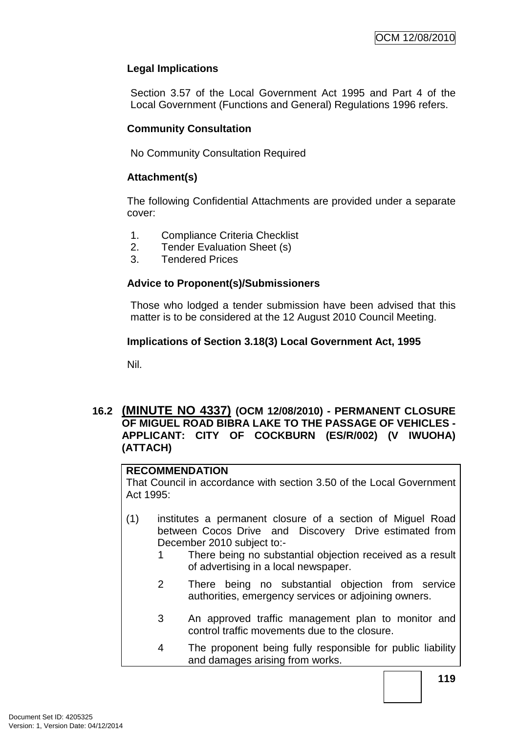# **Legal Implications**

Section 3.57 of the Local Government Act 1995 and Part 4 of the Local Government (Functions and General) Regulations 1996 refers.

# **Community Consultation**

No Community Consultation Required

# **Attachment(s)**

The following Confidential Attachments are provided under a separate cover:

- 1. Compliance Criteria Checklist
- 2. Tender Evaluation Sheet (s)
- 3. Tendered Prices

# **Advice to Proponent(s)/Submissioners**

Those who lodged a tender submission have been advised that this matter is to be considered at the 12 August 2010 Council Meeting.

# **Implications of Section 3.18(3) Local Government Act, 1995**

Nil.

# **16.2 (MINUTE NO 4337) (OCM 12/08/2010) - PERMANENT CLOSURE OF MIGUEL ROAD BIBRA LAKE TO THE PASSAGE OF VEHICLES - APPLICANT: CITY OF COCKBURN (ES/R/002) (V IWUOHA) (ATTACH)**

### **RECOMMENDATION**

That Council in accordance with section 3.50 of the Local Government Act 1995:

- (1) institutes a permanent closure of a section of Miguel Road between Cocos Drive and Discovery Drive estimated from December 2010 subject to:-
	- 1 There being no substantial objection received as a result of advertising in a local newspaper.
	- 2 There being no substantial objection from service authorities, emergency services or adjoining owners.
	- 3 An approved traffic management plan to monitor and control traffic movements due to the closure.
	- 4 The proponent being fully responsible for public liability and damages arising from works.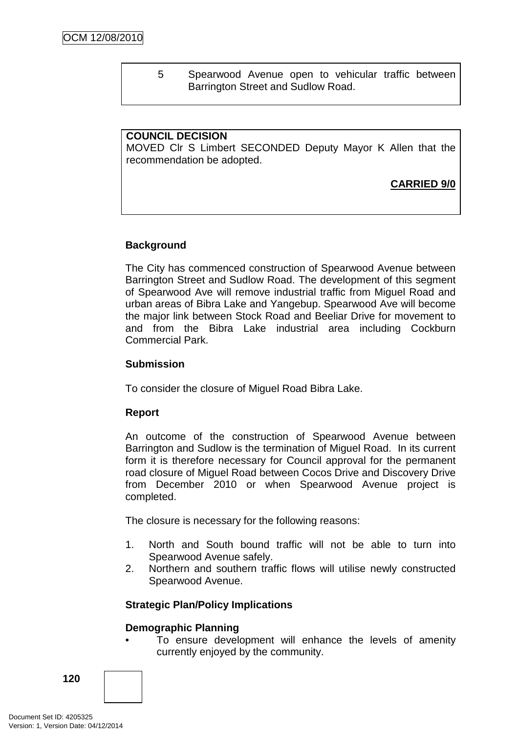5 Spearwood Avenue open to vehicular traffic between Barrington Street and Sudlow Road.

# **COUNCIL DECISION**

MOVED Clr S Limbert SECONDED Deputy Mayor K Allen that the recommendation be adopted.

# **CARRIED 9/0**

# **Background**

The City has commenced construction of Spearwood Avenue between Barrington Street and Sudlow Road. The development of this segment of Spearwood Ave will remove industrial traffic from Miguel Road and urban areas of Bibra Lake and Yangebup. Spearwood Ave will become the major link between Stock Road and Beeliar Drive for movement to and from the Bibra Lake industrial area including Cockburn Commercial Park.

### **Submission**

To consider the closure of Miguel Road Bibra Lake.

# **Report**

An outcome of the construction of Spearwood Avenue between Barrington and Sudlow is the termination of Miguel Road. In its current form it is therefore necessary for Council approval for the permanent road closure of Miguel Road between Cocos Drive and Discovery Drive from December 2010 or when Spearwood Avenue project is completed.

The closure is necessary for the following reasons:

- 1. North and South bound traffic will not be able to turn into Spearwood Avenue safely.
- 2. Northern and southern traffic flows will utilise newly constructed Spearwood Avenue.

### **Strategic Plan/Policy Implications**

### **Demographic Planning**

• To ensure development will enhance the levels of amenity currently enjoyed by the community.

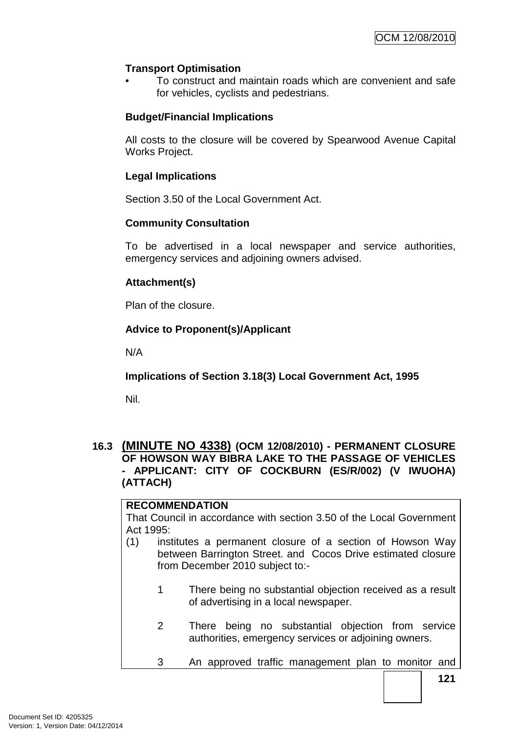# **Transport Optimisation**

• To construct and maintain roads which are convenient and safe for vehicles, cyclists and pedestrians.

### **Budget/Financial Implications**

All costs to the closure will be covered by Spearwood Avenue Capital Works Project.

### **Legal Implications**

Section 3.50 of the Local Government Act.

# **Community Consultation**

To be advertised in a local newspaper and service authorities, emergency services and adjoining owners advised.

# **Attachment(s)**

Plan of the closure.

# **Advice to Proponent(s)/Applicant**

N/A

**Implications of Section 3.18(3) Local Government Act, 1995**

Nil.

### **16.3 (MINUTE NO 4338) (OCM 12/08/2010) - PERMANENT CLOSURE OF HOWSON WAY BIBRA LAKE TO THE PASSAGE OF VEHICLES - APPLICANT: CITY OF COCKBURN (ES/R/002) (V IWUOHA) (ATTACH)**

# **RECOMMENDATION**

That Council in accordance with section 3.50 of the Local Government Act 1995:

- (1) institutes a permanent closure of a section of Howson Way between Barrington Street. and Cocos Drive estimated closure from December 2010 subject to:-
	- 1 There being no substantial objection received as a result of advertising in a local newspaper.
	- 2 There being no substantial objection from service authorities, emergency services or adjoining owners.
	- 3 An approved traffic management plan to monitor and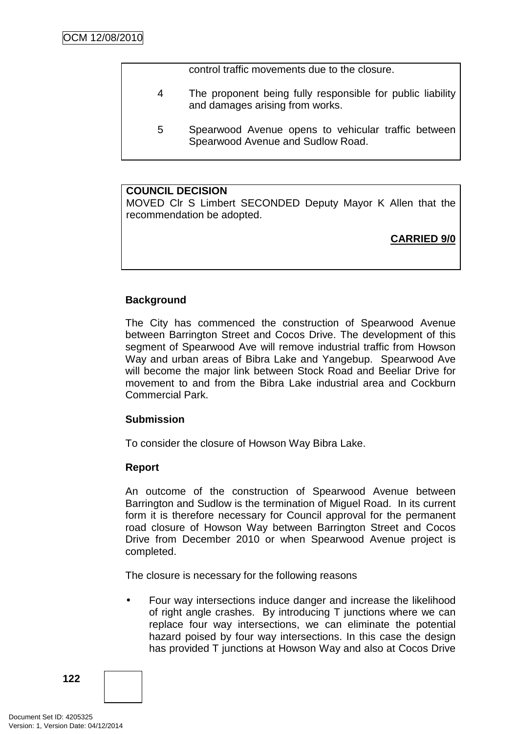control traffic movements due to the closure.

- 4 The proponent being fully responsible for public liability and damages arising from works.
- 5 Spearwood Avenue opens to vehicular traffic between Spearwood Avenue and Sudlow Road.

# **COUNCIL DECISION**

MOVED Clr S Limbert SECONDED Deputy Mayor K Allen that the recommendation be adopted.

**CARRIED 9/0**

# **Background**

The City has commenced the construction of Spearwood Avenue between Barrington Street and Cocos Drive. The development of this segment of Spearwood Ave will remove industrial traffic from Howson Way and urban areas of Bibra Lake and Yangebup. Spearwood Ave will become the major link between Stock Road and Beeliar Drive for movement to and from the Bibra Lake industrial area and Cockburn Commercial Park.

### **Submission**

To consider the closure of Howson Way Bibra Lake.

### **Report**

An outcome of the construction of Spearwood Avenue between Barrington and Sudlow is the termination of Miguel Road. In its current form it is therefore necessary for Council approval for the permanent road closure of Howson Way between Barrington Street and Cocos Drive from December 2010 or when Spearwood Avenue project is completed.

The closure is necessary for the following reasons

• Four way intersections induce danger and increase the likelihood of right angle crashes. By introducing T junctions where we can replace four way intersections, we can eliminate the potential hazard poised by four way intersections. In this case the design has provided T junctions at Howson Way and also at Cocos Drive

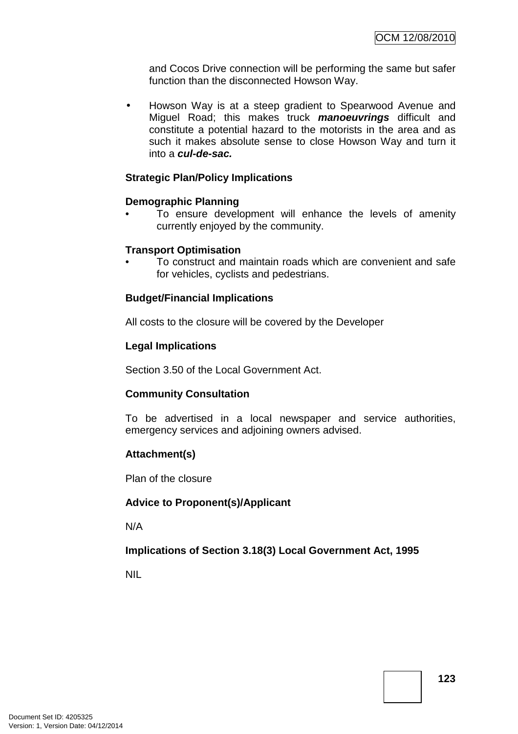and Cocos Drive connection will be performing the same but safer function than the disconnected Howson Way.

• Howson Way is at a steep gradient to Spearwood Avenue and Miguel Road; this makes truck **manoeuvrings** difficult and constitute a potential hazard to the motorists in the area and as such it makes absolute sense to close Howson Way and turn it into a **cul-de-sac.**

### **Strategic Plan/Policy Implications**

#### **Demographic Planning**

To ensure development will enhance the levels of amenity currently enjoyed by the community.

#### **Transport Optimisation**

• To construct and maintain roads which are convenient and safe for vehicles, cyclists and pedestrians.

### **Budget/Financial Implications**

All costs to the closure will be covered by the Developer

### **Legal Implications**

Section 3.50 of the Local Government Act.

### **Community Consultation**

To be advertised in a local newspaper and service authorities, emergency services and adjoining owners advised.

### **Attachment(s)**

Plan of the closure

### **Advice to Proponent(s)/Applicant**

N/A

### **Implications of Section 3.18(3) Local Government Act, 1995**

NIL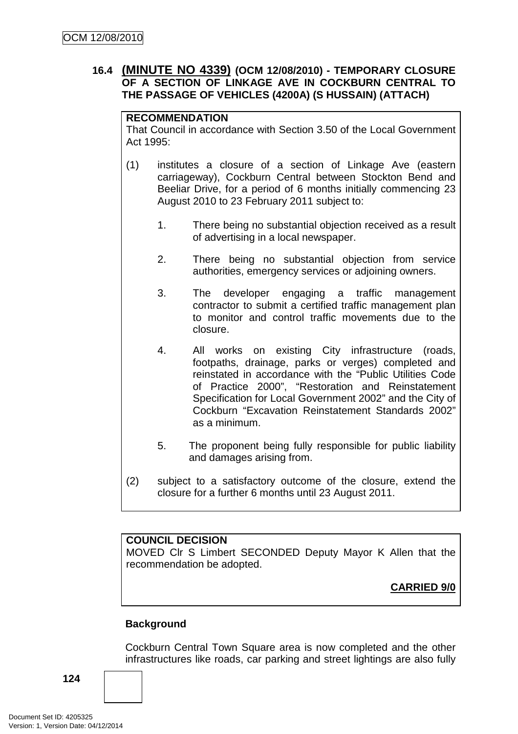# **16.4 (MINUTE NO 4339) (OCM 12/08/2010) - TEMPORARY CLOSURE OF A SECTION OF LINKAGE AVE IN COCKBURN CENTRAL TO THE PASSAGE OF VEHICLES (4200A) (S HUSSAIN) (ATTACH)**

# **RECOMMENDATION**

That Council in accordance with Section 3.50 of the Local Government Act 1995:

- (1) institutes a closure of a section of Linkage Ave (eastern carriageway), Cockburn Central between Stockton Bend and Beeliar Drive, for a period of 6 months initially commencing 23 August 2010 to 23 February 2011 subject to:
	- 1. There being no substantial objection received as a result of advertising in a local newspaper.
	- 2. There being no substantial objection from service authorities, emergency services or adjoining owners.
	- 3. The developer engaging a traffic management contractor to submit a certified traffic management plan to monitor and control traffic movements due to the closure.
	- 4. All works on existing City infrastructure (roads, footpaths, drainage, parks or verges) completed and reinstated in accordance with the "Public Utilities Code of Practice 2000", "Restoration and Reinstatement Specification for Local Government 2002" and the City of Cockburn "Excavation Reinstatement Standards 2002" as a minimum.
	- 5. The proponent being fully responsible for public liability and damages arising from.
- (2) subject to a satisfactory outcome of the closure, extend the closure for a further 6 months until 23 August 2011.

# **COUNCIL DECISION**

MOVED Clr S Limbert SECONDED Deputy Mayor K Allen that the recommendation be adopted.

# **CARRIED 9/0**

# **Background**

Cockburn Central Town Square area is now completed and the other infrastructures like roads, car parking and street lightings are also fully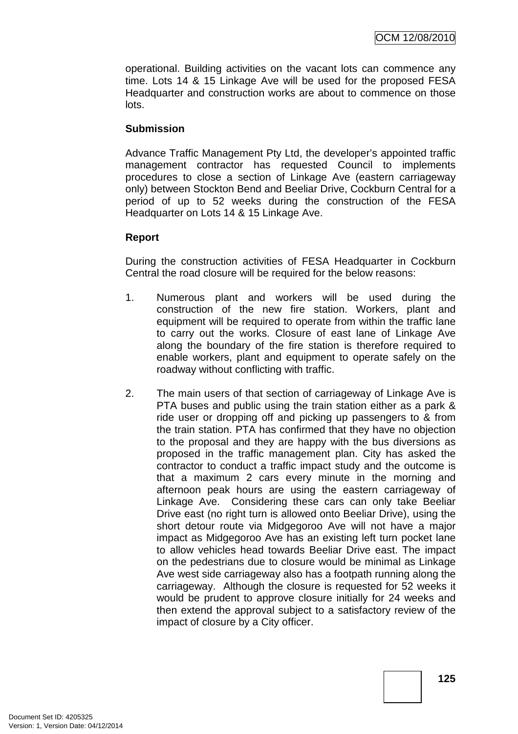operational. Building activities on the vacant lots can commence any time. Lots 14 & 15 Linkage Ave will be used for the proposed FESA Headquarter and construction works are about to commence on those lots.

### **Submission**

Advance Traffic Management Pty Ltd, the developer's appointed traffic management contractor has requested Council to implements procedures to close a section of Linkage Ave (eastern carriageway only) between Stockton Bend and Beeliar Drive, Cockburn Central for a period of up to 52 weeks during the construction of the FESA Headquarter on Lots 14 & 15 Linkage Ave.

### **Report**

During the construction activities of FESA Headquarter in Cockburn Central the road closure will be required for the below reasons:

- 1. Numerous plant and workers will be used during the construction of the new fire station. Workers, plant and equipment will be required to operate from within the traffic lane to carry out the works. Closure of east lane of Linkage Ave along the boundary of the fire station is therefore required to enable workers, plant and equipment to operate safely on the roadway without conflicting with traffic.
- 2. The main users of that section of carriageway of Linkage Ave is PTA buses and public using the train station either as a park & ride user or dropping off and picking up passengers to & from the train station. PTA has confirmed that they have no objection to the proposal and they are happy with the bus diversions as proposed in the traffic management plan. City has asked the contractor to conduct a traffic impact study and the outcome is that a maximum 2 cars every minute in the morning and afternoon peak hours are using the eastern carriageway of Linkage Ave. Considering these cars can only take Beeliar Drive east (no right turn is allowed onto Beeliar Drive), using the short detour route via Midgegoroo Ave will not have a major impact as Midgegoroo Ave has an existing left turn pocket lane to allow vehicles head towards Beeliar Drive east. The impact on the pedestrians due to closure would be minimal as Linkage Ave west side carriageway also has a footpath running along the carriageway. Although the closure is requested for 52 weeks it would be prudent to approve closure initially for 24 weeks and then extend the approval subject to a satisfactory review of the impact of closure by a City officer.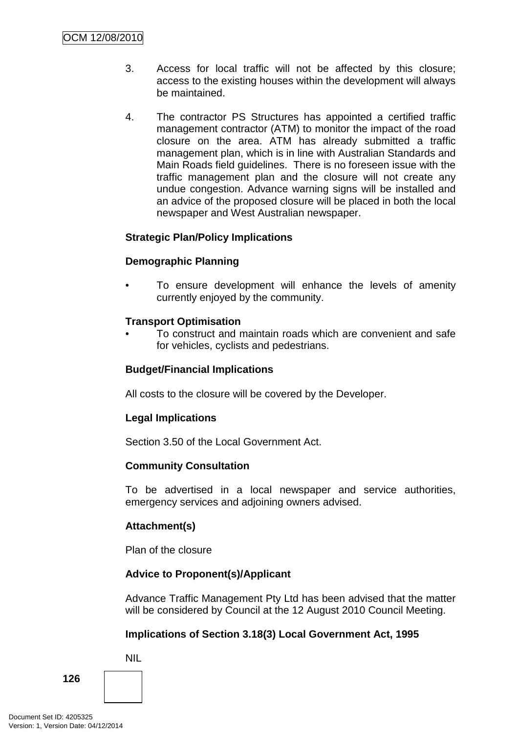- 3. Access for local traffic will not be affected by this closure; access to the existing houses within the development will always be maintained.
- 4. The contractor PS Structures has appointed a certified traffic management contractor (ATM) to monitor the impact of the road closure on the area. ATM has already submitted a traffic management plan, which is in line with Australian Standards and Main Roads field guidelines. There is no foreseen issue with the traffic management plan and the closure will not create any undue congestion. Advance warning signs will be installed and an advice of the proposed closure will be placed in both the local newspaper and West Australian newspaper.

# **Strategic Plan/Policy Implications**

### **Demographic Planning**

To ensure development will enhance the levels of amenity currently enjoyed by the community.

### **Transport Optimisation**

• To construct and maintain roads which are convenient and safe for vehicles, cyclists and pedestrians.

### **Budget/Financial Implications**

All costs to the closure will be covered by the Developer.

### **Legal Implications**

Section 3.50 of the Local Government Act.

### **Community Consultation**

To be advertised in a local newspaper and service authorities, emergency services and adjoining owners advised.

### **Attachment(s)**

Plan of the closure

### **Advice to Proponent(s)/Applicant**

Advance Traffic Management Pty Ltd has been advised that the matter will be considered by Council at the 12 August 2010 Council Meeting.

### **Implications of Section 3.18(3) Local Government Act, 1995**

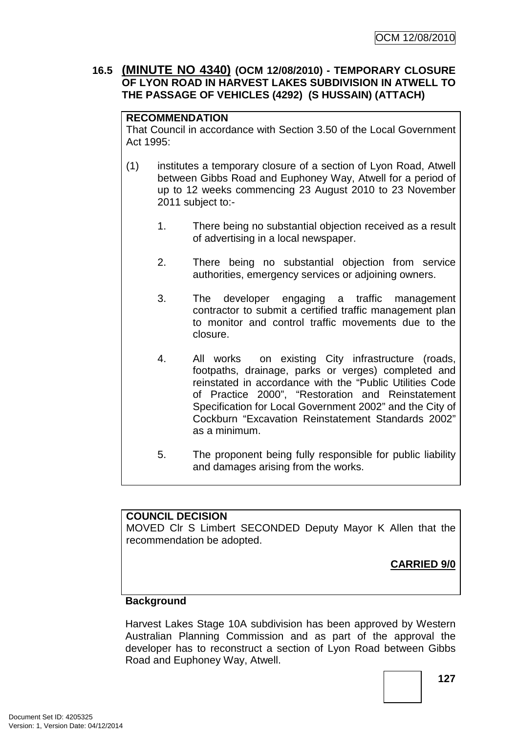# **16.5 (MINUTE NO 4340) (OCM 12/08/2010) - TEMPORARY CLOSURE OF LYON ROAD IN HARVEST LAKES SUBDIVISION IN ATWELL TO THE PASSAGE OF VEHICLES (4292) (S HUSSAIN) (ATTACH)**

# **RECOMMENDATION**

That Council in accordance with Section 3.50 of the Local Government Act 1995:

- (1) institutes a temporary closure of a section of Lyon Road, Atwell between Gibbs Road and Euphoney Way, Atwell for a period of up to 12 weeks commencing 23 August 2010 to 23 November 2011 subject to:-
	- 1. There being no substantial objection received as a result of advertising in a local newspaper.
	- 2. There being no substantial objection from service authorities, emergency services or adjoining owners.
	- 3. The developer engaging a traffic management contractor to submit a certified traffic management plan to monitor and control traffic movements due to the closure.
	- 4. All works on existing City infrastructure (roads, footpaths, drainage, parks or verges) completed and reinstated in accordance with the "Public Utilities Code of Practice 2000", "Restoration and Reinstatement Specification for Local Government 2002" and the City of Cockburn "Excavation Reinstatement Standards 2002" as a minimum.
	- 5. The proponent being fully responsible for public liability and damages arising from the works.

# **COUNCIL DECISION**

MOVED Clr S Limbert SECONDED Deputy Mayor K Allen that the recommendation be adopted.

**CARRIED 9/0**

### **Background**

Harvest Lakes Stage 10A subdivision has been approved by Western Australian Planning Commission and as part of the approval the developer has to reconstruct a section of Lyon Road between Gibbs Road and Euphoney Way, Atwell.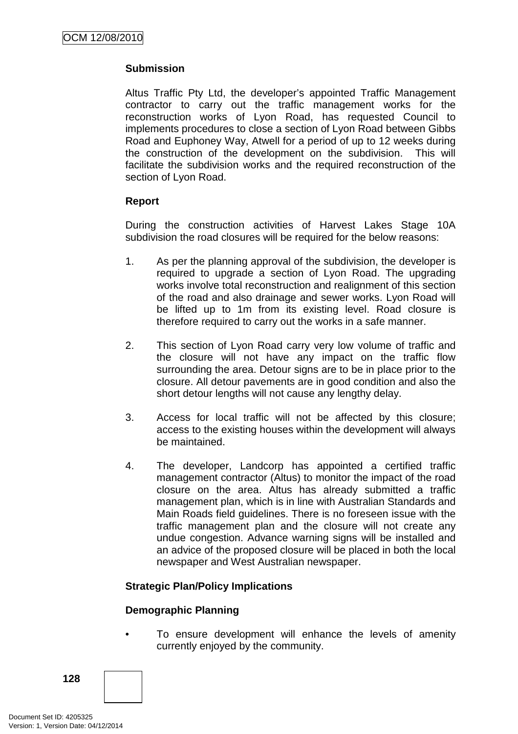# **Submission**

Altus Traffic Pty Ltd, the developer's appointed Traffic Management contractor to carry out the traffic management works for the reconstruction works of Lyon Road, has requested Council to implements procedures to close a section of Lyon Road between Gibbs Road and Euphoney Way, Atwell for a period of up to 12 weeks during the construction of the development on the subdivision. This will facilitate the subdivision works and the required reconstruction of the section of Lyon Road.

### **Report**

During the construction activities of Harvest Lakes Stage 10A subdivision the road closures will be required for the below reasons:

- 1. As per the planning approval of the subdivision, the developer is required to upgrade a section of Lyon Road. The upgrading works involve total reconstruction and realignment of this section of the road and also drainage and sewer works. Lyon Road will be lifted up to 1m from its existing level. Road closure is therefore required to carry out the works in a safe manner.
- 2. This section of Lyon Road carry very low volume of traffic and the closure will not have any impact on the traffic flow surrounding the area. Detour signs are to be in place prior to the closure. All detour pavements are in good condition and also the short detour lengths will not cause any lengthy delay.
- 3. Access for local traffic will not be affected by this closure; access to the existing houses within the development will always be maintained.
- 4. The developer, Landcorp has appointed a certified traffic management contractor (Altus) to monitor the impact of the road closure on the area. Altus has already submitted a traffic management plan, which is in line with Australian Standards and Main Roads field guidelines. There is no foreseen issue with the traffic management plan and the closure will not create any undue congestion. Advance warning signs will be installed and an advice of the proposed closure will be placed in both the local newspaper and West Australian newspaper.

### **Strategic Plan/Policy Implications**

### **Demographic Planning**

To ensure development will enhance the levels of amenity currently enjoyed by the community.

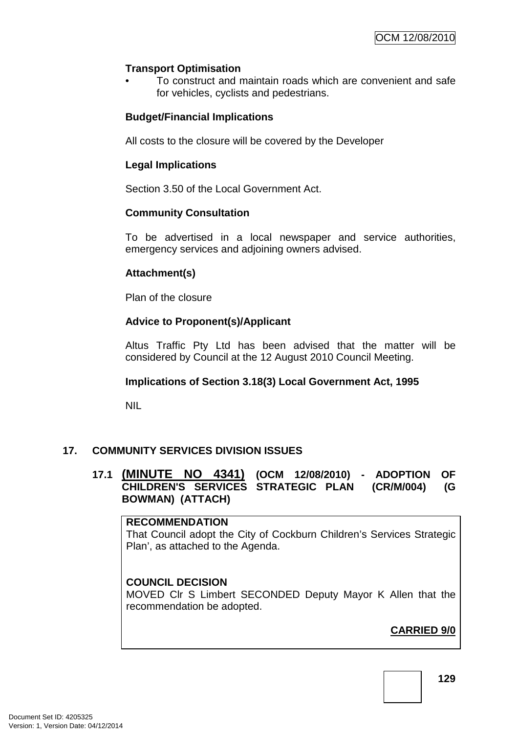# **Transport Optimisation**

• To construct and maintain roads which are convenient and safe for vehicles, cyclists and pedestrians.

# **Budget/Financial Implications**

All costs to the closure will be covered by the Developer

### **Legal Implications**

Section 3.50 of the Local Government Act.

### **Community Consultation**

To be advertised in a local newspaper and service authorities, emergency services and adjoining owners advised.

### **Attachment(s)**

Plan of the closure

# **Advice to Proponent(s)/Applicant**

Altus Traffic Pty Ltd has been advised that the matter will be considered by Council at the 12 August 2010 Council Meeting.

### **Implications of Section 3.18(3) Local Government Act, 1995**

NIL

### **17. COMMUNITY SERVICES DIVISION ISSUES**

# **17.1 (MINUTE NO 4341) (OCM 12/08/2010) - ADOPTION OF CHILDREN'S SERVICES STRATEGIC PLAN (CR/M/004) (G BOWMAN) (ATTACH)**

#### **RECOMMENDATION**

That Council adopt the City of Cockburn Children's Services Strategic Plan', as attached to the Agenda.

### **COUNCIL DECISION**

MOVED Clr S Limbert SECONDED Deputy Mayor K Allen that the recommendation be adopted.

# **CARRIED 9/0**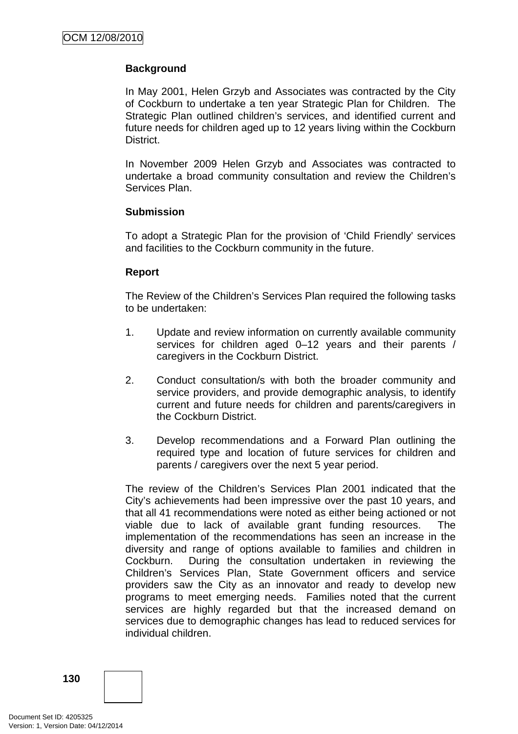# **Background**

In May 2001, Helen Grzyb and Associates was contracted by the City of Cockburn to undertake a ten year Strategic Plan for Children. The Strategic Plan outlined children's services, and identified current and future needs for children aged up to 12 years living within the Cockburn District.

In November 2009 Helen Grzyb and Associates was contracted to undertake a broad community consultation and review the Children's Services Plan.

### **Submission**

To adopt a Strategic Plan for the provision of 'Child Friendly' services and facilities to the Cockburn community in the future.

### **Report**

The Review of the Children's Services Plan required the following tasks to be undertaken:

- 1. Update and review information on currently available community services for children aged 0–12 years and their parents / caregivers in the Cockburn District.
- 2. Conduct consultation/s with both the broader community and service providers, and provide demographic analysis, to identify current and future needs for children and parents/caregivers in the Cockburn District.
- 3. Develop recommendations and a Forward Plan outlining the required type and location of future services for children and parents / caregivers over the next 5 year period.

The review of the Children's Services Plan 2001 indicated that the City's achievements had been impressive over the past 10 years, and that all 41 recommendations were noted as either being actioned or not viable due to lack of available grant funding resources. The implementation of the recommendations has seen an increase in the diversity and range of options available to families and children in Cockburn. During the consultation undertaken in reviewing the Children's Services Plan, State Government officers and service providers saw the City as an innovator and ready to develop new programs to meet emerging needs. Families noted that the current services are highly regarded but that the increased demand on services due to demographic changes has lead to reduced services for individual children.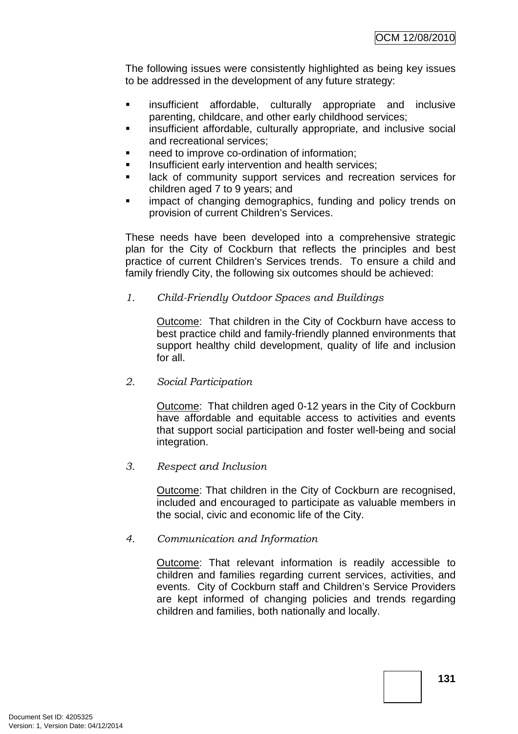The following issues were consistently highlighted as being key issues to be addressed in the development of any future strategy:

- insufficient affordable, culturally appropriate and inclusive parenting, childcare, and other early childhood services;
- insufficient affordable, culturally appropriate, and inclusive social and recreational services;
- need to improve co-ordination of information;
- -Insufficient early intervention and health services;
- lack of community support services and recreation services for children aged 7 to 9 years; and
- impact of changing demographics, funding and policy trends on provision of current Children's Services.

These needs have been developed into a comprehensive strategic plan for the City of Cockburn that reflects the principles and best practice of current Children's Services trends. To ensure a child and family friendly City, the following six outcomes should be achieved:

1. Child-Friendly Outdoor Spaces and Buildings

Outcome: That children in the City of Cockburn have access to best practice child and family-friendly planned environments that support healthy child development, quality of life and inclusion for all.

2. Social Participation

Outcome: That children aged 0-12 years in the City of Cockburn have affordable and equitable access to activities and events that support social participation and foster well-being and social integration.

3. Respect and Inclusion

Outcome: That children in the City of Cockburn are recognised, included and encouraged to participate as valuable members in the social, civic and economic life of the City.

# 4. Communication and Information

Outcome: That relevant information is readily accessible to children and families regarding current services, activities, and events. City of Cockburn staff and Children's Service Providers are kept informed of changing policies and trends regarding children and families, both nationally and locally.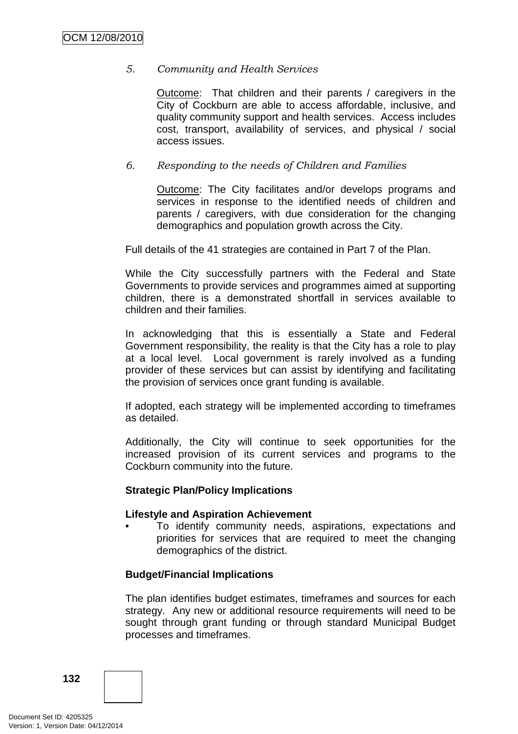# 5. Community and Health Services

Outcome: That children and their parents / caregivers in the City of Cockburn are able to access affordable, inclusive, and quality community support and health services. Access includes cost, transport, availability of services, and physical / social access issues.

### 6. Responding to the needs of Children and Families

Outcome: The City facilitates and/or develops programs and services in response to the identified needs of children and parents / caregivers, with due consideration for the changing demographics and population growth across the City.

Full details of the 41 strategies are contained in Part 7 of the Plan.

While the City successfully partners with the Federal and State Governments to provide services and programmes aimed at supporting children, there is a demonstrated shortfall in services available to children and their families.

In acknowledging that this is essentially a State and Federal Government responsibility, the reality is that the City has a role to play at a local level. Local government is rarely involved as a funding provider of these services but can assist by identifying and facilitating the provision of services once grant funding is available.

If adopted, each strategy will be implemented according to timeframes as detailed.

Additionally, the City will continue to seek opportunities for the increased provision of its current services and programs to the Cockburn community into the future.

### **Strategic Plan/Policy Implications**

### **Lifestyle and Aspiration Achievement**

• To identify community needs, aspirations, expectations and priorities for services that are required to meet the changing demographics of the district.

### **Budget/Financial Implications**

The plan identifies budget estimates, timeframes and sources for each strategy. Any new or additional resource requirements will need to be sought through grant funding or through standard Municipal Budget processes and timeframes.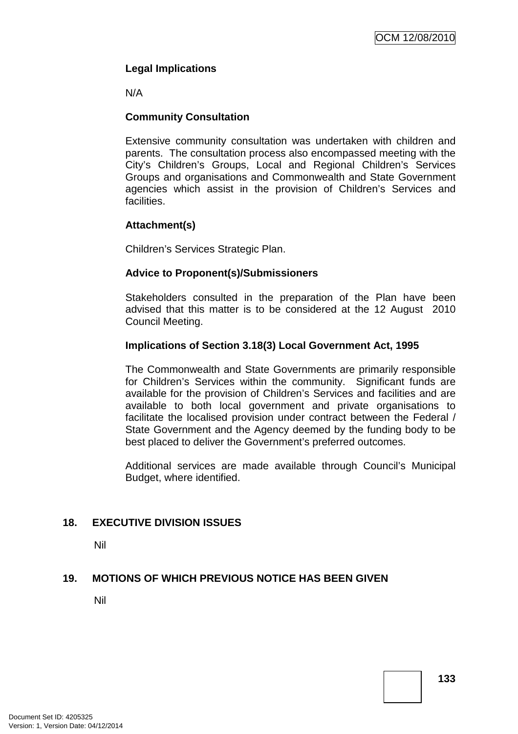# **Legal Implications**

N/A

# **Community Consultation**

Extensive community consultation was undertaken with children and parents. The consultation process also encompassed meeting with the City's Children's Groups, Local and Regional Children's Services Groups and organisations and Commonwealth and State Government agencies which assist in the provision of Children's Services and facilities.

# **Attachment(s)**

Children's Services Strategic Plan.

### **Advice to Proponent(s)/Submissioners**

Stakeholders consulted in the preparation of the Plan have been advised that this matter is to be considered at the 12 August 2010 Council Meeting.

### **Implications of Section 3.18(3) Local Government Act, 1995**

The Commonwealth and State Governments are primarily responsible for Children's Services within the community. Significant funds are available for the provision of Children's Services and facilities and are available to both local government and private organisations to facilitate the localised provision under contract between the Federal / State Government and the Agency deemed by the funding body to be best placed to deliver the Government's preferred outcomes.

Additional services are made available through Council's Municipal Budget, where identified.

### **18. EXECUTIVE DIVISION ISSUES**

Nil

### **19. MOTIONS OF WHICH PREVIOUS NOTICE HAS BEEN GIVEN**

Nil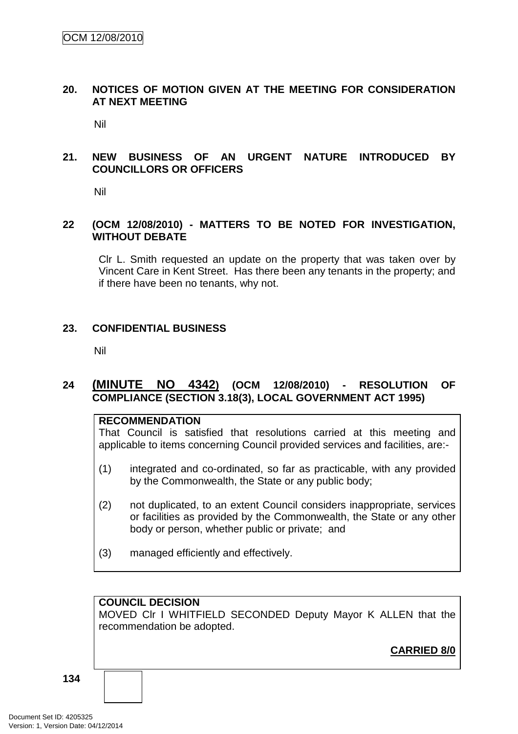### **20. NOTICES OF MOTION GIVEN AT THE MEETING FOR CONSIDERATION AT NEXT MEETING**

Nil

### **21. NEW BUSINESS OF AN URGENT NATURE INTRODUCED BY COUNCILLORS OR OFFICERS**

Nil

# **22 (OCM 12/08/2010) - MATTERS TO BE NOTED FOR INVESTIGATION, WITHOUT DEBATE**

Clr L. Smith requested an update on the property that was taken over by Vincent Care in Kent Street. Has there been any tenants in the property; and if there have been no tenants, why not.

### **23. CONFIDENTIAL BUSINESS**

Nil

# **24 (MINUTE NO 4342) (OCM 12/08/2010) - RESOLUTION OF COMPLIANCE (SECTION 3.18(3), LOCAL GOVERNMENT ACT 1995)**

# **RECOMMENDATION**

That Council is satisfied that resolutions carried at this meeting and applicable to items concerning Council provided services and facilities, are:-

- (1) integrated and co-ordinated, so far as practicable, with any provided by the Commonwealth, the State or any public body;
- (2) not duplicated, to an extent Council considers inappropriate, services or facilities as provided by the Commonwealth, the State or any other body or person, whether public or private; and
- (3) managed efficiently and effectively.

# **COUNCIL DECISION**

MOVED Clr I WHITFIELD SECONDED Deputy Mayor K ALLEN that the recommendation be adopted.

**CARRIED 8/0**